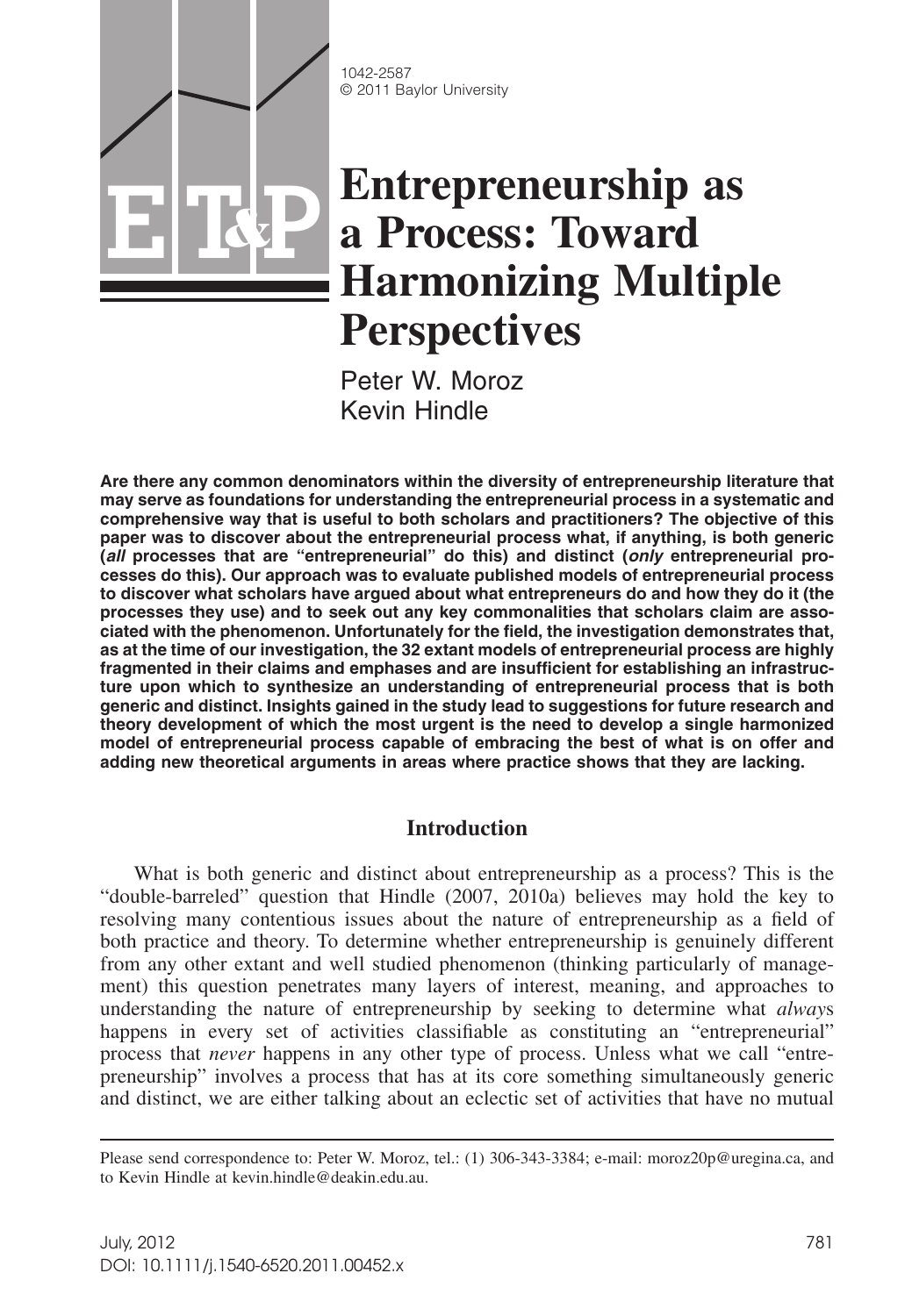1042-2587 © 2011 Baylor University

**E T&P**

# **Entrepreneurship as a Process: Toward Harmonizing Multiple Perspectives**

Peter W. Moroz Kevin Hindle

**Are there any common denominators within the diversity of entrepreneurship literature that may serve as foundations for understanding the entrepreneurial process in a systematic and comprehensive way that is useful to both scholars and practitioners? The objective of this paper was to discover about the entrepreneurial process what, if anything, is both generic (***all* **processes that are "entrepreneurial" do this) and distinct (***only* **entrepreneurial processes do this). Our approach was to evaluate published models of entrepreneurial process to discover what scholars have argued about what entrepreneurs do and how they do it (the processes they use) and to seek out any key commonalities that scholars claim are associated with the phenomenon. Unfortunately for the field, the investigation demonstrates that, as at the time of our investigation, the 32 extant models of entrepreneurial process are highly fragmented in their claims and emphases and are insufficient for establishing an infrastructure upon which to synthesize an understanding of entrepreneurial process that is both generic and distinct. Insights gained in the study lead to suggestions for future research and theory development of which the most urgent is the need to develop a single harmonized model of entrepreneurial process capable of embracing the best of what is on offer and adding new theoretical arguments in areas where practice shows that they are lacking.**

## **Introduction**

What is both generic and distinct about entrepreneurship as a process? This is the "double-barreled" question that Hindle (2007, 2010a) believes may hold the key to resolving many contentious issues about the nature of entrepreneurship as a field of both practice and theory. To determine whether entrepreneurship is genuinely different from any other extant and well studied phenomenon (thinking particularly of management) this question penetrates many layers of interest, meaning, and approaches to understanding the nature of entrepreneurship by seeking to determine what *alway*s happens in every set of activities classifiable as constituting an "entrepreneurial" process that *never* happens in any other type of process. Unless what we call "entrepreneurship" involves a process that has at its core something simultaneously generic and distinct, we are either talking about an eclectic set of activities that have no mutual

Please send correspondence to: Peter W. Moroz, tel.: (1) 306-343-3384; e-mail: moroz20p@uregina.ca, and to Kevin Hindle at kevin.hindle@deakin.edu.au.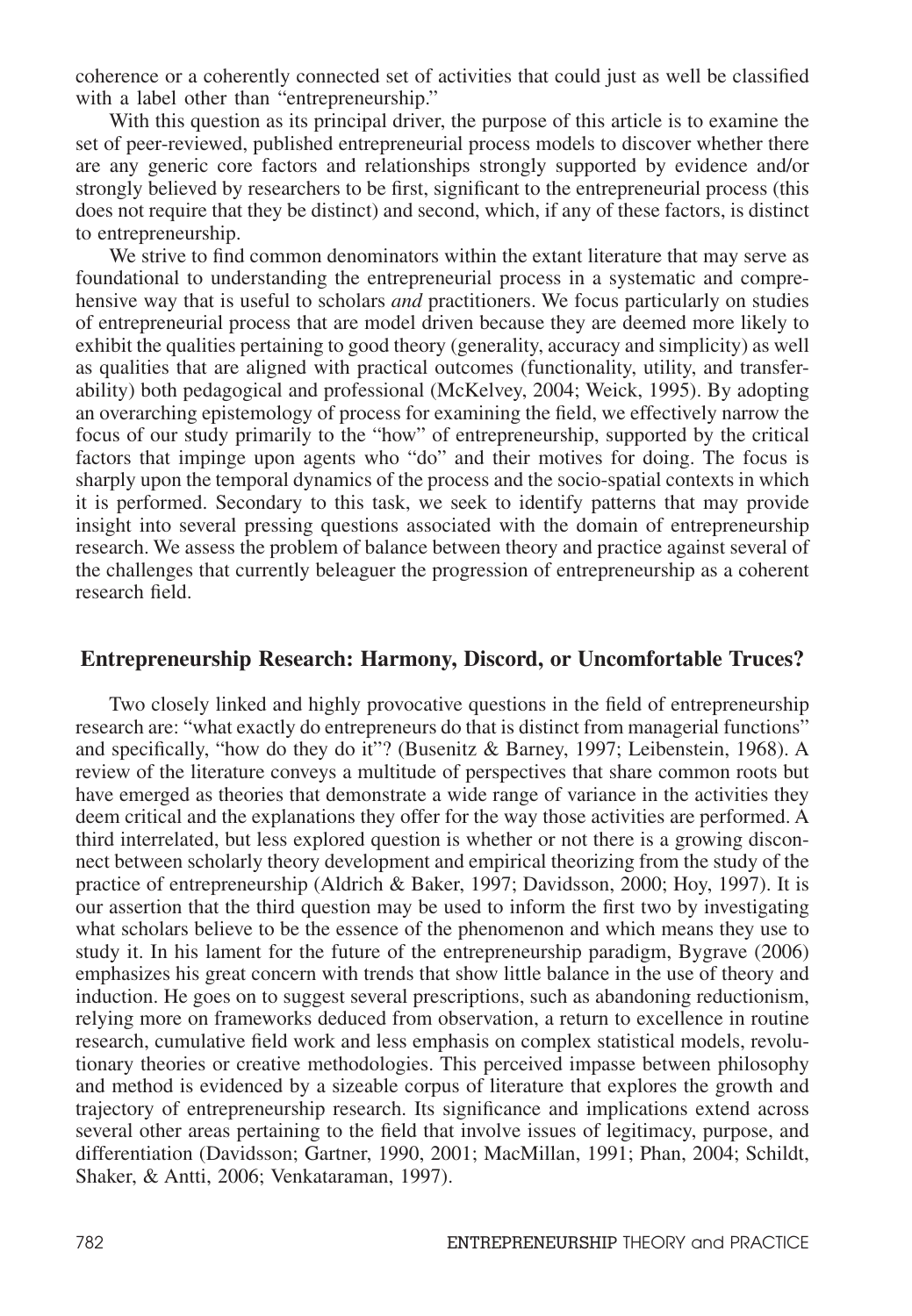coherence or a coherently connected set of activities that could just as well be classified with a label other than "entrepreneurship."

With this question as its principal driver, the purpose of this article is to examine the set of peer-reviewed, published entrepreneurial process models to discover whether there are any generic core factors and relationships strongly supported by evidence and/or strongly believed by researchers to be first, significant to the entrepreneurial process (this does not require that they be distinct) and second, which, if any of these factors, is distinct to entrepreneurship.

We strive to find common denominators within the extant literature that may serve as foundational to understanding the entrepreneurial process in a systematic and comprehensive way that is useful to scholars *and* practitioners. We focus particularly on studies of entrepreneurial process that are model driven because they are deemed more likely to exhibit the qualities pertaining to good theory (generality, accuracy and simplicity) as well as qualities that are aligned with practical outcomes (functionality, utility, and transferability) both pedagogical and professional (McKelvey, 2004; Weick, 1995). By adopting an overarching epistemology of process for examining the field, we effectively narrow the focus of our study primarily to the "how" of entrepreneurship, supported by the critical factors that impinge upon agents who "do" and their motives for doing. The focus is sharply upon the temporal dynamics of the process and the socio-spatial contexts in which it is performed. Secondary to this task, we seek to identify patterns that may provide insight into several pressing questions associated with the domain of entrepreneurship research. We assess the problem of balance between theory and practice against several of the challenges that currently beleaguer the progression of entrepreneurship as a coherent research field.

#### **Entrepreneurship Research: Harmony, Discord, or Uncomfortable Truces?**

Two closely linked and highly provocative questions in the field of entrepreneurship research are: "what exactly do entrepreneurs do that is distinct from managerial functions" and specifically, "how do they do it"? (Busenitz & Barney, 1997; Leibenstein, 1968). A review of the literature conveys a multitude of perspectives that share common roots but have emerged as theories that demonstrate a wide range of variance in the activities they deem critical and the explanations they offer for the way those activities are performed. A third interrelated, but less explored question is whether or not there is a growing disconnect between scholarly theory development and empirical theorizing from the study of the practice of entrepreneurship (Aldrich & Baker, 1997; Davidsson, 2000; Hoy, 1997). It is our assertion that the third question may be used to inform the first two by investigating what scholars believe to be the essence of the phenomenon and which means they use to study it. In his lament for the future of the entrepreneurship paradigm, Bygrave (2006) emphasizes his great concern with trends that show little balance in the use of theory and induction. He goes on to suggest several prescriptions, such as abandoning reductionism, relying more on frameworks deduced from observation, a return to excellence in routine research, cumulative field work and less emphasis on complex statistical models, revolutionary theories or creative methodologies. This perceived impasse between philosophy and method is evidenced by a sizeable corpus of literature that explores the growth and trajectory of entrepreneurship research. Its significance and implications extend across several other areas pertaining to the field that involve issues of legitimacy, purpose, and differentiation (Davidsson; Gartner, 1990, 2001; MacMillan, 1991; Phan, 2004; Schildt, Shaker, & Antti, 2006; Venkataraman, 1997).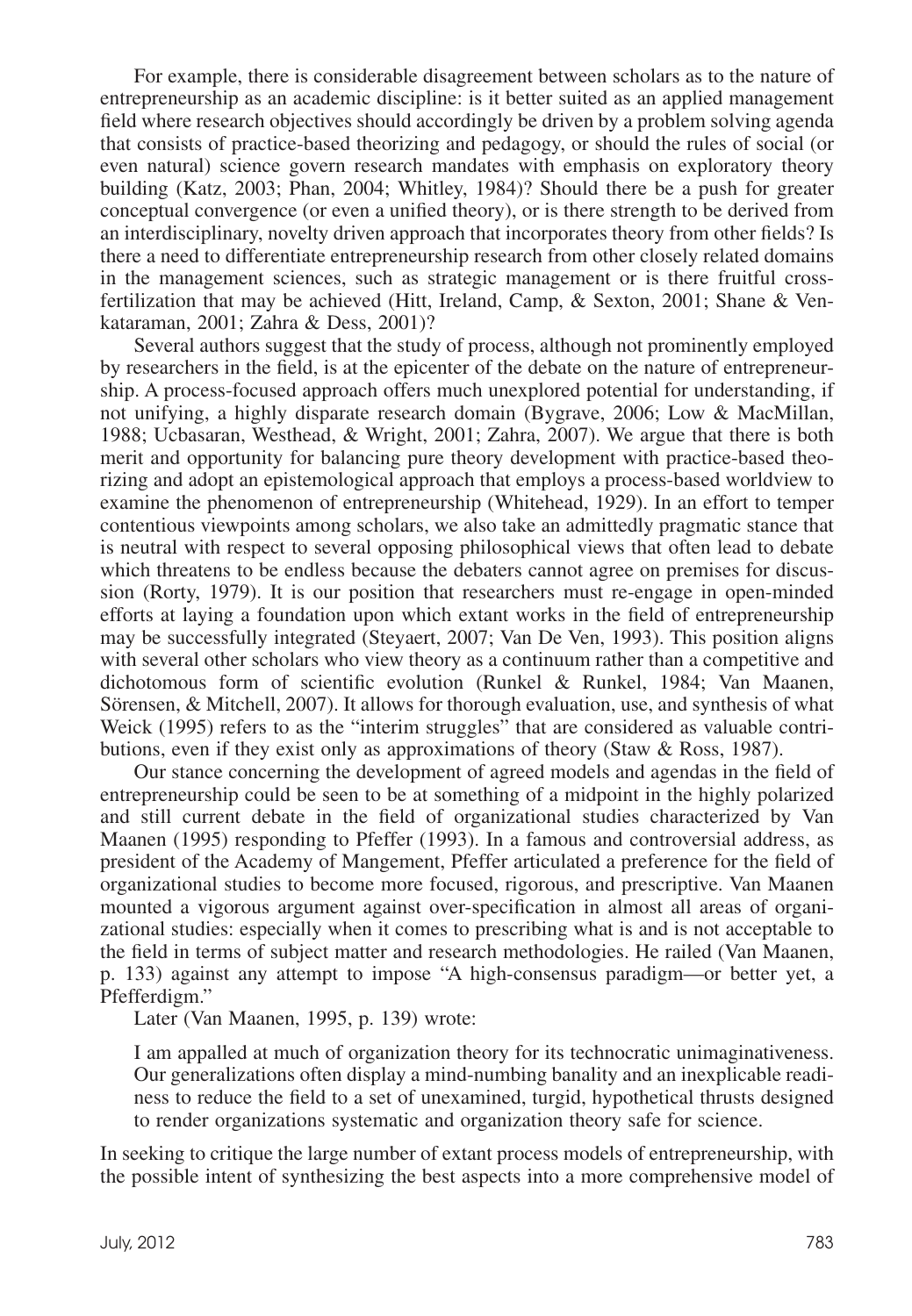For example, there is considerable disagreement between scholars as to the nature of entrepreneurship as an academic discipline: is it better suited as an applied management field where research objectives should accordingly be driven by a problem solving agenda that consists of practice-based theorizing and pedagogy, or should the rules of social (or even natural) science govern research mandates with emphasis on exploratory theory building (Katz, 2003; Phan, 2004; Whitley, 1984)? Should there be a push for greater conceptual convergence (or even a unified theory), or is there strength to be derived from an interdisciplinary, novelty driven approach that incorporates theory from other fields? Is there a need to differentiate entrepreneurship research from other closely related domains in the management sciences, such as strategic management or is there fruitful crossfertilization that may be achieved (Hitt, Ireland, Camp, & Sexton, 2001; Shane & Venkataraman, 2001; Zahra & Dess, 2001)?

Several authors suggest that the study of process, although not prominently employed by researchers in the field, is at the epicenter of the debate on the nature of entrepreneurship. A process-focused approach offers much unexplored potential for understanding, if not unifying, a highly disparate research domain (Bygrave, 2006; Low & MacMillan, 1988; Ucbasaran, Westhead, & Wright, 2001; Zahra, 2007). We argue that there is both merit and opportunity for balancing pure theory development with practice-based theorizing and adopt an epistemological approach that employs a process-based worldview to examine the phenomenon of entrepreneurship (Whitehead, 1929). In an effort to temper contentious viewpoints among scholars, we also take an admittedly pragmatic stance that is neutral with respect to several opposing philosophical views that often lead to debate which threatens to be endless because the debaters cannot agree on premises for discussion (Rorty, 1979). It is our position that researchers must re-engage in open-minded efforts at laying a foundation upon which extant works in the field of entrepreneurship may be successfully integrated (Steyaert, 2007; Van De Ven, 1993). This position aligns with several other scholars who view theory as a continuum rather than a competitive and dichotomous form of scientific evolution (Runkel & Runkel, 1984; Van Maanen, Sörensen, & Mitchell, 2007). It allows for thorough evaluation, use, and synthesis of what Weick (1995) refers to as the "interim struggles" that are considered as valuable contributions, even if they exist only as approximations of theory (Staw & Ross, 1987).

Our stance concerning the development of agreed models and agendas in the field of entrepreneurship could be seen to be at something of a midpoint in the highly polarized and still current debate in the field of organizational studies characterized by Van Maanen (1995) responding to Pfeffer (1993). In a famous and controversial address, as president of the Academy of Mangement, Pfeffer articulated a preference for the field of organizational studies to become more focused, rigorous, and prescriptive. Van Maanen mounted a vigorous argument against over-specification in almost all areas of organizational studies: especially when it comes to prescribing what is and is not acceptable to the field in terms of subject matter and research methodologies. He railed (Van Maanen, p. 133) against any attempt to impose "A high-consensus paradigm—or better yet, a Pfefferdigm."

Later (Van Maanen, 1995, p. 139) wrote:

I am appalled at much of organization theory for its technocratic unimaginativeness. Our generalizations often display a mind-numbing banality and an inexplicable readiness to reduce the field to a set of unexamined, turgid, hypothetical thrusts designed to render organizations systematic and organization theory safe for science.

In seeking to critique the large number of extant process models of entrepreneurship, with the possible intent of synthesizing the best aspects into a more comprehensive model of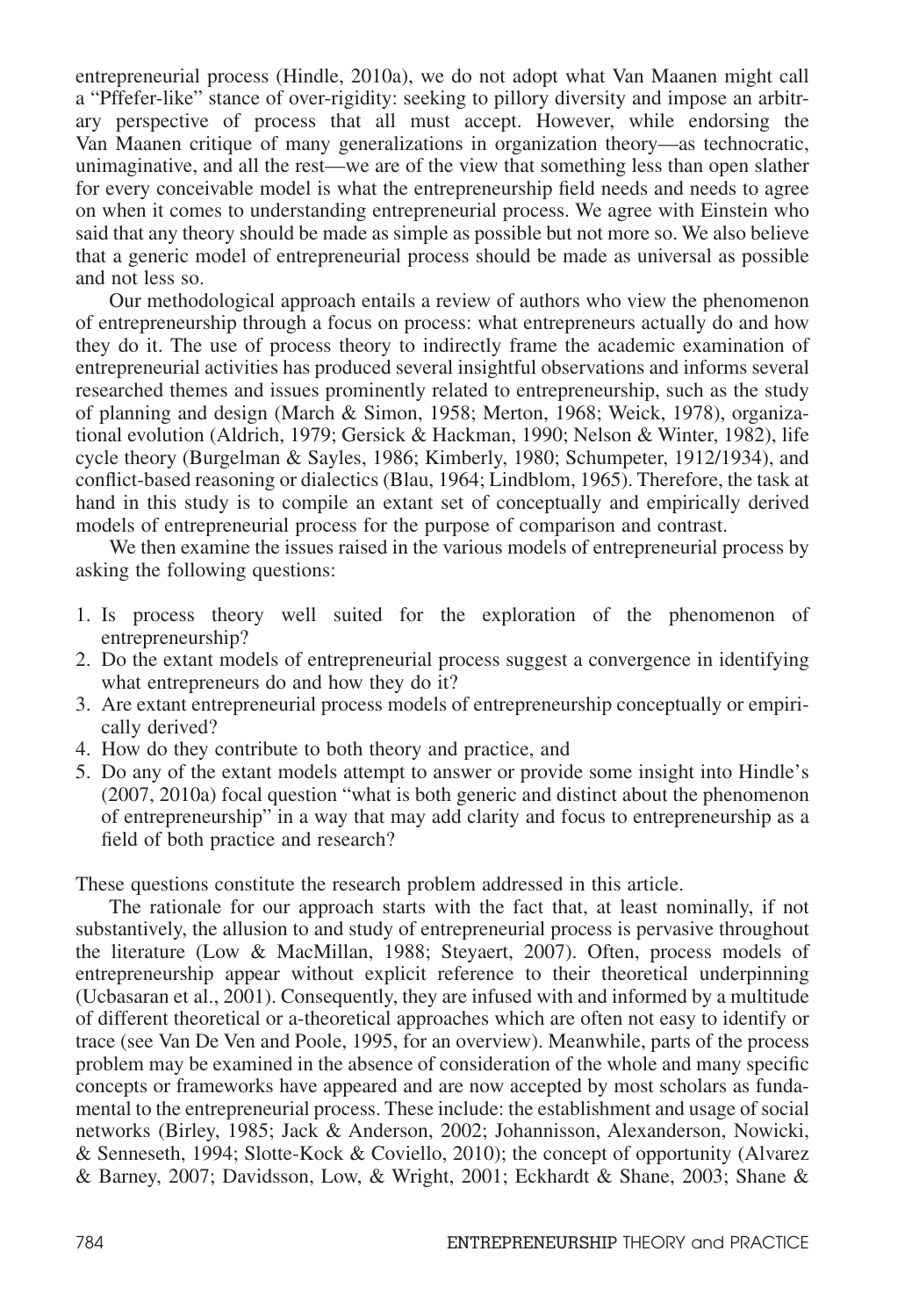entrepreneurial process (Hindle, 2010a), we do not adopt what Van Maanen might call a "Pffefer-like" stance of over-rigidity: seeking to pillory diversity and impose an arbitrary perspective of process that all must accept. However, while endorsing the Van Maanen critique of many generalizations in organization theory—as technocratic, unimaginative, and all the rest—we are of the view that something less than open slather for every conceivable model is what the entrepreneurship field needs and needs to agree on when it comes to understanding entrepreneurial process. We agree with Einstein who said that any theory should be made as simple as possible but not more so. We also believe that a generic model of entrepreneurial process should be made as universal as possible and not less so.

Our methodological approach entails a review of authors who view the phenomenon of entrepreneurship through a focus on process: what entrepreneurs actually do and how they do it. The use of process theory to indirectly frame the academic examination of entrepreneurial activities has produced several insightful observations and informs several researched themes and issues prominently related to entrepreneurship, such as the study of planning and design (March & Simon, 1958; Merton, 1968; Weick, 1978), organizational evolution (Aldrich, 1979; Gersick & Hackman, 1990; Nelson & Winter, 1982), life cycle theory (Burgelman & Sayles, 1986; Kimberly, 1980; Schumpeter, 1912/1934), and conflict-based reasoning or dialectics (Blau, 1964; Lindblom, 1965). Therefore, the task at hand in this study is to compile an extant set of conceptually and empirically derived models of entrepreneurial process for the purpose of comparison and contrast.

We then examine the issues raised in the various models of entrepreneurial process by asking the following questions:

- 1. Is process theory well suited for the exploration of the phenomenon of entrepreneurship?
- 2. Do the extant models of entrepreneurial process suggest a convergence in identifying what entrepreneurs do and how they do it?
- 3. Are extant entrepreneurial process models of entrepreneurship conceptually or empirically derived?
- 4. How do they contribute to both theory and practice, and
- 5. Do any of the extant models attempt to answer or provide some insight into Hindle's (2007, 2010a) focal question "what is both generic and distinct about the phenomenon of entrepreneurship" in a way that may add clarity and focus to entrepreneurship as a field of both practice and research?

These questions constitute the research problem addressed in this article.

The rationale for our approach starts with the fact that, at least nominally, if not substantively, the allusion to and study of entrepreneurial process is pervasive throughout the literature (Low & MacMillan, 1988; Steyaert, 2007). Often, process models of entrepreneurship appear without explicit reference to their theoretical underpinning (Ucbasaran et al., 2001). Consequently, they are infused with and informed by a multitude of different theoretical or a-theoretical approaches which are often not easy to identify or trace (see Van De Ven and Poole, 1995, for an overview). Meanwhile, parts of the process problem may be examined in the absence of consideration of the whole and many specific concepts or frameworks have appeared and are now accepted by most scholars as fundamental to the entrepreneurial process. These include: the establishment and usage of social networks (Birley, 1985; Jack & Anderson, 2002; Johannisson, Alexanderson, Nowicki, & Senneseth, 1994; Slotte-Kock & Coviello, 2010); the concept of opportunity (Alvarez & Barney, 2007; Davidsson, Low, & Wright, 2001; Eckhardt & Shane, 2003; Shane &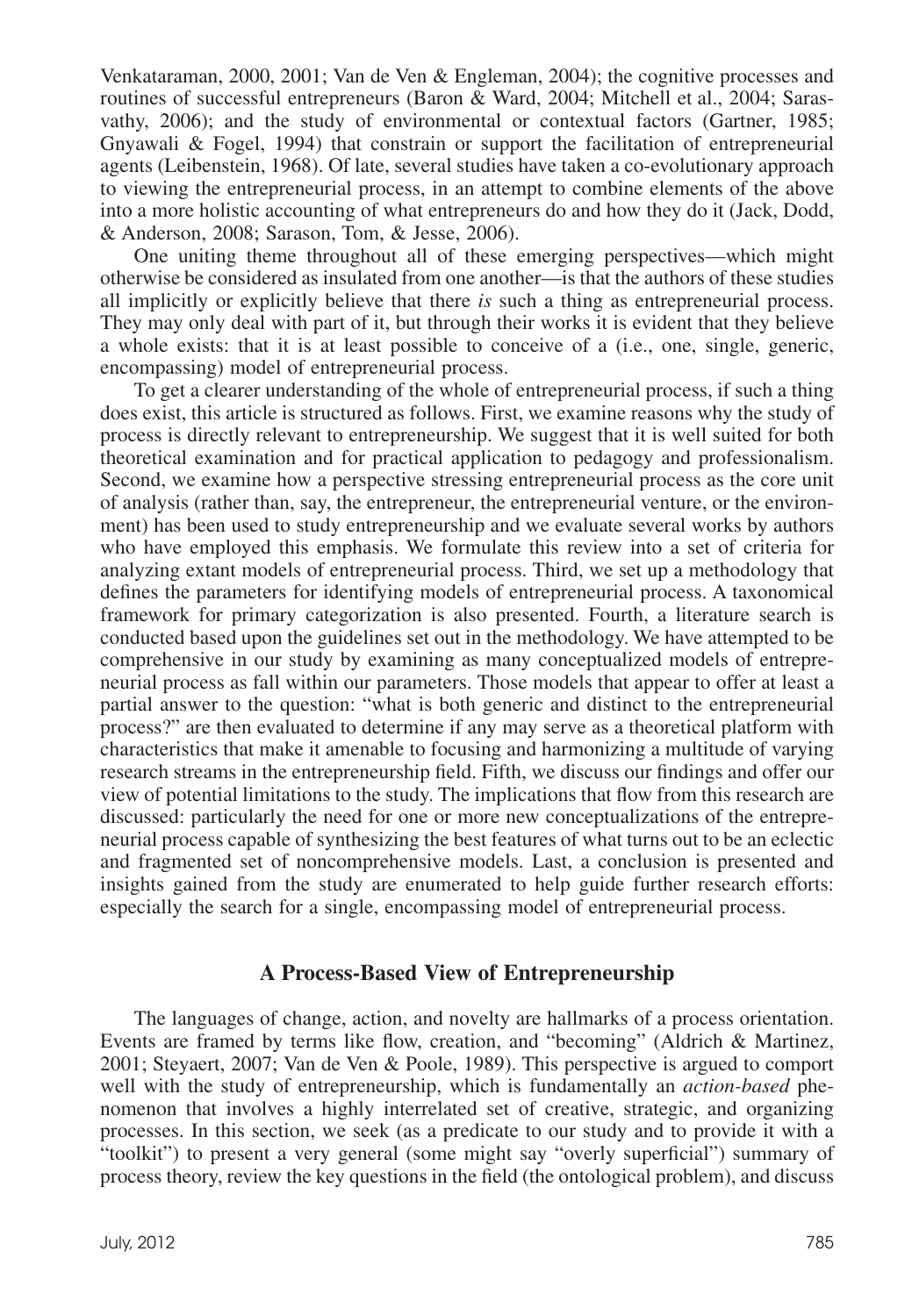Venkataraman, 2000, 2001; Van de Ven & Engleman, 2004); the cognitive processes and routines of successful entrepreneurs (Baron & Ward, 2004; Mitchell et al., 2004; Sarasvathy, 2006); and the study of environmental or contextual factors (Gartner, 1985; Gnyawali & Fogel, 1994) that constrain or support the facilitation of entrepreneurial agents (Leibenstein, 1968). Of late, several studies have taken a co-evolutionary approach to viewing the entrepreneurial process, in an attempt to combine elements of the above into a more holistic accounting of what entrepreneurs do and how they do it (Jack, Dodd, & Anderson, 2008; Sarason, Tom, & Jesse, 2006).

One uniting theme throughout all of these emerging perspectives—which might otherwise be considered as insulated from one another—is that the authors of these studies all implicitly or explicitly believe that there *is* such a thing as entrepreneurial process. They may only deal with part of it, but through their works it is evident that they believe a whole exists: that it is at least possible to conceive of a (i.e., one, single, generic, encompassing) model of entrepreneurial process.

To get a clearer understanding of the whole of entrepreneurial process, if such a thing does exist, this article is structured as follows. First, we examine reasons why the study of process is directly relevant to entrepreneurship. We suggest that it is well suited for both theoretical examination and for practical application to pedagogy and professionalism. Second, we examine how a perspective stressing entrepreneurial process as the core unit of analysis (rather than, say, the entrepreneur, the entrepreneurial venture, or the environment) has been used to study entrepreneurship and we evaluate several works by authors who have employed this emphasis. We formulate this review into a set of criteria for analyzing extant models of entrepreneurial process. Third, we set up a methodology that defines the parameters for identifying models of entrepreneurial process. A taxonomical framework for primary categorization is also presented. Fourth, a literature search is conducted based upon the guidelines set out in the methodology. We have attempted to be comprehensive in our study by examining as many conceptualized models of entrepreneurial process as fall within our parameters. Those models that appear to offer at least a partial answer to the question: "what is both generic and distinct to the entrepreneurial process?" are then evaluated to determine if any may serve as a theoretical platform with characteristics that make it amenable to focusing and harmonizing a multitude of varying research streams in the entrepreneurship field. Fifth, we discuss our findings and offer our view of potential limitations to the study. The implications that flow from this research are discussed: particularly the need for one or more new conceptualizations of the entrepreneurial process capable of synthesizing the best features of what turns out to be an eclectic and fragmented set of noncomprehensive models. Last, a conclusion is presented and insights gained from the study are enumerated to help guide further research efforts: especially the search for a single, encompassing model of entrepreneurial process.

#### **A Process-Based View of Entrepreneurship**

The languages of change, action, and novelty are hallmarks of a process orientation. Events are framed by terms like flow, creation, and "becoming" (Aldrich & Martinez, 2001; Steyaert, 2007; Van de Ven & Poole, 1989). This perspective is argued to comport well with the study of entrepreneurship, which is fundamentally an *action-based* phenomenon that involves a highly interrelated set of creative, strategic, and organizing processes. In this section, we seek (as a predicate to our study and to provide it with a "toolkit") to present a very general (some might say "overly superficial") summary of process theory, review the key questions in the field (the ontological problem), and discuss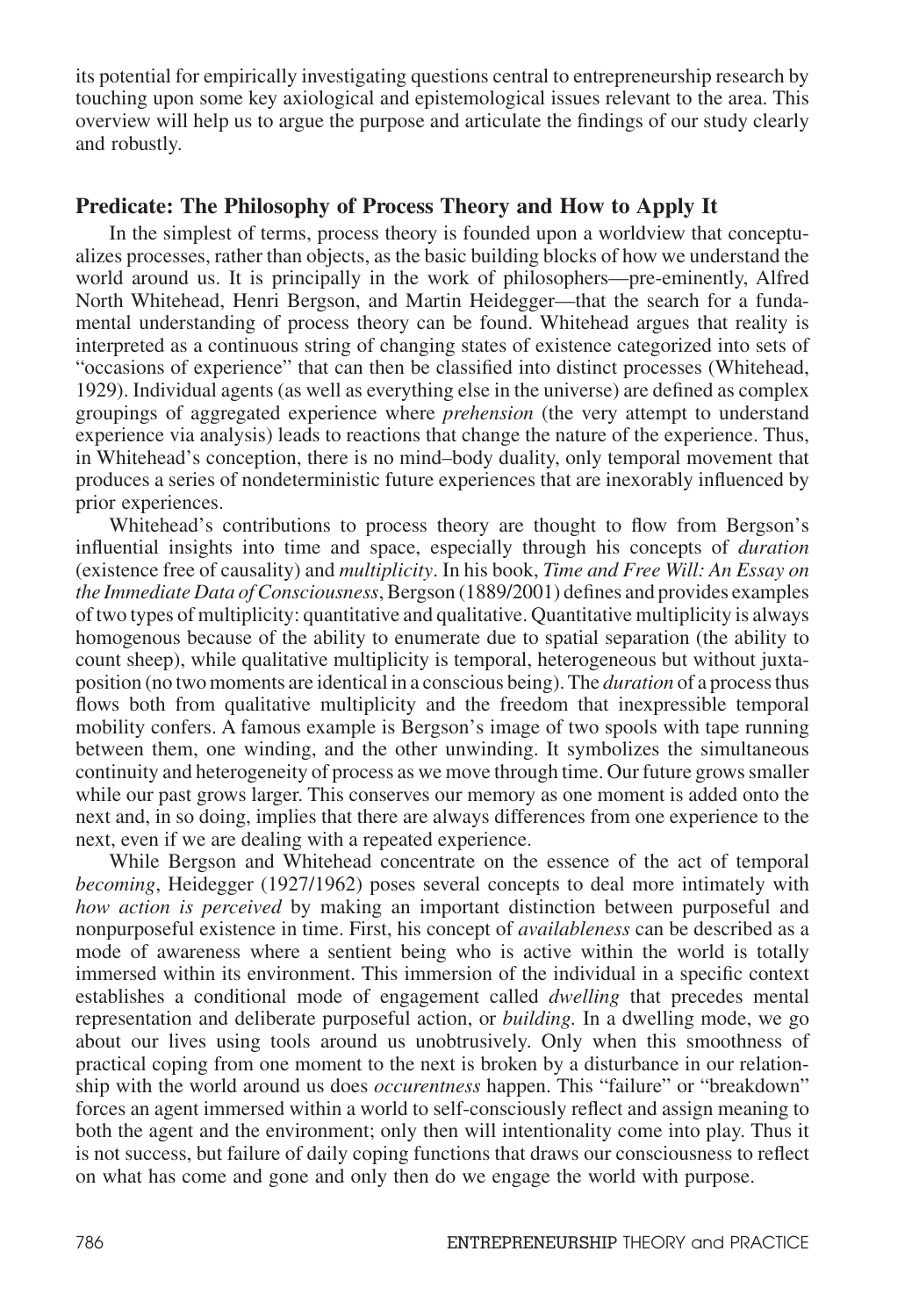its potential for empirically investigating questions central to entrepreneurship research by touching upon some key axiological and epistemological issues relevant to the area. This overview will help us to argue the purpose and articulate the findings of our study clearly and robustly.

#### **Predicate: The Philosophy of Process Theory and How to Apply It**

In the simplest of terms, process theory is founded upon a worldview that conceptualizes processes, rather than objects, as the basic building blocks of how we understand the world around us. It is principally in the work of philosophers—pre-eminently, Alfred North Whitehead, Henri Bergson, and Martin Heidegger—that the search for a fundamental understanding of process theory can be found. Whitehead argues that reality is interpreted as a continuous string of changing states of existence categorized into sets of "occasions of experience" that can then be classified into distinct processes (Whitehead, 1929). Individual agents (as well as everything else in the universe) are defined as complex groupings of aggregated experience where *prehension* (the very attempt to understand experience via analysis) leads to reactions that change the nature of the experience. Thus, in Whitehead's conception, there is no mind–body duality, only temporal movement that produces a series of nondeterministic future experiences that are inexorably influenced by prior experiences.

Whitehead's contributions to process theory are thought to flow from Bergson's influential insights into time and space, especially through his concepts of *duration* (existence free of causality) and *multiplicity*. In his book, *Time and Free Will: An Essay on the Immediate Data of Consciousness*, Bergson (1889/2001) defines and provides examples of two types of multiplicity: quantitative and qualitative. Quantitative multiplicity is always homogenous because of the ability to enumerate due to spatial separation (the ability to count sheep), while qualitative multiplicity is temporal, heterogeneous but without juxtaposition (no two moments are identical in a conscious being). The *duration* of a process thus flows both from qualitative multiplicity and the freedom that inexpressible temporal mobility confers. A famous example is Bergson's image of two spools with tape running between them, one winding, and the other unwinding. It symbolizes the simultaneous continuity and heterogeneity of process as we move through time. Our future grows smaller while our past grows larger. This conserves our memory as one moment is added onto the next and, in so doing, implies that there are always differences from one experience to the next, even if we are dealing with a repeated experience.

While Bergson and Whitehead concentrate on the essence of the act of temporal *becoming*, Heidegger (1927/1962) poses several concepts to deal more intimately with *how action is perceived* by making an important distinction between purposeful and nonpurposeful existence in time. First, his concept of *availableness* can be described as a mode of awareness where a sentient being who is active within the world is totally immersed within its environment. This immersion of the individual in a specific context establishes a conditional mode of engagement called *dwelling* that precedes mental representation and deliberate purposeful action, or *building.* In a dwelling mode, we go about our lives using tools around us unobtrusively. Only when this smoothness of practical coping from one moment to the next is broken by a disturbance in our relationship with the world around us does *occurentness* happen. This "failure" or "breakdown" forces an agent immersed within a world to self-consciously reflect and assign meaning to both the agent and the environment; only then will intentionality come into play. Thus it is not success, but failure of daily coping functions that draws our consciousness to reflect on what has come and gone and only then do we engage the world with purpose.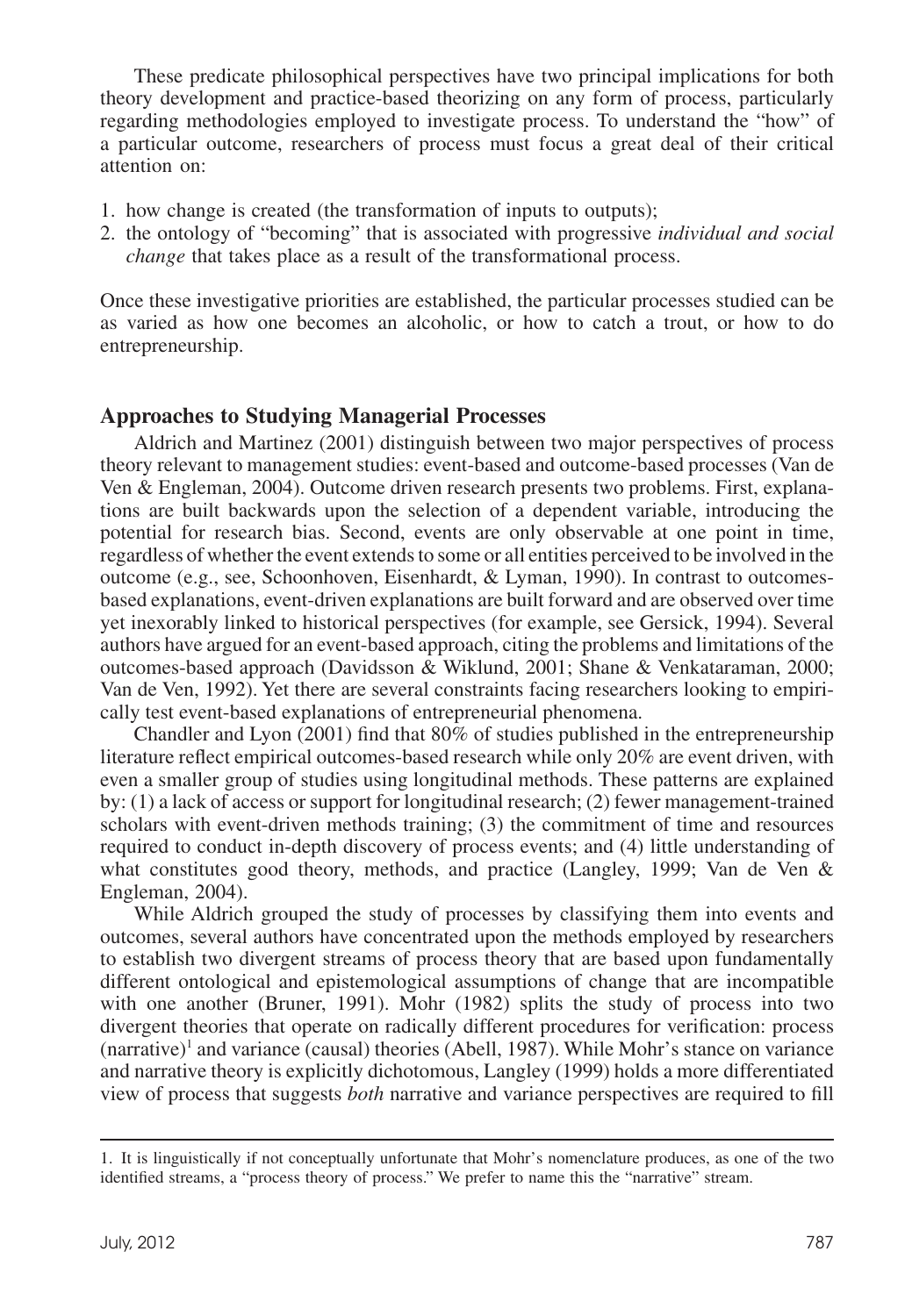These predicate philosophical perspectives have two principal implications for both theory development and practice-based theorizing on any form of process, particularly regarding methodologies employed to investigate process. To understand the "how" of a particular outcome, researchers of process must focus a great deal of their critical attention on:

- 1. how change is created (the transformation of inputs to outputs);
- 2. the ontology of "becoming" that is associated with progressive *individual and social change* that takes place as a result of the transformational process.

Once these investigative priorities are established, the particular processes studied can be as varied as how one becomes an alcoholic, or how to catch a trout, or how to do entrepreneurship.

## **Approaches to Studying Managerial Processes**

Aldrich and Martinez (2001) distinguish between two major perspectives of process theory relevant to management studies: event-based and outcome-based processes (Van de Ven & Engleman, 2004). Outcome driven research presents two problems. First, explanations are built backwards upon the selection of a dependent variable, introducing the potential for research bias. Second, events are only observable at one point in time, regardless of whether the event extends to some or all entities perceived to be involved in the outcome (e.g., see, Schoonhoven, Eisenhardt, & Lyman, 1990). In contrast to outcomesbased explanations, event-driven explanations are built forward and are observed over time yet inexorably linked to historical perspectives (for example, see Gersick, 1994). Several authors have argued for an event-based approach, citing the problems and limitations of the outcomes-based approach (Davidsson & Wiklund, 2001; Shane & Venkataraman, 2000; Van de Ven, 1992). Yet there are several constraints facing researchers looking to empirically test event-based explanations of entrepreneurial phenomena.

Chandler and Lyon (2001) find that 80% of studies published in the entrepreneurship literature reflect empirical outcomes-based research while only 20% are event driven, with even a smaller group of studies using longitudinal methods. These patterns are explained by: (1) a lack of access or support for longitudinal research; (2) fewer management-trained scholars with event-driven methods training; (3) the commitment of time and resources required to conduct in-depth discovery of process events; and (4) little understanding of what constitutes good theory, methods, and practice (Langley, 1999; Van de Ven & Engleman, 2004).

While Aldrich grouped the study of processes by classifying them into events and outcomes, several authors have concentrated upon the methods employed by researchers to establish two divergent streams of process theory that are based upon fundamentally different ontological and epistemological assumptions of change that are incompatible with one another (Bruner, 1991). Mohr (1982) splits the study of process into two divergent theories that operate on radically different procedures for verification: process  $($ narrative)<sup>1</sup> and variance (causal) theories (Abell, 1987). While Mohr's stance on varianceand narrative theory is explicitly dichotomous, Langley (1999) holds a more differentiated view of process that suggests *both* narrative and variance perspectives are required to fill

<sup>1.</sup> It is linguistically if not conceptually unfortunate that Mohr's nomenclature produces, as one of the two identified streams, a "process theory of process." We prefer to name this the "narrative" stream.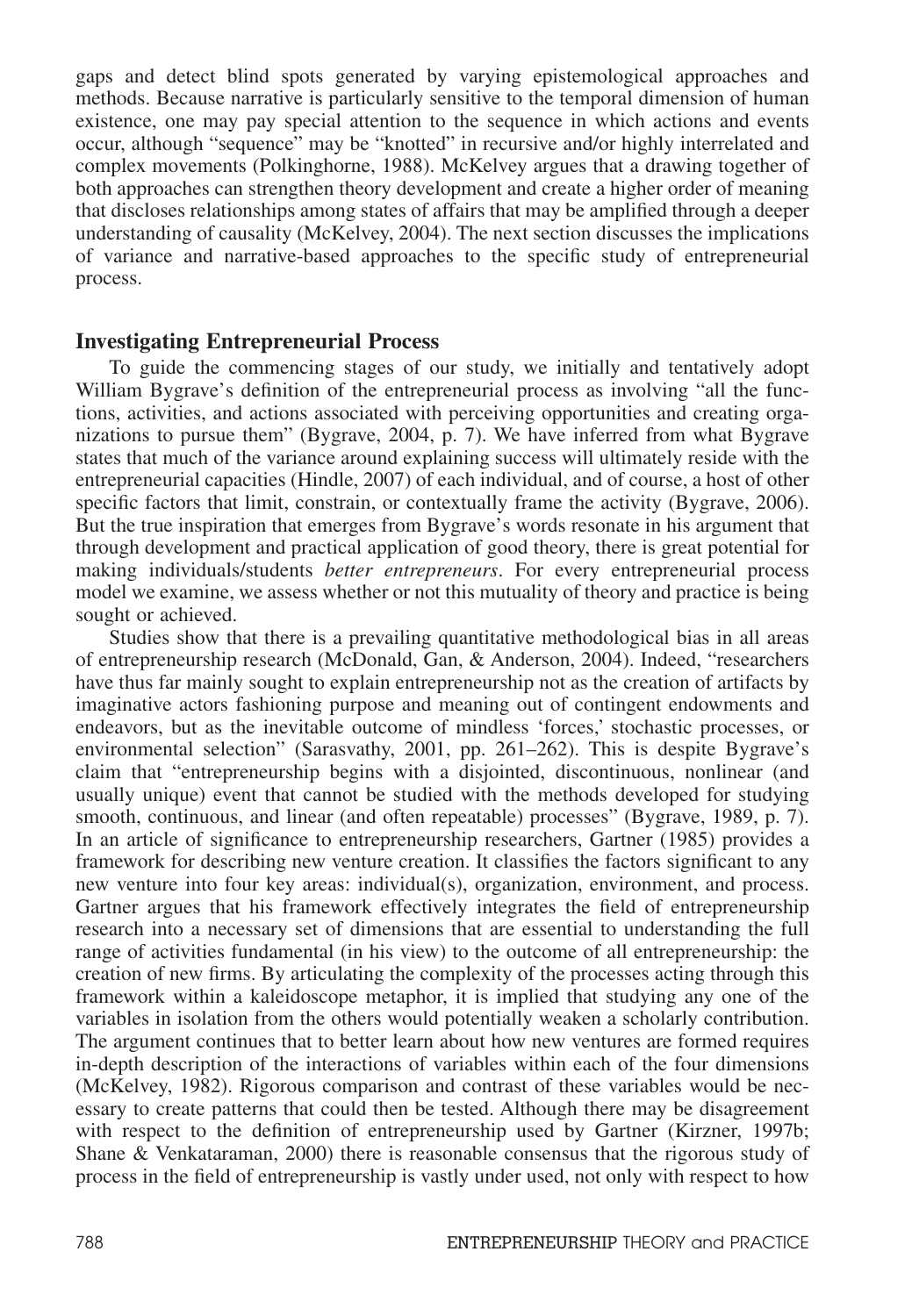gaps and detect blind spots generated by varying epistemological approaches and methods. Because narrative is particularly sensitive to the temporal dimension of human existence, one may pay special attention to the sequence in which actions and events occur, although "sequence" may be "knotted" in recursive and/or highly interrelated and complex movements (Polkinghorne, 1988). McKelvey argues that a drawing together of both approaches can strengthen theory development and create a higher order of meaning that discloses relationships among states of affairs that may be amplified through a deeper understanding of causality (McKelvey, 2004). The next section discusses the implications of variance and narrative-based approaches to the specific study of entrepreneurial process.

#### **Investigating Entrepreneurial Process**

To guide the commencing stages of our study, we initially and tentatively adopt William Bygrave's definition of the entrepreneurial process as involving "all the functions, activities, and actions associated with perceiving opportunities and creating organizations to pursue them" (Bygrave, 2004, p. 7). We have inferred from what Bygrave states that much of the variance around explaining success will ultimately reside with the entrepreneurial capacities (Hindle, 2007) of each individual, and of course, a host of other specific factors that limit, constrain, or contextually frame the activity (Bygrave, 2006). But the true inspiration that emerges from Bygrave's words resonate in his argument that through development and practical application of good theory, there is great potential for making individuals/students *better entrepreneurs*. For every entrepreneurial process model we examine, we assess whether or not this mutuality of theory and practice is being sought or achieved.

Studies show that there is a prevailing quantitative methodological bias in all areas of entrepreneurship research (McDonald, Gan, & Anderson, 2004). Indeed, "researchers have thus far mainly sought to explain entrepreneurship not as the creation of artifacts by imaginative actors fashioning purpose and meaning out of contingent endowments and endeavors, but as the inevitable outcome of mindless 'forces,' stochastic processes, or environmental selection" (Sarasvathy, 2001, pp. 261–262). This is despite Bygrave's claim that "entrepreneurship begins with a disjointed, discontinuous, nonlinear (and usually unique) event that cannot be studied with the methods developed for studying smooth, continuous, and linear (and often repeatable) processes" (Bygrave, 1989, p. 7). In an article of significance to entrepreneurship researchers, Gartner (1985) provides a framework for describing new venture creation. It classifies the factors significant to any new venture into four key areas: individual(s), organization, environment, and process. Gartner argues that his framework effectively integrates the field of entrepreneurship research into a necessary set of dimensions that are essential to understanding the full range of activities fundamental (in his view) to the outcome of all entrepreneurship: the creation of new firms. By articulating the complexity of the processes acting through this framework within a kaleidoscope metaphor, it is implied that studying any one of the variables in isolation from the others would potentially weaken a scholarly contribution. The argument continues that to better learn about how new ventures are formed requires in-depth description of the interactions of variables within each of the four dimensions (McKelvey, 1982). Rigorous comparison and contrast of these variables would be necessary to create patterns that could then be tested. Although there may be disagreement with respect to the definition of entrepreneurship used by Gartner (Kirzner, 1997b; Shane & Venkataraman, 2000) there is reasonable consensus that the rigorous study of process in the field of entrepreneurship is vastly under used, not only with respect to how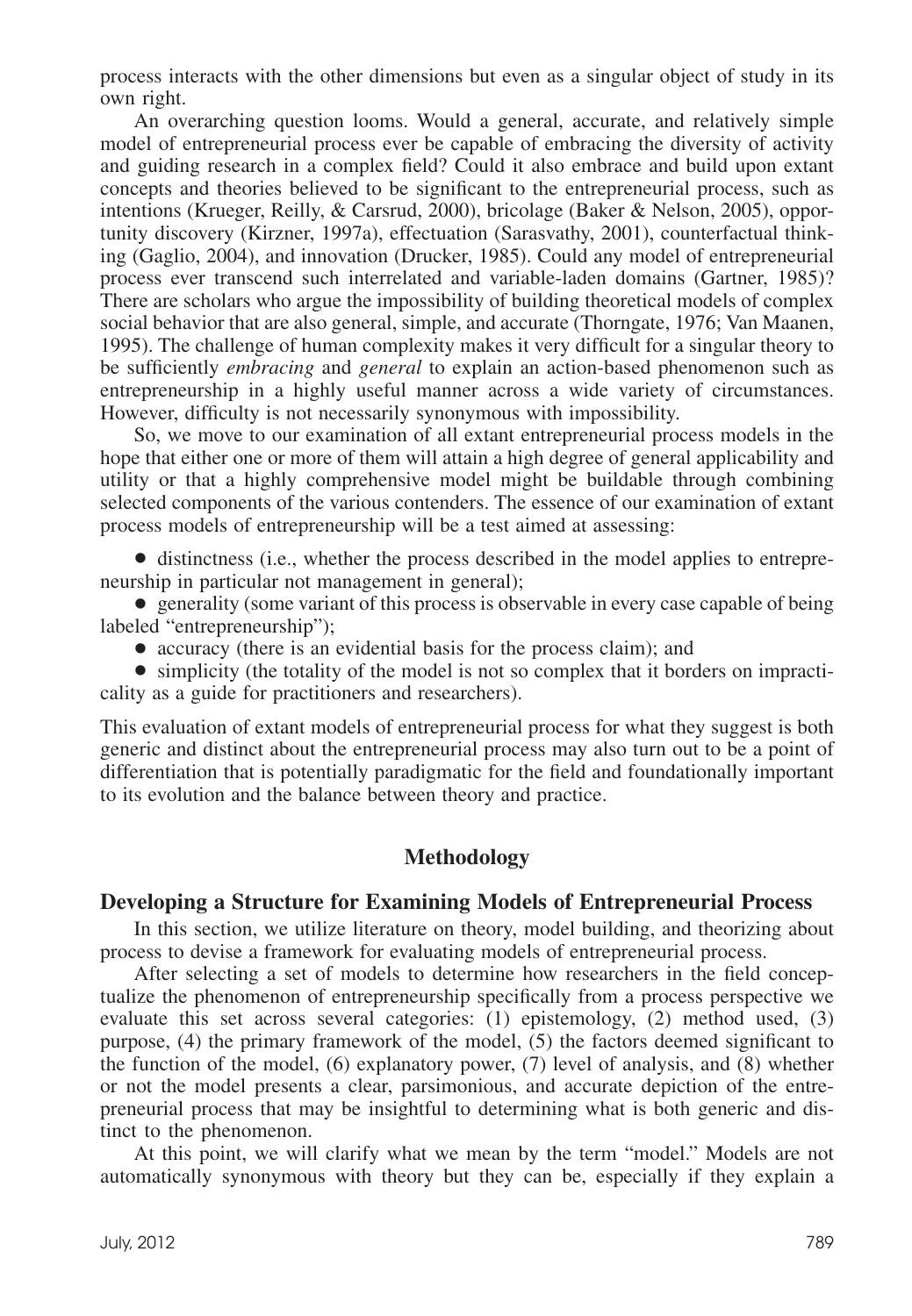process interacts with the other dimensions but even as a singular object of study in its own right.

An overarching question looms. Would a general, accurate, and relatively simple model of entrepreneurial process ever be capable of embracing the diversity of activity and guiding research in a complex field? Could it also embrace and build upon extant concepts and theories believed to be significant to the entrepreneurial process, such as intentions (Krueger, Reilly, & Carsrud, 2000), bricolage (Baker & Nelson, 2005), opportunity discovery (Kirzner, 1997a), effectuation (Sarasvathy, 2001), counterfactual thinking (Gaglio, 2004), and innovation (Drucker, 1985). Could any model of entrepreneurial process ever transcend such interrelated and variable-laden domains (Gartner, 1985)? There are scholars who argue the impossibility of building theoretical models of complex social behavior that are also general, simple, and accurate (Thorngate, 1976; Van Maanen, 1995). The challenge of human complexity makes it very difficult for a singular theory to be sufficiently *embracing* and *general* to explain an action-based phenomenon such as entrepreneurship in a highly useful manner across a wide variety of circumstances. However, difficulty is not necessarily synonymous with impossibility.

So, we move to our examination of all extant entrepreneurial process models in the hope that either one or more of them will attain a high degree of general applicability and utility or that a highly comprehensive model might be buildable through combining selected components of the various contenders. The essence of our examination of extant process models of entrepreneurship will be a test aimed at assessing:

• distinctness (i.e., whether the process described in the model applies to entrepreneurship in particular not management in general);

• generality (some variant of this process is observable in every case capable of being labeled "entrepreneurship");

• accuracy (there is an evidential basis for the process claim); and

• simplicity (the totality of the model is not so complex that it borders on impracticality as a guide for practitioners and researchers).

This evaluation of extant models of entrepreneurial process for what they suggest is both generic and distinct about the entrepreneurial process may also turn out to be a point of differentiation that is potentially paradigmatic for the field and foundationally important to its evolution and the balance between theory and practice.

## **Methodology**

#### **Developing a Structure for Examining Models of Entrepreneurial Process**

In this section, we utilize literature on theory, model building, and theorizing about process to devise a framework for evaluating models of entrepreneurial process.

After selecting a set of models to determine how researchers in the field conceptualize the phenomenon of entrepreneurship specifically from a process perspective we evaluate this set across several categories: (1) epistemology, (2) method used, (3) purpose, (4) the primary framework of the model, (5) the factors deemed significant to the function of the model, (6) explanatory power, (7) level of analysis, and (8) whether or not the model presents a clear, parsimonious, and accurate depiction of the entrepreneurial process that may be insightful to determining what is both generic and distinct to the phenomenon.

At this point, we will clarify what we mean by the term "model." Models are not automatically synonymous with theory but they can be, especially if they explain a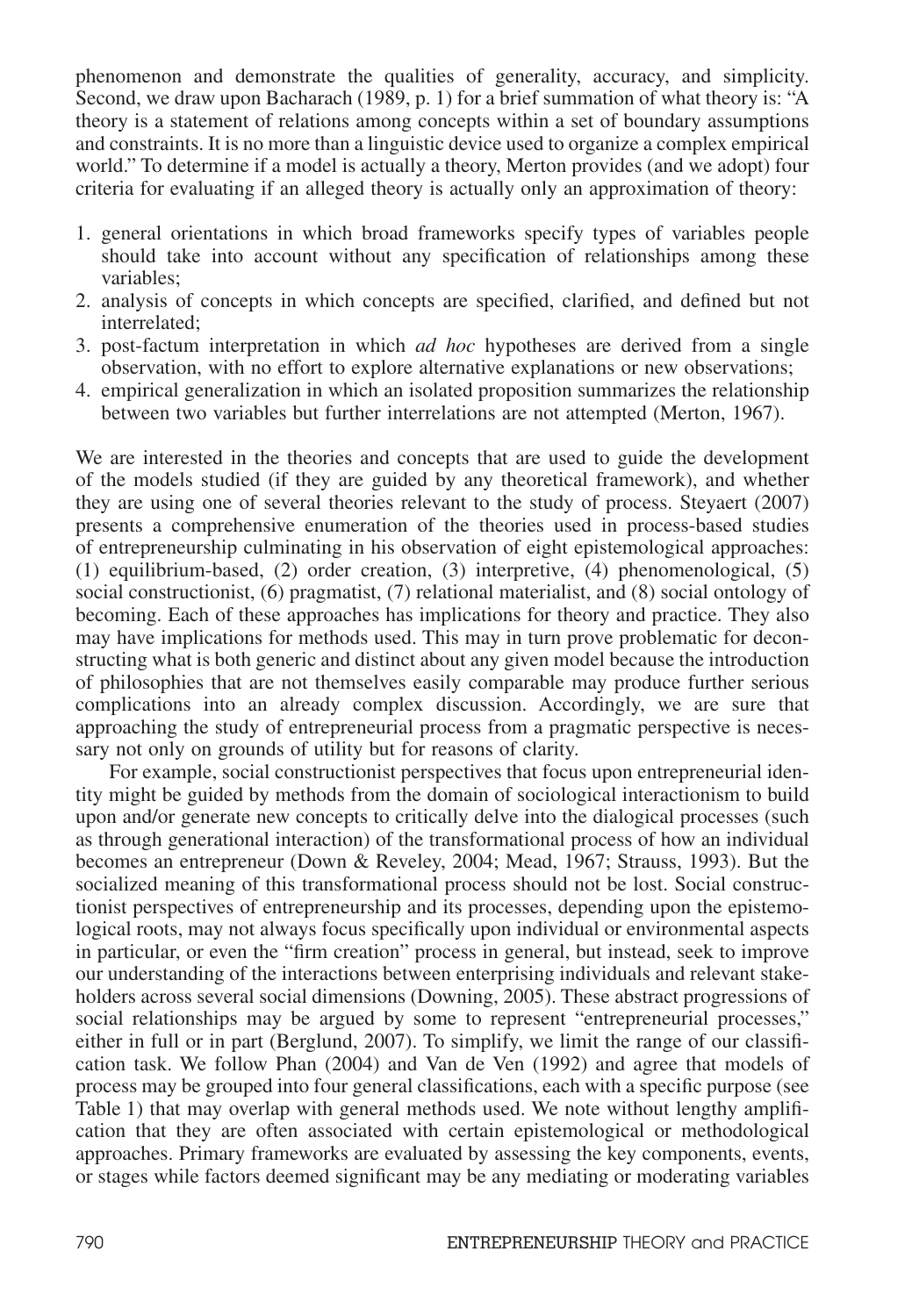phenomenon and demonstrate the qualities of generality, accuracy, and simplicity. Second, we draw upon Bacharach (1989, p. 1) for a brief summation of what theory is: "A theory is a statement of relations among concepts within a set of boundary assumptions and constraints. It is no more than a linguistic device used to organize a complex empirical world." To determine if a model is actually a theory, Merton provides (and we adopt) four criteria for evaluating if an alleged theory is actually only an approximation of theory:

- 1. general orientations in which broad frameworks specify types of variables people should take into account without any specification of relationships among these variables;
- 2. analysis of concepts in which concepts are specified, clarified, and defined but not interrelated;
- 3. post-factum interpretation in which *ad hoc* hypotheses are derived from a single observation, with no effort to explore alternative explanations or new observations;
- 4. empirical generalization in which an isolated proposition summarizes the relationship between two variables but further interrelations are not attempted (Merton, 1967).

We are interested in the theories and concepts that are used to guide the development of the models studied (if they are guided by any theoretical framework), and whether they are using one of several theories relevant to the study of process. Steyaert (2007) presents a comprehensive enumeration of the theories used in process-based studies of entrepreneurship culminating in his observation of eight epistemological approaches: (1) equilibrium-based, (2) order creation, (3) interpretive, (4) phenomenological, (5) social constructionist, (6) pragmatist, (7) relational materialist, and (8) social ontology of becoming. Each of these approaches has implications for theory and practice. They also may have implications for methods used. This may in turn prove problematic for deconstructing what is both generic and distinct about any given model because the introduction of philosophies that are not themselves easily comparable may produce further serious complications into an already complex discussion. Accordingly, we are sure that approaching the study of entrepreneurial process from a pragmatic perspective is necessary not only on grounds of utility but for reasons of clarity.

For example, social constructionist perspectives that focus upon entrepreneurial identity might be guided by methods from the domain of sociological interactionism to build upon and/or generate new concepts to critically delve into the dialogical processes (such as through generational interaction) of the transformational process of how an individual becomes an entrepreneur (Down & Reveley, 2004; Mead, 1967; Strauss, 1993). But the socialized meaning of this transformational process should not be lost. Social constructionist perspectives of entrepreneurship and its processes, depending upon the epistemological roots, may not always focus specifically upon individual or environmental aspects in particular, or even the "firm creation" process in general, but instead, seek to improve our understanding of the interactions between enterprising individuals and relevant stakeholders across several social dimensions (Downing, 2005). These abstract progressions of social relationships may be argued by some to represent "entrepreneurial processes," either in full or in part (Berglund, 2007). To simplify, we limit the range of our classification task. We follow Phan (2004) and Van de Ven (1992) and agree that models of process may be grouped into four general classifications, each with a specific purpose (see Table 1) that may overlap with general methods used. We note without lengthy amplification that they are often associated with certain epistemological or methodological approaches. Primary frameworks are evaluated by assessing the key components, events, or stages while factors deemed significant may be any mediating or moderating variables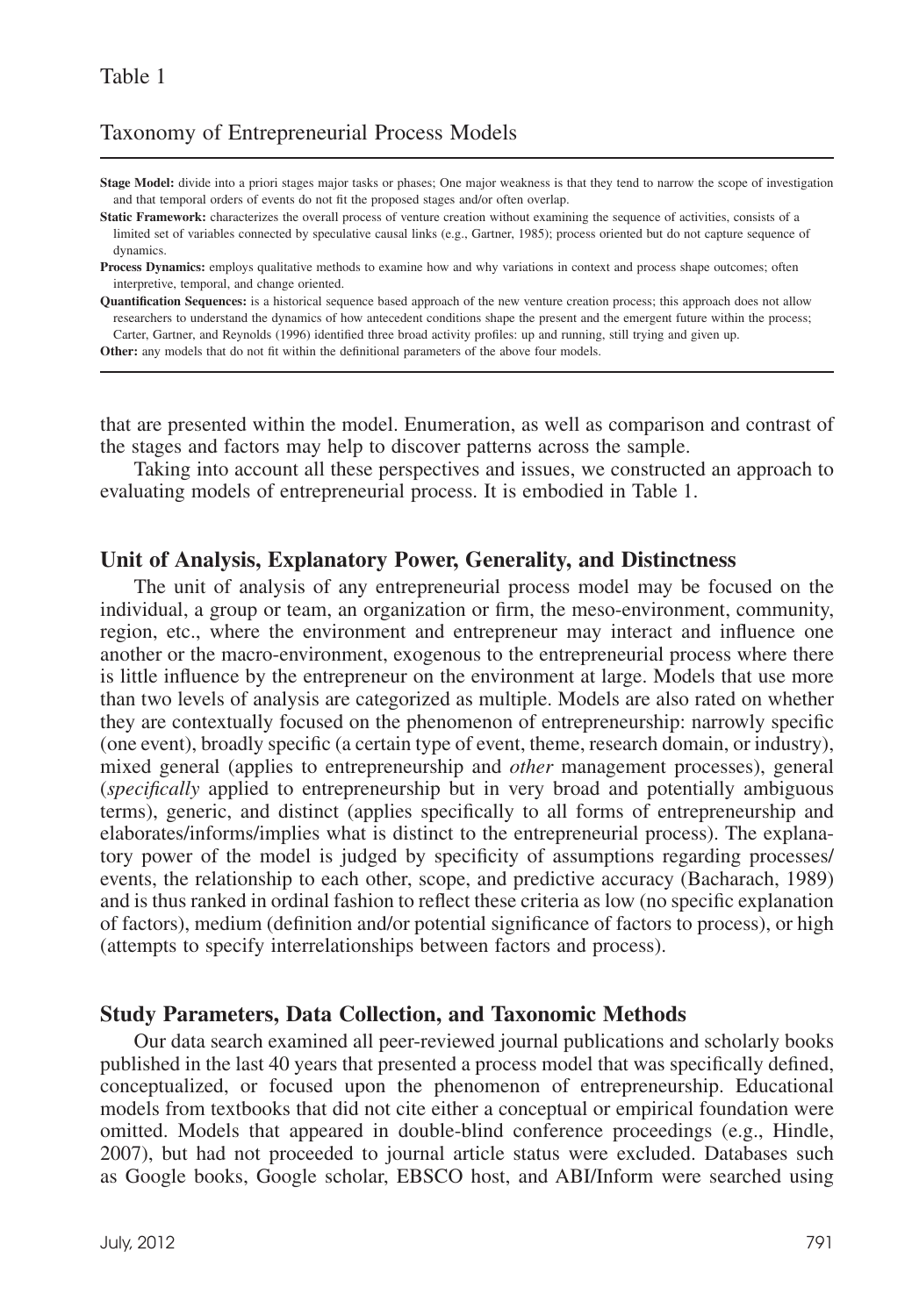## Table 1

# Taxonomy of Entrepreneurial Process Models

- **Stage Model:** divide into a priori stages major tasks or phases; One major weakness is that they tend to narrow the scope of investigation and that temporal orders of events do not fit the proposed stages and/or often overlap.
- **Static Framework:** characterizes the overall process of venture creation without examining the sequence of activities, consists of a limited set of variables connected by speculative causal links (e.g., Gartner, 1985); process oriented but do not capture sequence of dynamics.

**Process Dynamics:** employs qualitative methods to examine how and why variations in context and process shape outcomes; often interpretive, temporal, and change oriented.

**Quantification Sequences:** is a historical sequence based approach of the new venture creation process; this approach does not allow researchers to understand the dynamics of how antecedent conditions shape the present and the emergent future within the process; Carter, Gartner, and Reynolds (1996) identified three broad activity profiles: up and running, still trying and given up.

**Other:** any models that do not fit within the definitional parameters of the above four models.

that are presented within the model. Enumeration, as well as comparison and contrast of the stages and factors may help to discover patterns across the sample.

Taking into account all these perspectives and issues, we constructed an approach to evaluating models of entrepreneurial process. It is embodied in Table 1.

#### **Unit of Analysis, Explanatory Power, Generality, and Distinctness**

The unit of analysis of any entrepreneurial process model may be focused on the individual, a group or team, an organization or firm, the meso-environment, community, region, etc., where the environment and entrepreneur may interact and influence one another or the macro-environment, exogenous to the entrepreneurial process where there is little influence by the entrepreneur on the environment at large. Models that use more than two levels of analysis are categorized as multiple. Models are also rated on whether they are contextually focused on the phenomenon of entrepreneurship: narrowly specific (one event), broadly specific (a certain type of event, theme, research domain, or industry), mixed general (applies to entrepreneurship and *other* management processes), general (*specifically* applied to entrepreneurship but in very broad and potentially ambiguous terms), generic, and distinct (applies specifically to all forms of entrepreneurship and elaborates/informs/implies what is distinct to the entrepreneurial process). The explanatory power of the model is judged by specificity of assumptions regarding processes/ events, the relationship to each other, scope, and predictive accuracy (Bacharach, 1989) and is thus ranked in ordinal fashion to reflect these criteria as low (no specific explanation of factors), medium (definition and/or potential significance of factors to process), or high (attempts to specify interrelationships between factors and process).

#### **Study Parameters, Data Collection, and Taxonomic Methods**

Our data search examined all peer-reviewed journal publications and scholarly books published in the last 40 years that presented a process model that was specifically defined, conceptualized, or focused upon the phenomenon of entrepreneurship. Educational models from textbooks that did not cite either a conceptual or empirical foundation were omitted. Models that appeared in double-blind conference proceedings (e.g., Hindle, 2007), but had not proceeded to journal article status were excluded. Databases such as Google books, Google scholar, EBSCO host, and ABI/Inform were searched using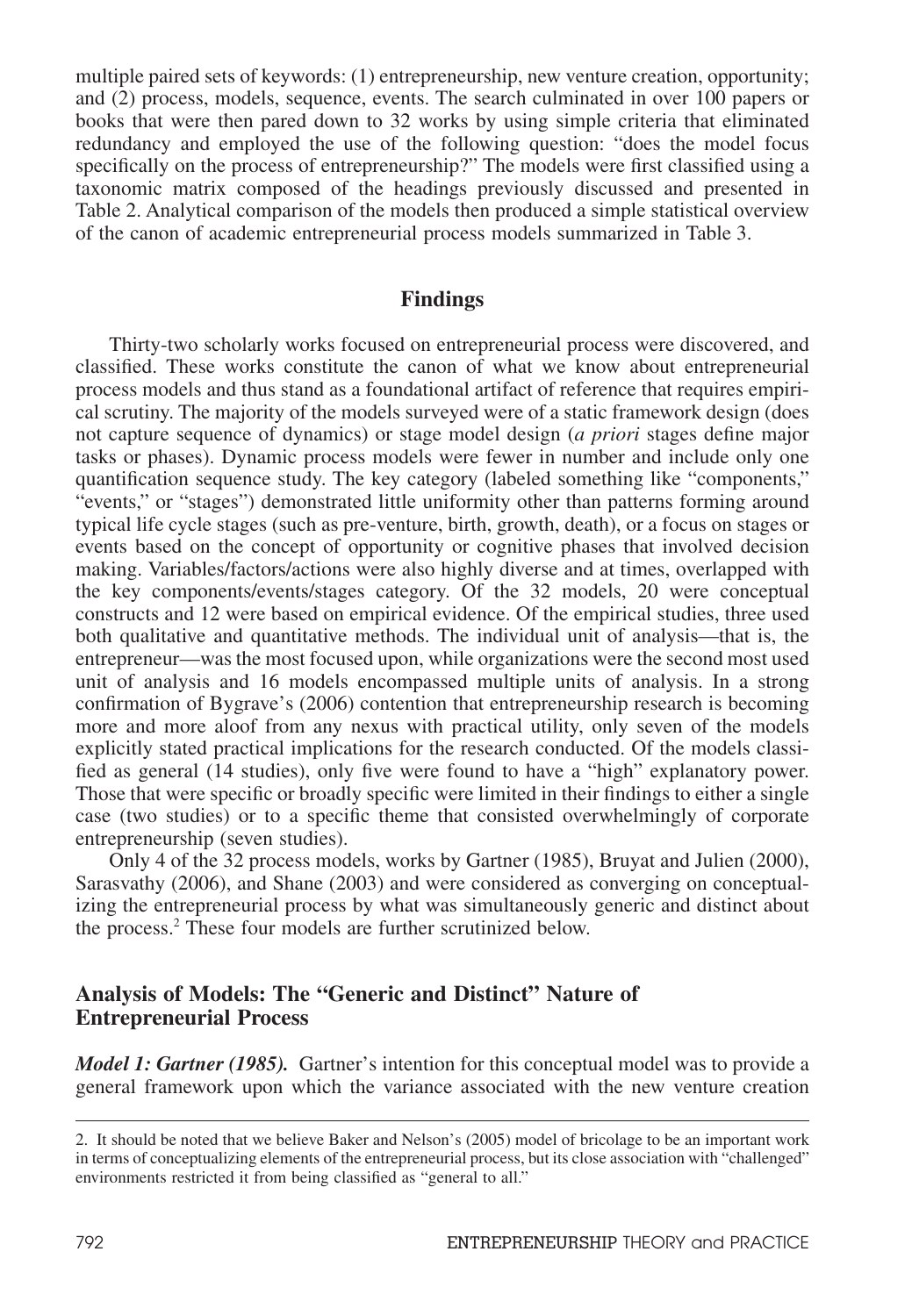multiple paired sets of keywords: (1) entrepreneurship, new venture creation, opportunity; and (2) process, models, sequence, events. The search culminated in over 100 papers or books that were then pared down to 32 works by using simple criteria that eliminated redundancy and employed the use of the following question: "does the model focus specifically on the process of entrepreneurship?" The models were first classified using a taxonomic matrix composed of the headings previously discussed and presented in Table 2. Analytical comparison of the models then produced a simple statistical overview of the canon of academic entrepreneurial process models summarized in Table 3.

#### **Findings**

Thirty-two scholarly works focused on entrepreneurial process were discovered, and classified. These works constitute the canon of what we know about entrepreneurial process models and thus stand as a foundational artifact of reference that requires empirical scrutiny. The majority of the models surveyed were of a static framework design (does not capture sequence of dynamics) or stage model design (*a priori* stages define major tasks or phases). Dynamic process models were fewer in number and include only one quantification sequence study. The key category (labeled something like "components," "events," or "stages") demonstrated little uniformity other than patterns forming around typical life cycle stages (such as pre-venture, birth, growth, death), or a focus on stages or events based on the concept of opportunity or cognitive phases that involved decision making. Variables/factors/actions were also highly diverse and at times, overlapped with the key components/events/stages category. Of the 32 models, 20 were conceptual constructs and 12 were based on empirical evidence. Of the empirical studies, three used both qualitative and quantitative methods. The individual unit of analysis—that is, the entrepreneur—was the most focused upon, while organizations were the second most used unit of analysis and 16 models encompassed multiple units of analysis. In a strong confirmation of Bygrave's (2006) contention that entrepreneurship research is becoming more and more aloof from any nexus with practical utility, only seven of the models explicitly stated practical implications for the research conducted. Of the models classified as general (14 studies), only five were found to have a "high" explanatory power. Those that were specific or broadly specific were limited in their findings to either a single case (two studies) or to a specific theme that consisted overwhelmingly of corporate entrepreneurship (seven studies).

Only 4 of the 32 process models, works by Gartner (1985), Bruyat and Julien (2000), Sarasvathy (2006), and Shane (2003) and were considered as converging on conceptualizing the entrepreneurial process by what was simultaneously generic and distinct about the process.2 These four models are further scrutinized below.

# **Analysis of Models: The "Generic and Distinct" Nature of Entrepreneurial Process**

*Model 1: Gartner (1985).* Gartner's intention for this conceptual model was to provide a general framework upon which the variance associated with the new venture creation

<sup>2.</sup> It should be noted that we believe Baker and Nelson's (2005) model of bricolage to be an important work in terms of conceptualizing elements of the entrepreneurial process, but its close association with "challenged" environments restricted it from being classified as "general to all."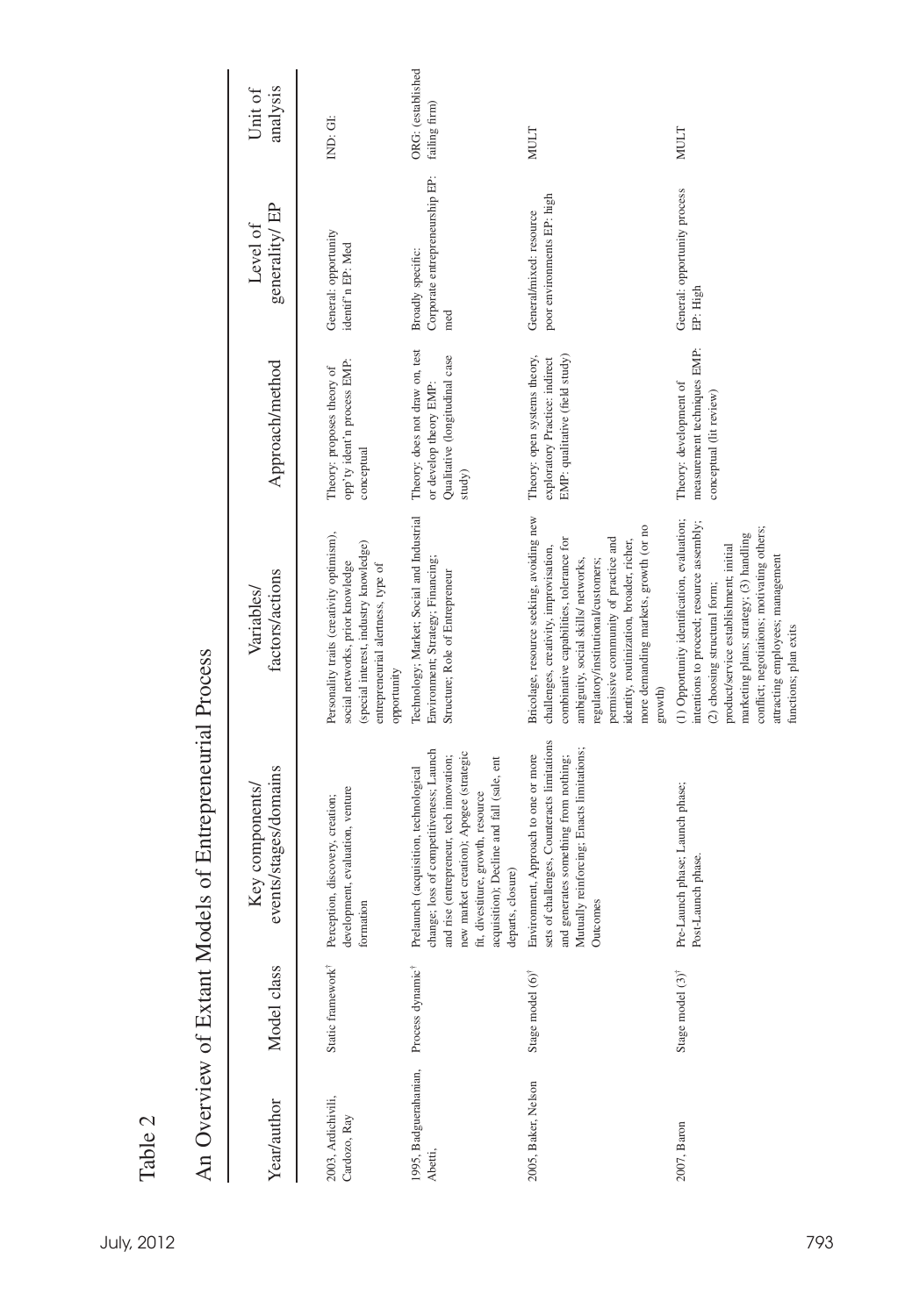| Year/author                        | Model class                   | events/stages/domains<br>Key components/                                                                                                                                                                                                                                        | factors/actions<br>Variables/                                                                                                                                                                                                                                                                                                                        | Approach/method                                                                                      | generality/EP<br>Level of                                  | analysis<br>Unit of                |
|------------------------------------|-------------------------------|---------------------------------------------------------------------------------------------------------------------------------------------------------------------------------------------------------------------------------------------------------------------------------|------------------------------------------------------------------------------------------------------------------------------------------------------------------------------------------------------------------------------------------------------------------------------------------------------------------------------------------------------|------------------------------------------------------------------------------------------------------|------------------------------------------------------------|------------------------------------|
| 2003, Ardichivili,<br>Cardozo, Ray | Static framework <sup>*</sup> | development, evaluation, venture<br>Perception, discovery, creation;<br>formation                                                                                                                                                                                               | Personality traits (creativity optimism),<br>(special interest, industry knowledge)<br>social networks, prior knowledge<br>entrepreneurial alertness, type of<br>opportunity                                                                                                                                                                         | opp'ty ident'n process EMP:<br>Theory: proposes theory of<br>conceptual                              | General: opportunity<br>identif'n EP: Med                  | IND: GI:                           |
| 1995, Badguerahanian,<br>Abetti,   | Process dynamic <sup>†</sup>  | change; loss of competitiveness; Launch<br>new market creation); Apogee (strategic<br>and rise (entrepreneur, tech innovation;<br>acquisition); Decline and fall (sale, ent<br>Prelaunch (acquisition, technological<br>fit, divestiture, growth, resource<br>leparts, closure) | Technology; Market; Social and Industrial<br>Environment; Strategy; Financing;<br>Structure; Role of Entrepreneur                                                                                                                                                                                                                                    | Theory: does not draw on, test<br>Qualitative (longitudinal case<br>or develop theory EMP:<br>study) | Corporate entrepreneurship EP:<br>Broadly specific:<br>med | ORG: (established<br>failing firm) |
| 2005, Baker, Nelson                | Stage model (6) <sup>*</sup>  | sets of challenges, Counteracts limitations<br>Mutually reinforcing; Enacts limitations;<br>Environment, Approach to one or more<br>and generates something from nothing;<br>Outcomes                                                                                           | Bricolage, resource seeking, avoiding new<br>more demanding markets, growth (or no<br>combinative capabilities, tolerance for<br>permissive community of practice and<br>identity, routinization, broader, richer,<br>challenges, creativity, improvisation,<br>regulatory/institutional/customers;<br>ambiguity, social skills/networks,<br>growth) | EMP: qualitative (field study)<br>Theory: open systems theory,<br>exploratory Practice: indirect     | poor environments EP: high<br>General/mixed: resource      | NULT                               |
| 2007, Baron                        | Stage model (3) <sup>*</sup>  | Pre-Launch phase; Launch phase;<br>Post-Launch phase                                                                                                                                                                                                                            | (1) Opportunity identification, evaluation;<br>intentions to proceed; resource assembly;<br>conflict; negotiations; motivating others;<br>marketing plans; strategy; (3) handling<br>product/service establishment; initial<br>attracting employees; management<br>(2) choosing structural form;<br>functions; plan exits                            | measurement techniques EMP:<br>Theory: development of<br>conceptual (lit review)                     | General: opportunity process<br>EP: High                   | NULT                               |

An Overview of Extant Models of Entrepreneurial Process An Overview of Extant Models of Entrepreneurial Process

Table 2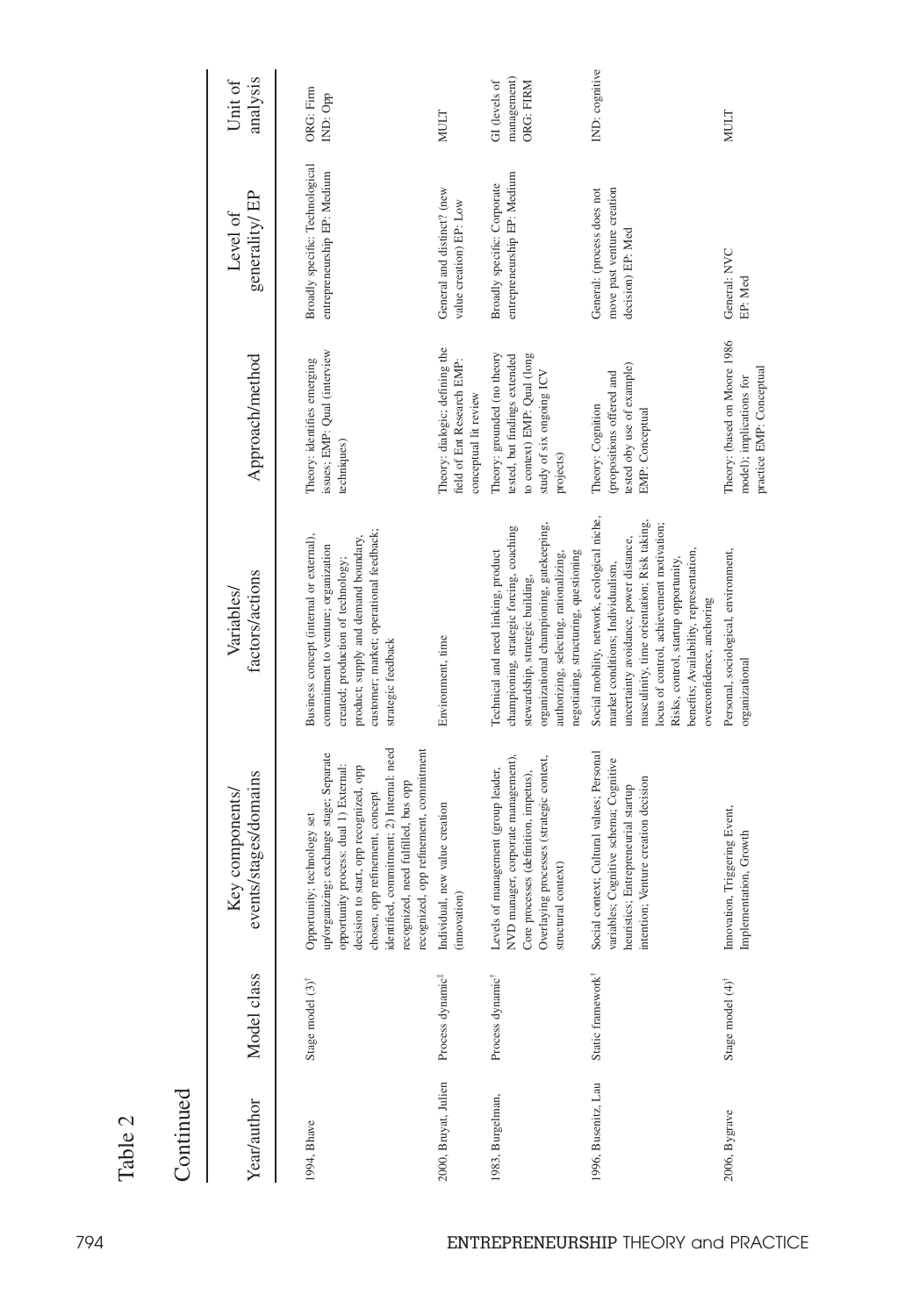| Year/author          | Model class                    | events/stages/domains<br>Key components/                                                                                                                                                                                                                                                                                    | factors/actions<br>Variables                                                                                                                                                                                                                                                                                                           | Approach/method                                                                                                                      | generality/EP<br>Level of                                                     | analysis<br>Unit of                       |
|----------------------|--------------------------------|-----------------------------------------------------------------------------------------------------------------------------------------------------------------------------------------------------------------------------------------------------------------------------------------------------------------------------|----------------------------------------------------------------------------------------------------------------------------------------------------------------------------------------------------------------------------------------------------------------------------------------------------------------------------------------|--------------------------------------------------------------------------------------------------------------------------------------|-------------------------------------------------------------------------------|-------------------------------------------|
| 1994, Bhave          | Stage model $(3)$ <sup>†</sup> | identified, commitment; 2) Internal: need<br>recognized, opp refinement, commitment<br>up/organizing; exchange stage; Separate<br>opportunity process: dual 1) External:<br>decision to start, opp recognized, opp<br>recognized, need fulfilled, bus opp<br>chosen, opp refinement, concept<br>Opportunity; technology set | customer; market; operational feedback;<br>Business concept (internal or external),<br>product; supply and demand boundary,<br>commitment to venture; organization<br>created; production of technology;<br>strategic feedback                                                                                                         | issues; EMP: Qual (interview<br>Theory: identifies emerging<br>techniques)                                                           | Broadly specific: Technological<br>entrepreneurship EP: Medium                | ORG: Firm<br>IND: Opp                     |
| 2000, Bruyat, Julien | Process dynamic <sup>#</sup>   | Individual, new value creation<br>(innovation)                                                                                                                                                                                                                                                                              | Environment, time                                                                                                                                                                                                                                                                                                                      | Theory: dialogic; defining the<br>field of Ent Research EMP:<br>conceptual lit review                                                | General and distinct? (new<br>value creation) EP: Low                         | <b>NULT</b>                               |
| 1983, Burgelman,     | Process dynamic                | NVD manager, corporate management),<br>Overlaying processes (strategic context,<br>Levels of management (group leader,<br>Core processes (definition, impetus),<br>structural context)                                                                                                                                      | organizational championing, gatekeeping,<br>championing, strategic forcing, coaching<br>Technical and need linking, product<br>negotiating, structuring, questioning<br>authorizing, selecting, rationalizing,<br>stewardship, strategic building,                                                                                     | to context) EMP: Qual (long<br>Theory: grounded (no theory<br>tested, but findings extended<br>study of six ongoing ICV<br>projects) | entrepreneurship EP: Medium<br>Broadly specific: Corporate                    | management)<br>GI (levels of<br>ORG: FIRM |
| 1996, Busenitz, Lau  | Static framework <sup>†</sup>  | Social context; Cultural values; Personal<br>variables; Cognitive schema; Cognitive<br>intention; Venture creation decision<br>heuristics; Entrepreneurial startup                                                                                                                                                          | Social mobility, network, ecological niche,<br>masculinity, time orientation; Risk taking,<br>locus of control, achievement motivation;<br>uncertainty avoidance, power distance,<br>benefits; Availability, representation,<br>Risks, control, startup opportunity,<br>market conditions; Individualism,<br>overconfidence, anchoring | tested oby use of example)<br>propositions offered and<br>Theory: Cognition<br>EMP: Conceptual                                       | move past venture creation<br>General: (process does not<br>decision) EP: Med | IND: cognitive                            |
| 2006, Bygrave        | Stage model (4) <sup>†</sup>   | Innovation, Triggering Event,<br>Implementation, Growth                                                                                                                                                                                                                                                                     | Personal, sociological, environment,<br>organizational                                                                                                                                                                                                                                                                                 | Theory: (based on Moore 1986<br>practice EMP: Conceptual<br>model); implications for                                                 | General: NVC<br>EP: Med                                                       | NULT                                      |

Table 2

Continued

Continued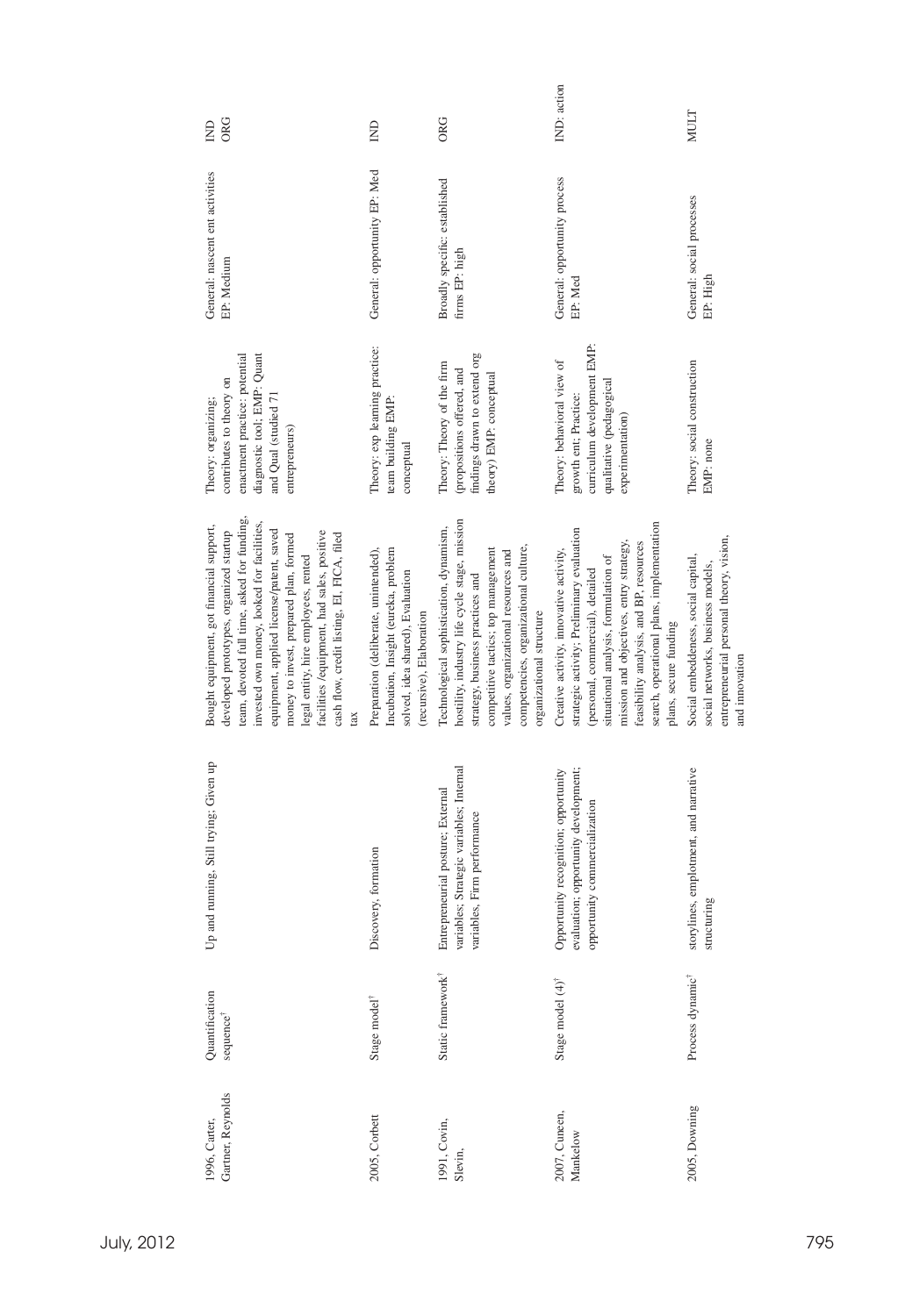| Gartner, Reynolds<br>1996, Carter, | Quantification<br>sequence    | Up and running, Still trying; Given up                                                                        | team, devoted full time, asked for funding<br>nvested own money, looked for facilities,<br>Bought equipment, got financial support,<br>equipment, applied license/patent, saved<br>developed prototypes, organized startup<br>facilities /equipment, had sales, positive<br>money to invest, prepared plan, formed<br>cash flow, credit listing, EI, FICA, filed<br>legal entity, hire employees, rented<br>tax | enactment practice: potential<br>diagnostic tool; EMP: Quant<br>contributes to theory on<br>and Qual (studied 71<br>Theory: organizing;<br>entrepreneurs) | General: nascent ent activities<br>EP: Medium   | ORG<br>$\overline{E}$ |
|------------------------------------|-------------------------------|---------------------------------------------------------------------------------------------------------------|-----------------------------------------------------------------------------------------------------------------------------------------------------------------------------------------------------------------------------------------------------------------------------------------------------------------------------------------------------------------------------------------------------------------|-----------------------------------------------------------------------------------------------------------------------------------------------------------|-------------------------------------------------|-----------------------|
| 2005, Corbett                      | Stage model <sup>†</sup>      | Discovery, formation                                                                                          | Incubation, Insight (eureka, problem<br>Preparation (deliberate, unintended),<br>solved, idea shared), Evaluation<br>(recursive), Elaboration                                                                                                                                                                                                                                                                   | Theory: exp learning practice:<br>team building EMP:<br>conceptual                                                                                        | General: opportunity EP: Med                    | $\mathsf{B}$          |
| 1991, Covin,<br>Slevin,            | Static framework <sup>*</sup> | variables; Strategic variables; Internal<br>Entrepreneurial posture; External<br>variables, Firm performance  | hostility, industry life cycle stage, mission<br>Technological sophistication, dynamism,<br>competencies, organizational culture,<br>competitive tactics; top management<br>values, organizational resources and<br>strategy, business practices and<br>organizational structure                                                                                                                                | findings drawn to extend org<br>Theory: Theory of the firm<br>propositions offered, and<br>theory) EMP: conceptual                                        | Broadly specific: established<br>firms EP: high | ORG                   |
| 2007, Cuneen,<br>Mankelow          | Stage model (4) <sup>†</sup>  | evaluation; opportunity development;<br>Opportunity recognition; opportunity<br>opportunity commercialization | search, operational plans, implementation<br>strategic activity; Preliminary evaluation<br>mission and objectives, entry strategy,<br>feasibility analysis, and BP, resources<br>Creative activity, innovative activity,<br>situational analysis, formulation of<br>(personal, commercial), detailed<br>plans, secure funding                                                                                   | curriculum development EMP:<br>Theory: behavioral view of<br>qualitative (pedagogical<br>growth ent; Practice:<br>experimentation                         | General: opportunity process<br>EP: Med         | IND: action           |
| 2005, Downing                      | Process dynamic <sup>*</sup>  | storylines, emplotment, and narrative<br>structuring                                                          | entrepreneurial personal theory, vision,<br>Social embeddeness, social capital.<br>social networks, business models,<br>and innovation                                                                                                                                                                                                                                                                          | Theory: social construction<br>EMP: none                                                                                                                  | General: social processes<br>EP: High           | NULT                  |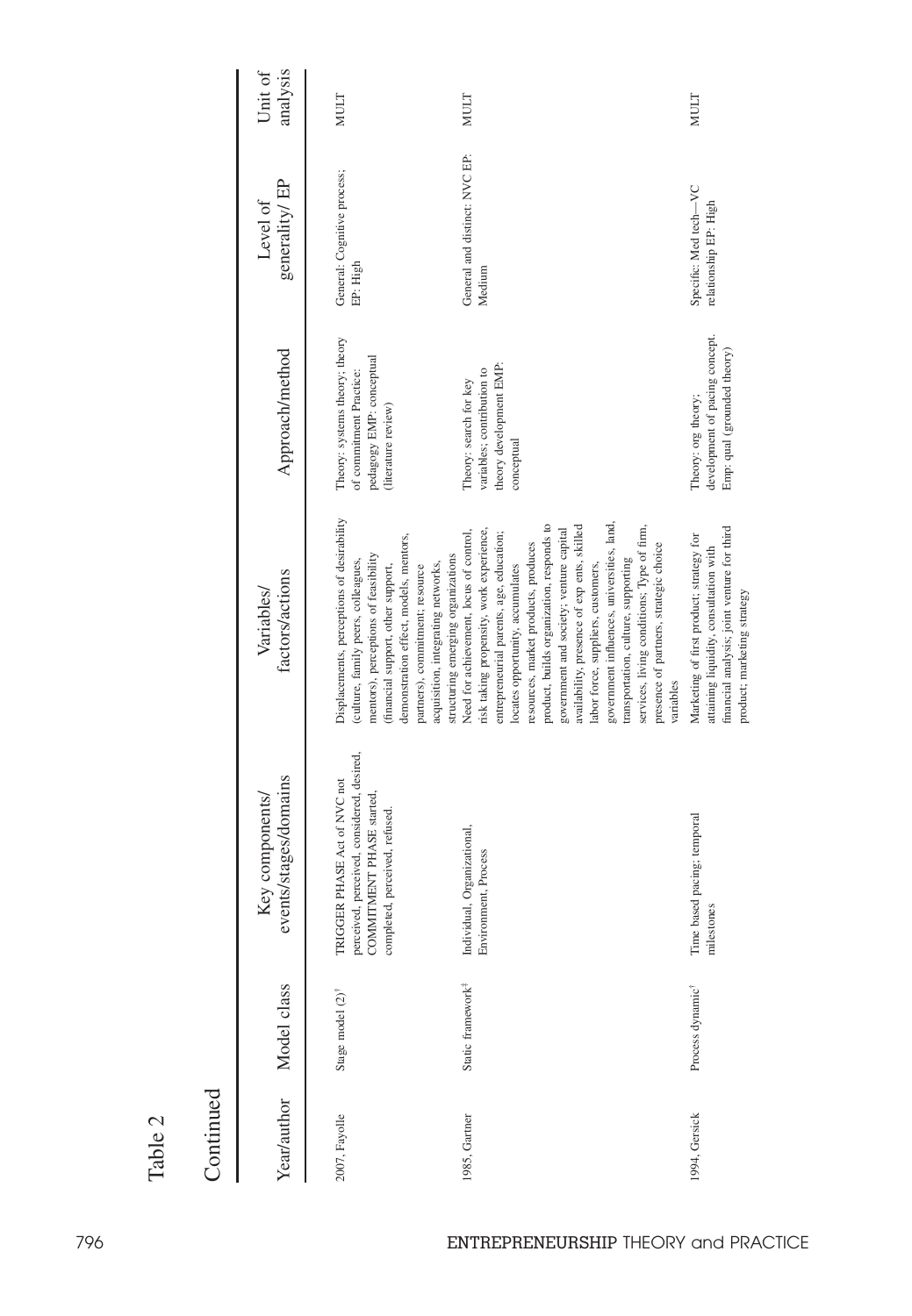| Year/author   | Model class                   | events/stages/domains<br>Key components/                                                                                                 | factors/actions<br>Variables/                                                                                                                                                                                                                                                                                                                                                                                                                                                                                                                                                                                           | Approach/method                                                                                              | generality/EP<br>Level of                      | analysis<br>Unit of |
|---------------|-------------------------------|------------------------------------------------------------------------------------------------------------------------------------------|-------------------------------------------------------------------------------------------------------------------------------------------------------------------------------------------------------------------------------------------------------------------------------------------------------------------------------------------------------------------------------------------------------------------------------------------------------------------------------------------------------------------------------------------------------------------------------------------------------------------------|--------------------------------------------------------------------------------------------------------------|------------------------------------------------|---------------------|
| 2007, Fayolle | Stage model (2) <sup>†</sup>  | perceived, perceived, considered, desired,<br>TRIGGER PHASE Act of NVC not<br>COMMITMENT PHASE started,<br>completed, perceived, refused | Displacements, perceptions of desirability<br>demonstration effect, models, mentors,<br>mentors), perceptions of feasibility<br>(culture, family peers, colleagues,<br>acquisition, integrating networks,<br>(financial support, other support,<br>partners), commitment; resource                                                                                                                                                                                                                                                                                                                                      | Theory: systems theory; theory<br>pedagogy EMP: conceptual<br>of commitment Practice:<br>(literature review) | General: Cognitive process;<br>EP: High        | NULT                |
| 1985, Gartner | Static framework <sup>*</sup> | Individual, Organizational,<br>Environment, Process                                                                                      | government influences, universities, land,<br>product, builds organization, responds to<br>availability, presence of exp ents, skilled<br>services, living conditions; Type of firm,<br>risk taking propensity, work experience,<br>government and society; venture capital<br>Need for achievement, locus of control,<br>entrepreneurial parents, age, education;<br>resources, market products, produces<br>presence of partners, strategic choice<br>structuring emerging organizations<br>transportation, culture, supporting<br>locates opportunity, accumulates<br>labor force, suppliers, customers<br>variables | theory development EMP:<br>variables; contribution to<br>Theory: search for key<br>conceptual                | General and distinct: NVC EP:<br>Medium        | NULT                |
| 1994, Gersick | Process dynamic <sup>*</sup>  | Time based pacing; temporal<br>milestones                                                                                                | financial analysis; joint venture for third<br>Marketing of first product; strategy for<br>attaining liquidity, consultation with<br>product; marketing strategy                                                                                                                                                                                                                                                                                                                                                                                                                                                        | development of pacing concept.<br>Emp: qual (grounded theory)<br>Theory: org theory;                         | Specific: Med tech-VC<br>relationship EP: High | NULT                |

Table 2<br>Continued

Continued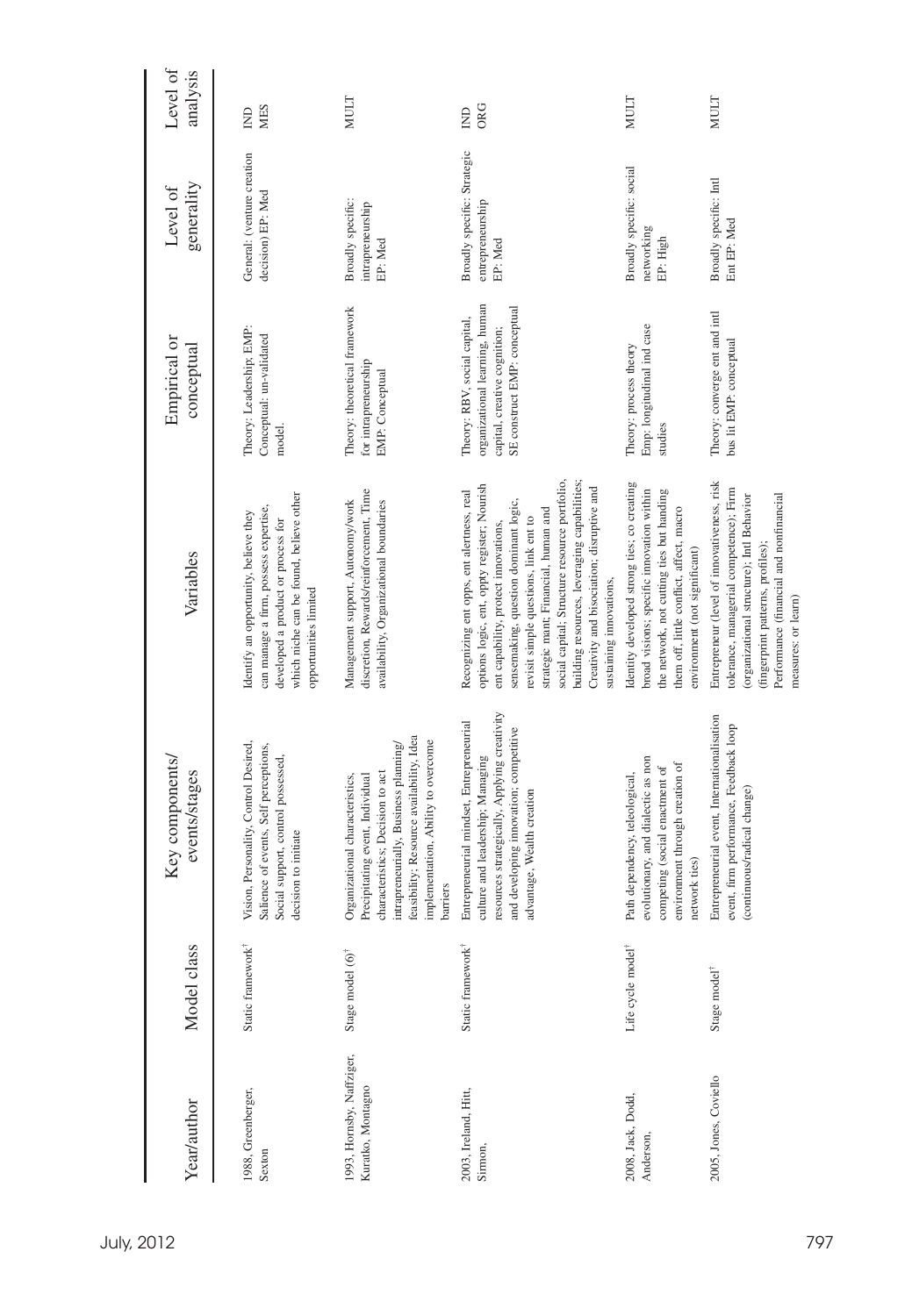| Year/author                                   | Model class                   | Key components/<br>events/stages                                                                                                                                                                                                               | Variables                                                                                                                                                                                                                                                                                                                                                                                                                           | Empirical or<br>conceptual                                                                                                     | generality<br>Level of                                     | Level of<br>analysis |
|-----------------------------------------------|-------------------------------|------------------------------------------------------------------------------------------------------------------------------------------------------------------------------------------------------------------------------------------------|-------------------------------------------------------------------------------------------------------------------------------------------------------------------------------------------------------------------------------------------------------------------------------------------------------------------------------------------------------------------------------------------------------------------------------------|--------------------------------------------------------------------------------------------------------------------------------|------------------------------------------------------------|----------------------|
| 1988, Greenberger,<br>Sexton                  | Static framework <sup>†</sup> | Vision, Personality, Control Desired,<br>Salience of events, Self perceptions,<br>Social support, control possessed,<br>decision to initiate                                                                                                   | which niche can be found, believe other<br>can manage a firm, possess expertise,<br>Identify an opportunity, believe they<br>developed a product or process for<br>opportunities limited                                                                                                                                                                                                                                            | Theory: Leadership; EMP:<br>Conceptual: un-validated<br>model.                                                                 | General: (venture creation<br>decision) EP: Med            | MES<br>$\Xi$         |
| 1993, Homsby, Naffziger,<br>Kuratko, Montagno | Stage model (6) <sup>†</sup>  | feasibility; Resource availability, Idea<br>implementation, Ability to overcome<br>intrapreneurially, Business planning/<br>characteristics; Decision to act<br>Organizational characteristics,<br>Precipitating event, Individual<br>barriers | discretion, Rewards/reinforcement, Time<br>Management support, Autonomy/work<br>availability, Organizational boundaries                                                                                                                                                                                                                                                                                                             | Theory: theoretical framework<br>for intrapreneurship<br>EMP: Conceptual                                                       | Broadly specific:<br>intrapreneurship<br>EP: Med           | <b>MULT</b>          |
| 2003, Ireland, Hitt,<br>Simon,                | Static framework <sup>†</sup> | resources strategically, Applying creativity<br>Entrepreneurial mindset, Entrepreneurial<br>and developing innovation; competitive<br>culture and leadership; Managing<br>advantage, Wealth creation                                           | social capital; Structure resource portfolio,<br>building resources, leveraging capabilities;<br>options logic, ent, oppty register; Nourish<br>Creativity and bisociation; disruptive and<br>Recognizing ent opps, ent alertness, real<br>sensemaking, question dominant logic,<br>strategic mant; Financial, human and<br>evisit simple questions, link ent to<br>ent capability, protect innovations,<br>sustaining innovations, | organizational learning, human<br>SE construct EMP: conceptual<br>Theory: RBV, social capital,<br>capital, creative cognition; | Broadly specific: Strategic<br>entrepreneurship<br>EP: Med | <b>ORG</b><br>$\Xi$  |
| 2008, Jack, Dodd,<br>Anderson,                | Life cycle model <sup>†</sup> | evolutionary, and dialectic as non<br>environment through creation of<br>competing (social enactment of<br>Path dependency, teleological,<br>network ties)                                                                                     | Identity developed strong ties; co creating<br>the network, not cutting ties but handing<br>broad visions; specific innovation within<br>them off, little conflict, affect, macro<br>environment (not significant)                                                                                                                                                                                                                  | Emp: longitudinal ind case<br>Theory: process theory<br>studies                                                                | Broadly specific: social<br>networking<br>EP: High         | NULT                 |
| 2005, Jones, Coviello                         | Stage model <sup>†</sup>      | Entrepreneurial event, Internationalisation<br>event, firm performance, Feedback loop<br>(continuous/radical change)                                                                                                                           | Entrepreneur (level of innovativeness, risk<br>olerance, managerial competence); Firm<br>organizational structure); Intl Behavior<br>Performance (financial and nonfinancial<br>(fingerprint patterns, profiles);<br>measures: or learn)                                                                                                                                                                                            | Theory: converge ent and intl<br>bus lit EMP: conceptual                                                                       | Broadly specific: Intl<br>Ent EP: Med                      | <b>MULT</b>          |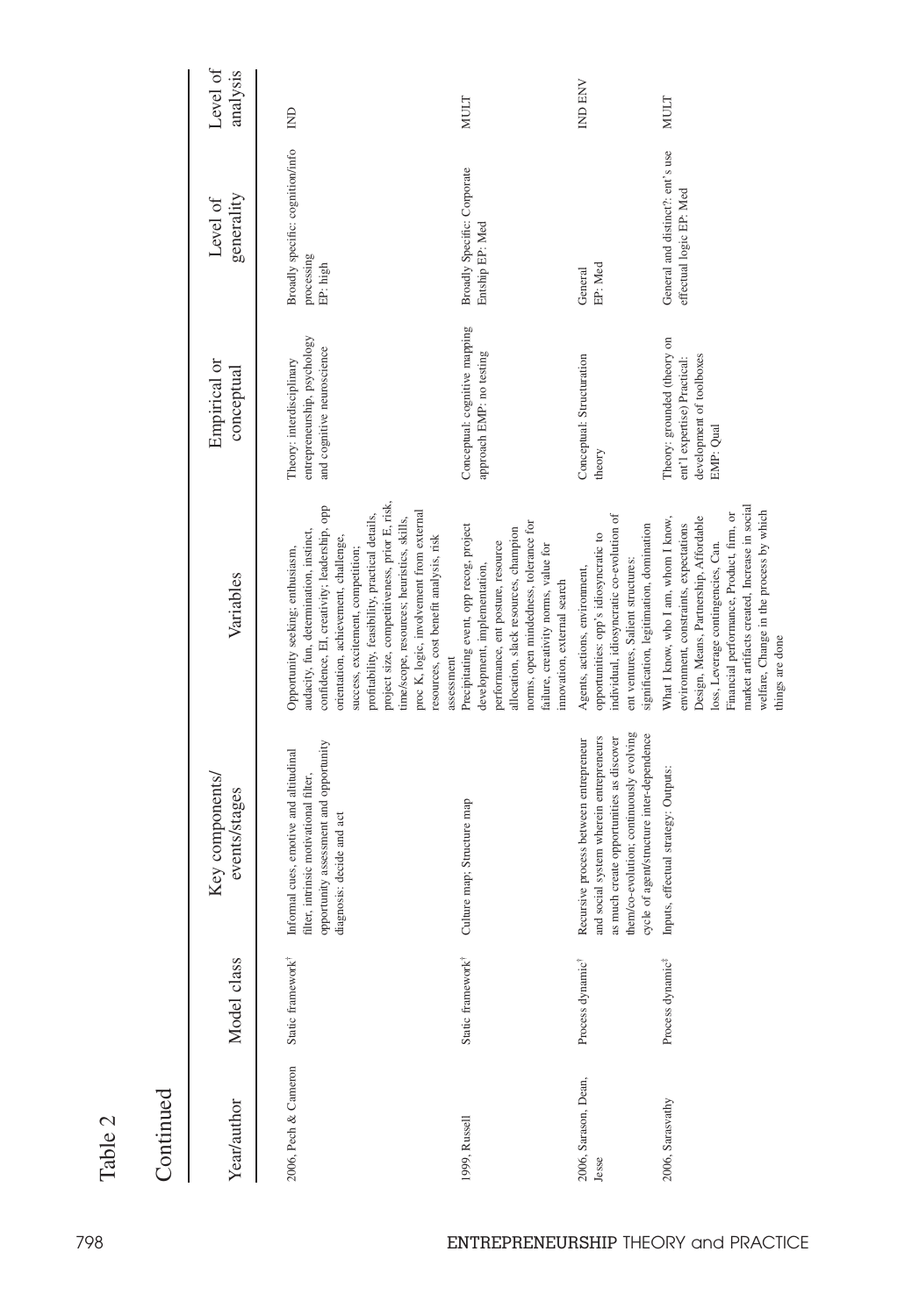| Year/author                   | Model class                   | Key components/<br>events/stages                                                                                                                                                                                          | Variables                                                                                                                                                                                                                                                                                                                                                                                            | Empirical or<br>conceptual                                                                          | generality<br>Level of                                      | Level of<br>analysis |
|-------------------------------|-------------------------------|---------------------------------------------------------------------------------------------------------------------------------------------------------------------------------------------------------------------------|------------------------------------------------------------------------------------------------------------------------------------------------------------------------------------------------------------------------------------------------------------------------------------------------------------------------------------------------------------------------------------------------------|-----------------------------------------------------------------------------------------------------|-------------------------------------------------------------|----------------------|
| 2006, Pech & Cameron          | Static framework <sup>†</sup> | opportunity assessment and opportunity<br>mal cues, emotive and altitudinal<br>intrinsic motivational filter,<br>diagnosis: decide and act<br>Inform<br>filter,                                                           | project size, competitiveness, prior E, risk,<br>confidence, EI, creativity; leadership, opp<br>proc K, logic, involvement from external<br>profitability, feasibility, practical details,<br>time/scope, resources; heuristics, skills,<br>audacity, fun, determination, instinct,<br>orientation, achievement, challenge,<br>Opportunity seeking; enthusiasm,<br>success, excitement, competition; | entrepreneurship, psychology<br>and cognitive neuroscience<br>Theory: interdisciplinary             | Broadly specific: cognition/info<br>processing<br>EP: high  | $\overline{R}$       |
| 1999, Russell                 | Static framework <sup>†</sup> | Culture map; Structure map                                                                                                                                                                                                | norms, open mindedness, tolerance for<br>Precipitating event, opp recog, project<br>allocation, slack resources, champion<br>resources, cost benefit analysis, risk<br>performance, ent posture, resource<br>failure, creativity norms, value for<br>development, implementation,<br>innovation, external search<br>assessment                                                                       | Conceptual: cognitive mapping<br>approach EMP: no testing                                           | Broadly Specific: Corporate<br>Entship EP: Med              | NULT                 |
| 2006, Sarason, Dean,<br>Jesse | Process dynamic <sup>†</sup>  | them/co-evolution; continuously evolving<br>of agent/structure inter-dependence<br>and social system wherein entrepreneurs<br>Recursive process between entrepreneur<br>as much create opportunities as discover<br>cycle | ndividual, idiosyncratic co-evolution of<br>signification, legitimation, domination<br>opportunities: opp's idiosyncratic to<br>ent ventures, Salient structures:<br>Agents, actions, environment,                                                                                                                                                                                                   | Conceptual: Structuration<br>theory                                                                 | EP: Med<br>General                                          | <b>IND ENV</b>       |
| 2006, Sarasvathy              | Process dynamic <sup>#</sup>  | Inputs, effectual strategy: Outputs:                                                                                                                                                                                      | market artifacts created, Increase in social<br>welfare, Change in the process by which<br>Financial performance, Product, firm, or<br>Design, Means, Partnership, Affordable<br>What I know, who I am, whom I know,<br>environment, constraints, expectations<br>loss, Leverage contingencies, Can.<br>things are done                                                                              | Theory: grounded (theory on<br>development of toolboxes<br>ent'l expertise) Practical:<br>EMP: Qual | General and distinct?: ent's use<br>effectual logic EP: Med | NULT                 |

Table 2<br>Continued

Continued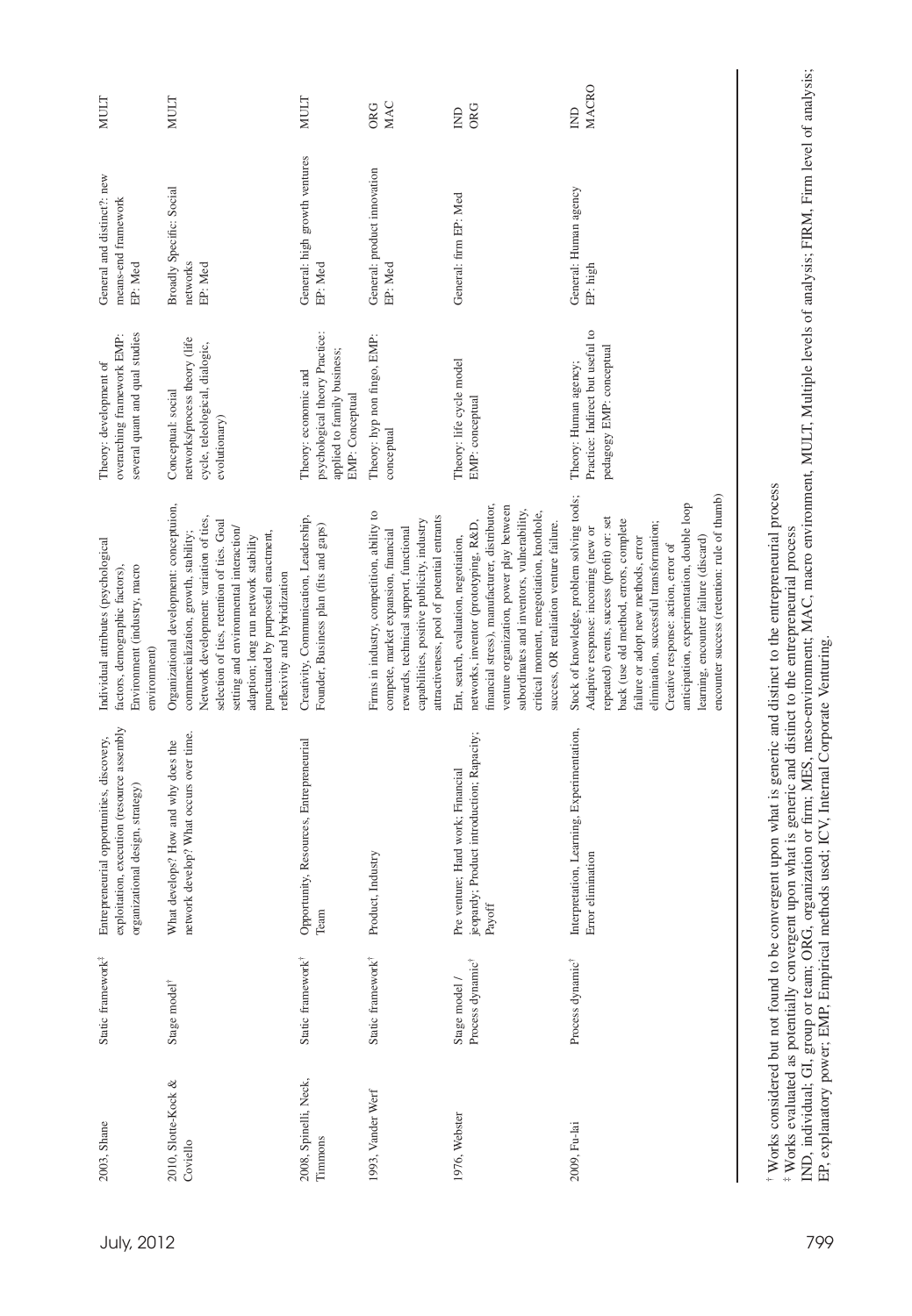| General: high growth ventures<br>General: product innovation<br>Broadly Specific: Social<br>General: Human agency<br>General: firm EP: Med<br>networks<br>EP: Med<br>EP: Med<br>EP: Med<br>EP: high<br>Practice: Indirect but useful to<br>psychological theory Practice:<br>Theory: hyp non fingo, EMP:<br>networks/process theory (life<br>cycle, teleological, dialogic,<br>pedagogy EMP: conceptual<br>applied to family business;<br>Theory: life cycle model<br>Theory: Human agency;<br>Theory: economic and<br>Conceptual: social<br>EMP: Conceptual<br>EMP: conceptual<br>evolutionary)<br>conceptual<br>encounter success (retention: rule of thumb)<br>Stock of knowledge, problem solving tools;<br>anticipation, experimentation, double loop<br>Organizational development: conceptuion,<br>financial stress), manufacturer, distributor,<br>venture organization, power play between<br>ubordinates and inventors, vulnerability,<br>Firms in industry, competition, ability to<br>critical moment, renegotiation, knothole,<br>attractiveness, pool of potential entrants<br>Creativity, Communication, Leadership,<br>Network development: variation of ties,<br>repeated) events, success (profit) or: set<br>back (use old method, errors, complete<br>selection of ties, retention of ties. Goal<br>capabilities, positive publicity, industry<br>networks, inventor (prototyping, R&D,<br>elimination, successful transformation;<br>success, OR retaliation venture failure.<br>Founder, Business plan (fits and gaps)<br>setting and environmental interaction/<br>Adaptive response: incoming (new or<br>compete, market expansion, financial<br>rewards, technical support, functional<br>punctuated by purposeful enactment,<br>commercialization, growth, stability;<br>adaption; long run network stability<br>learning, encounter failure (discard)<br>Ent, search, evaluation, negotiation,<br>failure or adopt new methods, error<br>Creative response: action, error of<br>reflexivity and hybridization<br>Interpretation, Learning, Experimentation,<br>jeopardy; Product introduction; Rapacity;<br>network develop? What occurs over time.<br>Opportunity, Resources, Entrepreneurial<br>develops? How and why does the<br>Pre venture; Hard work; Financial<br>Product, Industry<br>elimination<br>Team<br>Payoff<br>What<br>Error<br>Static framework <sup>*</sup><br>Static framework <sup>*</sup><br>Process dynamic <sup>*</sup><br>Process dynamic <sup>*</sup><br>Stage model /<br>Stage model <sup>*</sup><br>2008, Spinelli, Neck,<br>2010, Slotte-Kock &<br>1993, Vander Werf<br>1976, Webster<br>2009, Fu-lai<br>Timmons<br>Coviello | 2003, Shane | Static framework <sup>#</sup> | exploitation, execution (resource assembly<br>Entrepreneurial opportunities, discovery,<br>organizational design, strategy) | Individual attributes (psychological<br>Environment (industry, macro<br>factors, demographic factors)<br>environment) | several quant and qual studies<br>overarching framework EMP:<br>Theory: development of | General and distinct?: new<br>means-end framework<br>EP: Med | <b>MULT</b>                |
|-------------------------------------------------------------------------------------------------------------------------------------------------------------------------------------------------------------------------------------------------------------------------------------------------------------------------------------------------------------------------------------------------------------------------------------------------------------------------------------------------------------------------------------------------------------------------------------------------------------------------------------------------------------------------------------------------------------------------------------------------------------------------------------------------------------------------------------------------------------------------------------------------------------------------------------------------------------------------------------------------------------------------------------------------------------------------------------------------------------------------------------------------------------------------------------------------------------------------------------------------------------------------------------------------------------------------------------------------------------------------------------------------------------------------------------------------------------------------------------------------------------------------------------------------------------------------------------------------------------------------------------------------------------------------------------------------------------------------------------------------------------------------------------------------------------------------------------------------------------------------------------------------------------------------------------------------------------------------------------------------------------------------------------------------------------------------------------------------------------------------------------------------------------------------------------------------------------------------------------------------------------------------------------------------------------------------------------------------------------------------------------------------------------------------------------------------------------------------------------------------------------------------------------------------------------------------------------------------------------------------------------------------------------------------------------|-------------|-------------------------------|-----------------------------------------------------------------------------------------------------------------------------|-----------------------------------------------------------------------------------------------------------------------|----------------------------------------------------------------------------------------|--------------------------------------------------------------|----------------------------|
|                                                                                                                                                                                                                                                                                                                                                                                                                                                                                                                                                                                                                                                                                                                                                                                                                                                                                                                                                                                                                                                                                                                                                                                                                                                                                                                                                                                                                                                                                                                                                                                                                                                                                                                                                                                                                                                                                                                                                                                                                                                                                                                                                                                                                                                                                                                                                                                                                                                                                                                                                                                                                                                                                     |             |                               |                                                                                                                             |                                                                                                                       |                                                                                        |                                                              | <b>MULT</b>                |
|                                                                                                                                                                                                                                                                                                                                                                                                                                                                                                                                                                                                                                                                                                                                                                                                                                                                                                                                                                                                                                                                                                                                                                                                                                                                                                                                                                                                                                                                                                                                                                                                                                                                                                                                                                                                                                                                                                                                                                                                                                                                                                                                                                                                                                                                                                                                                                                                                                                                                                                                                                                                                                                                                     |             |                               |                                                                                                                             |                                                                                                                       |                                                                                        |                                                              | NULT                       |
|                                                                                                                                                                                                                                                                                                                                                                                                                                                                                                                                                                                                                                                                                                                                                                                                                                                                                                                                                                                                                                                                                                                                                                                                                                                                                                                                                                                                                                                                                                                                                                                                                                                                                                                                                                                                                                                                                                                                                                                                                                                                                                                                                                                                                                                                                                                                                                                                                                                                                                                                                                                                                                                                                     |             |                               |                                                                                                                             |                                                                                                                       |                                                                                        |                                                              | MAC<br>ORG                 |
|                                                                                                                                                                                                                                                                                                                                                                                                                                                                                                                                                                                                                                                                                                                                                                                                                                                                                                                                                                                                                                                                                                                                                                                                                                                                                                                                                                                                                                                                                                                                                                                                                                                                                                                                                                                                                                                                                                                                                                                                                                                                                                                                                                                                                                                                                                                                                                                                                                                                                                                                                                                                                                                                                     |             |                               |                                                                                                                             |                                                                                                                       |                                                                                        |                                                              | <b>ORG</b><br>$\mathbb{E}$ |
|                                                                                                                                                                                                                                                                                                                                                                                                                                                                                                                                                                                                                                                                                                                                                                                                                                                                                                                                                                                                                                                                                                                                                                                                                                                                                                                                                                                                                                                                                                                                                                                                                                                                                                                                                                                                                                                                                                                                                                                                                                                                                                                                                                                                                                                                                                                                                                                                                                                                                                                                                                                                                                                                                     |             |                               |                                                                                                                             |                                                                                                                       |                                                                                        |                                                              | MACRO<br>$\widehat{\Xi}$   |

 Works considered but not found to be convergent upon what is generic and distinct to the entrepreneurial process Works evaluated as potentially convergent upon what is generic and distinct to the entrepreneurial process

†‡IND, individual; GI, group or team; ORG, organization or firm; MES, meso-environment; MAC, macro environment, MULT, Multiple levels of analysis; FIRM, Firm level of analysis; EP, explanatory power; EMP, Empirical methods used; ICV, Internal Corporate Venturing.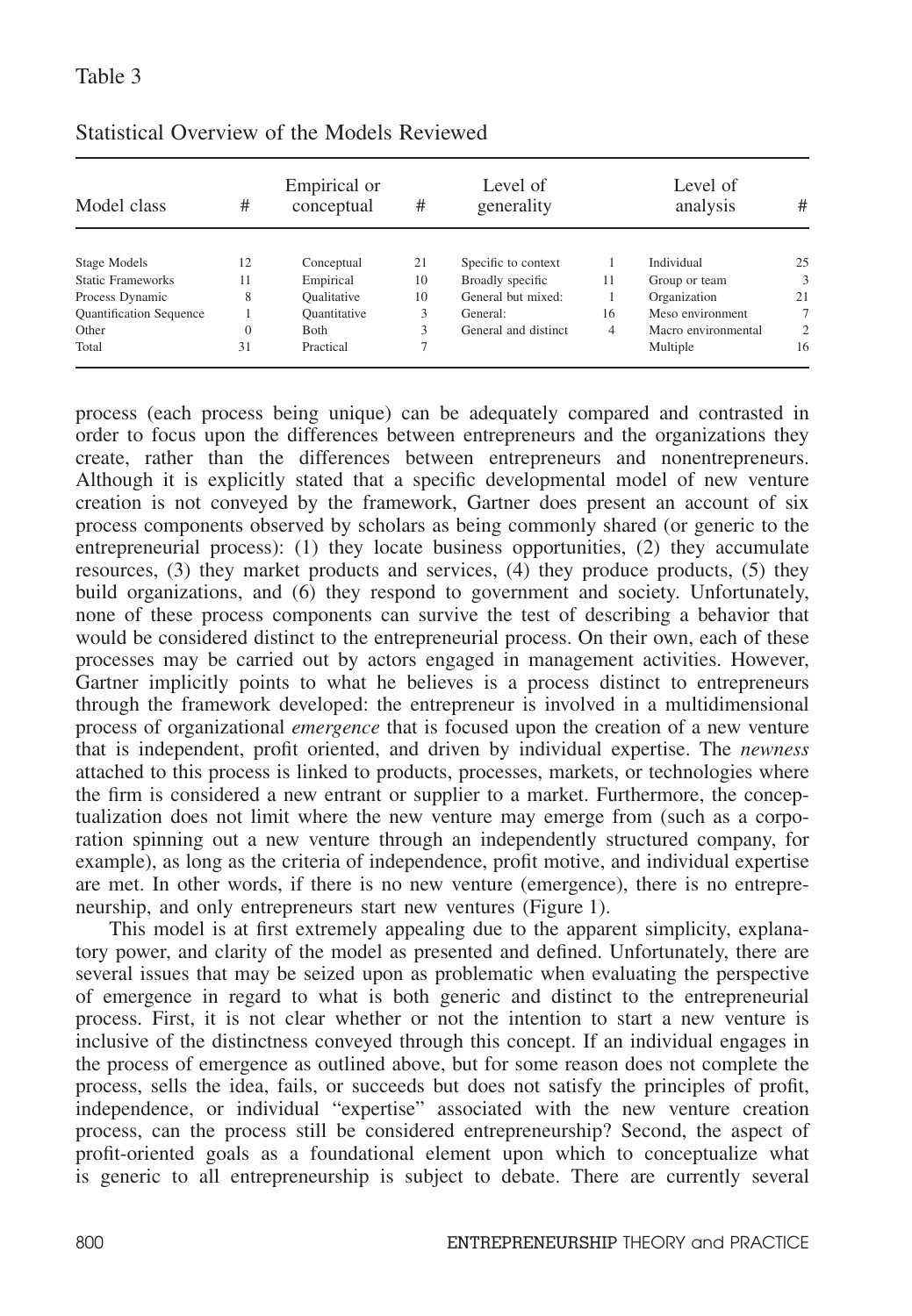| Model class                    | #        | Empirical or<br>conceptual | #             | Level of<br>generality |    | Level of<br>analysis | #               |
|--------------------------------|----------|----------------------------|---------------|------------------------|----|----------------------|-----------------|
|                                |          |                            |               |                        |    |                      |                 |
| Stage Models                   | 12       | Conceptual                 | 21            | Specific to context    |    | Individual           | 25              |
| <b>Static Frameworks</b>       | 11       | Empirical                  | 10            | Broadly specific       | 11 | Group or team        | 3               |
| Process Dynamic                | 8        | Qualitative                | 10            | General but mixed:     |    | Organization         | 21              |
| <b>Quantification Sequence</b> |          | Quantitative               | 3             | General:               | 16 | Meso environment     | $7\phantom{.0}$ |
| Other                          | $\theta$ | <b>Both</b>                | 3             | General and distinct   | 4  | Macro environmental  | $\overline{c}$  |
| Total                          | 31       | Practical                  | $\mathcal{I}$ |                        |    | Multiple             | 16              |

Statistical Overview of the Models Reviewed

process (each process being unique) can be adequately compared and contrasted in order to focus upon the differences between entrepreneurs and the organizations they create, rather than the differences between entrepreneurs and nonentrepreneurs. Although it is explicitly stated that a specific developmental model of new venture creation is not conveyed by the framework, Gartner does present an account of six process components observed by scholars as being commonly shared (or generic to the entrepreneurial process): (1) they locate business opportunities, (2) they accumulate resources, (3) they market products and services, (4) they produce products, (5) they build organizations, and (6) they respond to government and society. Unfortunately, none of these process components can survive the test of describing a behavior that would be considered distinct to the entrepreneurial process. On their own, each of these processes may be carried out by actors engaged in management activities. However, Gartner implicitly points to what he believes is a process distinct to entrepreneurs through the framework developed: the entrepreneur is involved in a multidimensional process of organizational *emergence* that is focused upon the creation of a new venture that is independent, profit oriented, and driven by individual expertise. The *newness* attached to this process is linked to products, processes, markets, or technologies where the firm is considered a new entrant or supplier to a market. Furthermore, the conceptualization does not limit where the new venture may emerge from (such as a corporation spinning out a new venture through an independently structured company, for example), as long as the criteria of independence, profit motive, and individual expertise are met. In other words, if there is no new venture (emergence), there is no entrepreneurship, and only entrepreneurs start new ventures (Figure 1).

This model is at first extremely appealing due to the apparent simplicity, explanatory power, and clarity of the model as presented and defined. Unfortunately, there are several issues that may be seized upon as problematic when evaluating the perspective of emergence in regard to what is both generic and distinct to the entrepreneurial process. First, it is not clear whether or not the intention to start a new venture is inclusive of the distinctness conveyed through this concept. If an individual engages in the process of emergence as outlined above, but for some reason does not complete the process, sells the idea, fails, or succeeds but does not satisfy the principles of profit, independence, or individual "expertise" associated with the new venture creation process, can the process still be considered entrepreneurship? Second, the aspect of profit-oriented goals as a foundational element upon which to conceptualize what is generic to all entrepreneurship is subject to debate. There are currently several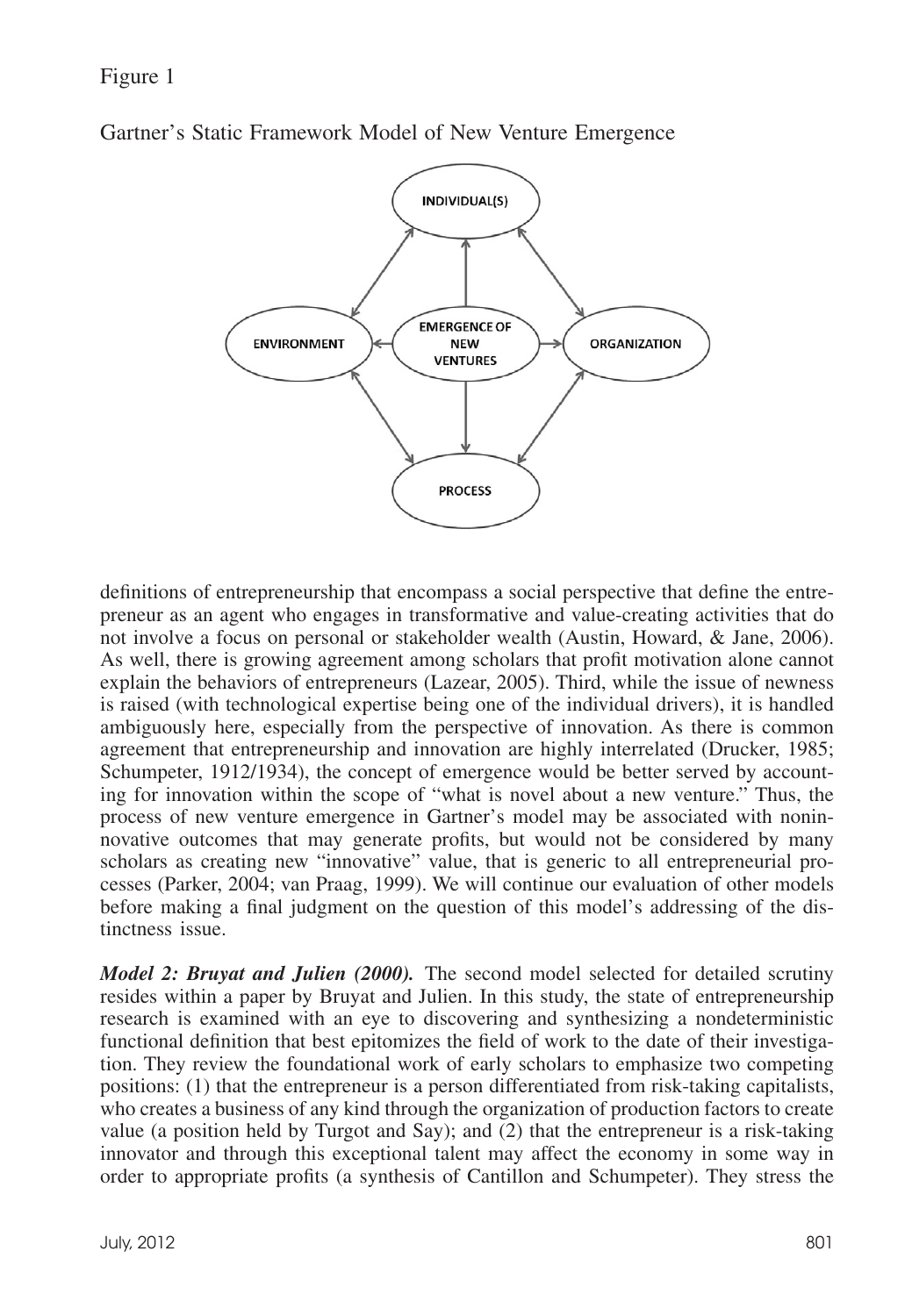

Gartner's Static Framework Model of New Venture Emergence

definitions of entrepreneurship that encompass a social perspective that define the entrepreneur as an agent who engages in transformative and value-creating activities that do not involve a focus on personal or stakeholder wealth (Austin, Howard, & Jane, 2006). As well, there is growing agreement among scholars that profit motivation alone cannot explain the behaviors of entrepreneurs (Lazear, 2005). Third, while the issue of newness is raised (with technological expertise being one of the individual drivers), it is handled ambiguously here, especially from the perspective of innovation. As there is common agreement that entrepreneurship and innovation are highly interrelated (Drucker, 1985; Schumpeter, 1912/1934), the concept of emergence would be better served by accounting for innovation within the scope of "what is novel about a new venture." Thus, the process of new venture emergence in Gartner's model may be associated with noninnovative outcomes that may generate profits, but would not be considered by many scholars as creating new "innovative" value, that is generic to all entrepreneurial processes (Parker, 2004; van Praag, 1999). We will continue our evaluation of other models before making a final judgment on the question of this model's addressing of the distinctness issue.

*Model 2: Bruyat and Julien (2000).* The second model selected for detailed scrutiny resides within a paper by Bruyat and Julien. In this study, the state of entrepreneurship research is examined with an eye to discovering and synthesizing a nondeterministic functional definition that best epitomizes the field of work to the date of their investigation. They review the foundational work of early scholars to emphasize two competing positions: (1) that the entrepreneur is a person differentiated from risk-taking capitalists, who creates a business of any kind through the organization of production factors to create value (a position held by Turgot and Say); and (2) that the entrepreneur is a risk-taking innovator and through this exceptional talent may affect the economy in some way in order to appropriate profits (a synthesis of Cantillon and Schumpeter). They stress the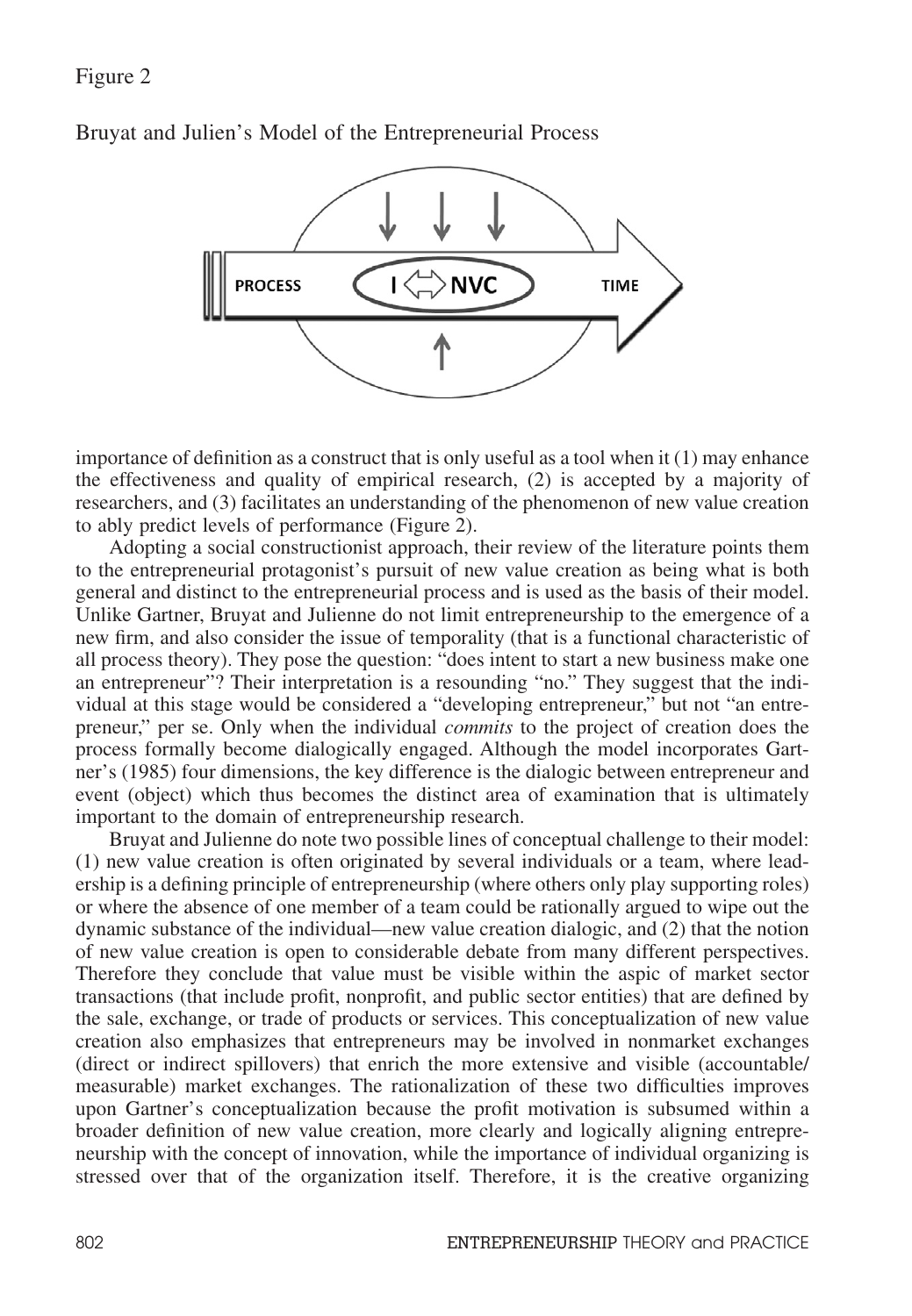#### Figure 2

Bruyat and Julien's Model of the Entrepreneurial Process



importance of definition as a construct that is only useful as a tool when it (1) may enhance the effectiveness and quality of empirical research, (2) is accepted by a majority of researchers, and (3) facilitates an understanding of the phenomenon of new value creation to ably predict levels of performance (Figure 2).

Adopting a social constructionist approach, their review of the literature points them to the entrepreneurial protagonist's pursuit of new value creation as being what is both general and distinct to the entrepreneurial process and is used as the basis of their model. Unlike Gartner, Bruyat and Julienne do not limit entrepreneurship to the emergence of a new firm, and also consider the issue of temporality (that is a functional characteristic of all process theory). They pose the question: "does intent to start a new business make one an entrepreneur"? Their interpretation is a resounding "no." They suggest that the individual at this stage would be considered a "developing entrepreneur," but not "an entrepreneur," per se. Only when the individual *commits* to the project of creation does the process formally become dialogically engaged. Although the model incorporates Gartner's (1985) four dimensions, the key difference is the dialogic between entrepreneur and event (object) which thus becomes the distinct area of examination that is ultimately important to the domain of entrepreneurship research.

Bruyat and Julienne do note two possible lines of conceptual challenge to their model: (1) new value creation is often originated by several individuals or a team, where leadership is a defining principle of entrepreneurship (where others only play supporting roles) or where the absence of one member of a team could be rationally argued to wipe out the dynamic substance of the individual—new value creation dialogic, and (2) that the notion of new value creation is open to considerable debate from many different perspectives. Therefore they conclude that value must be visible within the aspic of market sector transactions (that include profit, nonprofit, and public sector entities) that are defined by the sale, exchange, or trade of products or services. This conceptualization of new value creation also emphasizes that entrepreneurs may be involved in nonmarket exchanges (direct or indirect spillovers) that enrich the more extensive and visible (accountable/ measurable) market exchanges. The rationalization of these two difficulties improves upon Gartner's conceptualization because the profit motivation is subsumed within a broader definition of new value creation, more clearly and logically aligning entrepreneurship with the concept of innovation, while the importance of individual organizing is stressed over that of the organization itself. Therefore, it is the creative organizing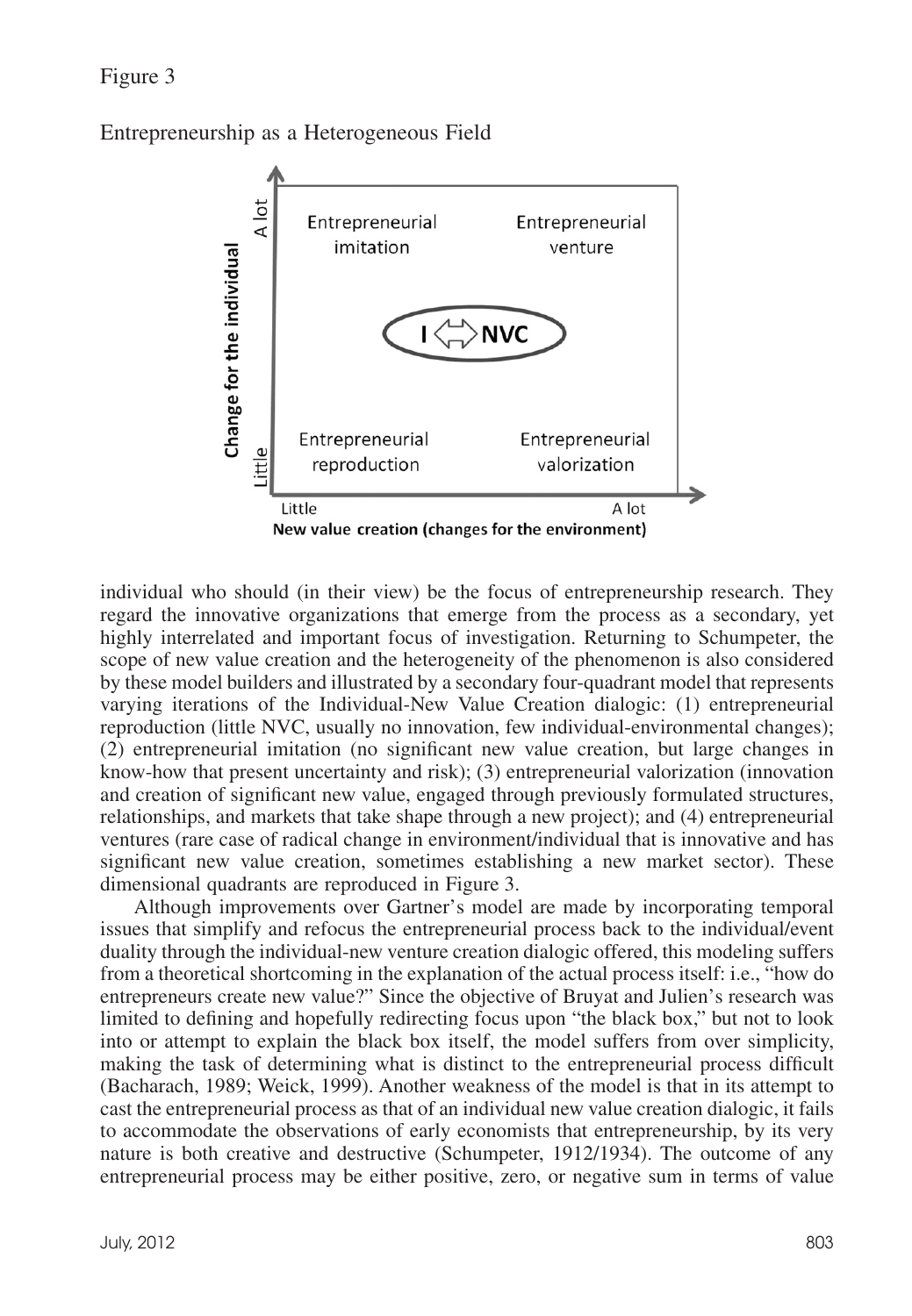## Figure 3

Entrepreneurship as a Heterogeneous Field



individual who should (in their view) be the focus of entrepreneurship research. They regard the innovative organizations that emerge from the process as a secondary, yet highly interrelated and important focus of investigation. Returning to Schumpeter, the scope of new value creation and the heterogeneity of the phenomenon is also considered by these model builders and illustrated by a secondary four-quadrant model that represents varying iterations of the Individual-New Value Creation dialogic: (1) entrepreneurial reproduction (little NVC, usually no innovation, few individual-environmental changes); (2) entrepreneurial imitation (no significant new value creation, but large changes in know-how that present uncertainty and risk); (3) entrepreneurial valorization (innovation and creation of significant new value, engaged through previously formulated structures, relationships, and markets that take shape through a new project); and (4) entrepreneurial ventures (rare case of radical change in environment/individual that is innovative and has significant new value creation, sometimes establishing a new market sector). These dimensional quadrants are reproduced in Figure 3.

Although improvements over Gartner's model are made by incorporating temporal issues that simplify and refocus the entrepreneurial process back to the individual/event duality through the individual-new venture creation dialogic offered, this modeling suffers from a theoretical shortcoming in the explanation of the actual process itself: i.e., "how do entrepreneurs create new value?" Since the objective of Bruyat and Julien's research was limited to defining and hopefully redirecting focus upon "the black box," but not to look into or attempt to explain the black box itself, the model suffers from over simplicity, making the task of determining what is distinct to the entrepreneurial process difficult (Bacharach, 1989; Weick, 1999). Another weakness of the model is that in its attempt to cast the entrepreneurial process as that of an individual new value creation dialogic, it fails to accommodate the observations of early economists that entrepreneurship, by its very nature is both creative and destructive (Schumpeter, 1912/1934). The outcome of any entrepreneurial process may be either positive, zero, or negative sum in terms of value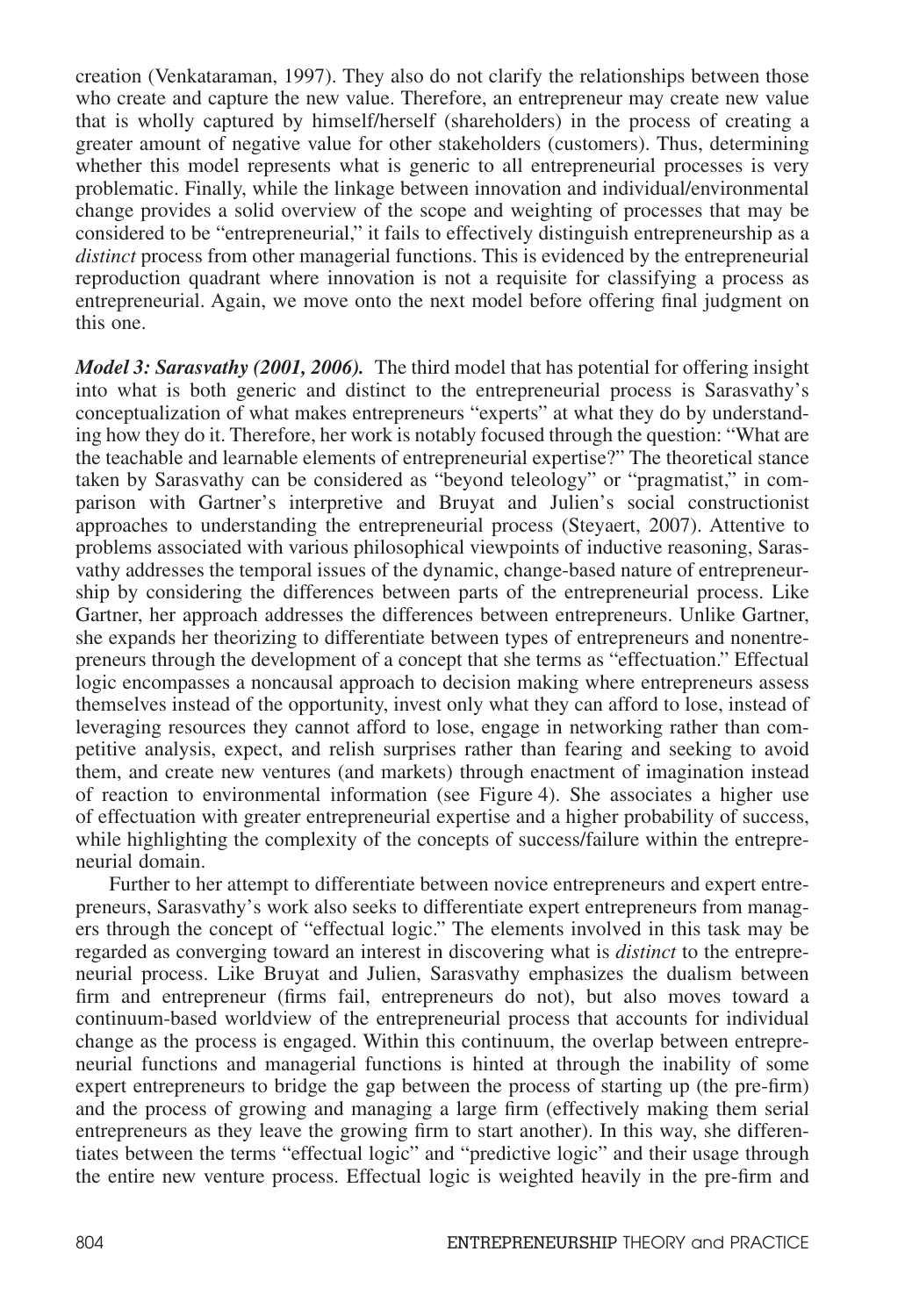creation (Venkataraman, 1997). They also do not clarify the relationships between those who create and capture the new value. Therefore, an entrepreneur may create new value that is wholly captured by himself/herself (shareholders) in the process of creating a greater amount of negative value for other stakeholders (customers). Thus, determining whether this model represents what is generic to all entrepreneurial processes is very problematic. Finally, while the linkage between innovation and individual/environmental change provides a solid overview of the scope and weighting of processes that may be considered to be "entrepreneurial," it fails to effectively distinguish entrepreneurship as a *distinct* process from other managerial functions. This is evidenced by the entrepreneurial reproduction quadrant where innovation is not a requisite for classifying a process as entrepreneurial. Again, we move onto the next model before offering final judgment on this one.

*Model 3: Sarasvathy (2001, 2006).* The third model that has potential for offering insight into what is both generic and distinct to the entrepreneurial process is Sarasvathy's conceptualization of what makes entrepreneurs "experts" at what they do by understanding how they do it. Therefore, her work is notably focused through the question: "What are the teachable and learnable elements of entrepreneurial expertise?" The theoretical stance taken by Sarasvathy can be considered as "beyond teleology" or "pragmatist," in comparison with Gartner's interpretive and Bruyat and Julien's social constructionist approaches to understanding the entrepreneurial process (Steyaert, 2007). Attentive to problems associated with various philosophical viewpoints of inductive reasoning, Sarasvathy addresses the temporal issues of the dynamic, change-based nature of entrepreneurship by considering the differences between parts of the entrepreneurial process. Like Gartner, her approach addresses the differences between entrepreneurs. Unlike Gartner, she expands her theorizing to differentiate between types of entrepreneurs and nonentrepreneurs through the development of a concept that she terms as "effectuation." Effectual logic encompasses a noncausal approach to decision making where entrepreneurs assess themselves instead of the opportunity, invest only what they can afford to lose, instead of leveraging resources they cannot afford to lose, engage in networking rather than competitive analysis, expect, and relish surprises rather than fearing and seeking to avoid them, and create new ventures (and markets) through enactment of imagination instead of reaction to environmental information (see Figure 4). She associates a higher use of effectuation with greater entrepreneurial expertise and a higher probability of success, while highlighting the complexity of the concepts of success/failure within the entrepreneurial domain.

Further to her attempt to differentiate between novice entrepreneurs and expert entrepreneurs, Sarasvathy's work also seeks to differentiate expert entrepreneurs from managers through the concept of "effectual logic." The elements involved in this task may be regarded as converging toward an interest in discovering what is *distinct* to the entrepreneurial process. Like Bruyat and Julien, Sarasvathy emphasizes the dualism between firm and entrepreneur (firms fail, entrepreneurs do not), but also moves toward a continuum-based worldview of the entrepreneurial process that accounts for individual change as the process is engaged. Within this continuum, the overlap between entrepreneurial functions and managerial functions is hinted at through the inability of some expert entrepreneurs to bridge the gap between the process of starting up (the pre-firm) and the process of growing and managing a large firm (effectively making them serial entrepreneurs as they leave the growing firm to start another). In this way, she differentiates between the terms "effectual logic" and "predictive logic" and their usage through the entire new venture process. Effectual logic is weighted heavily in the pre-firm and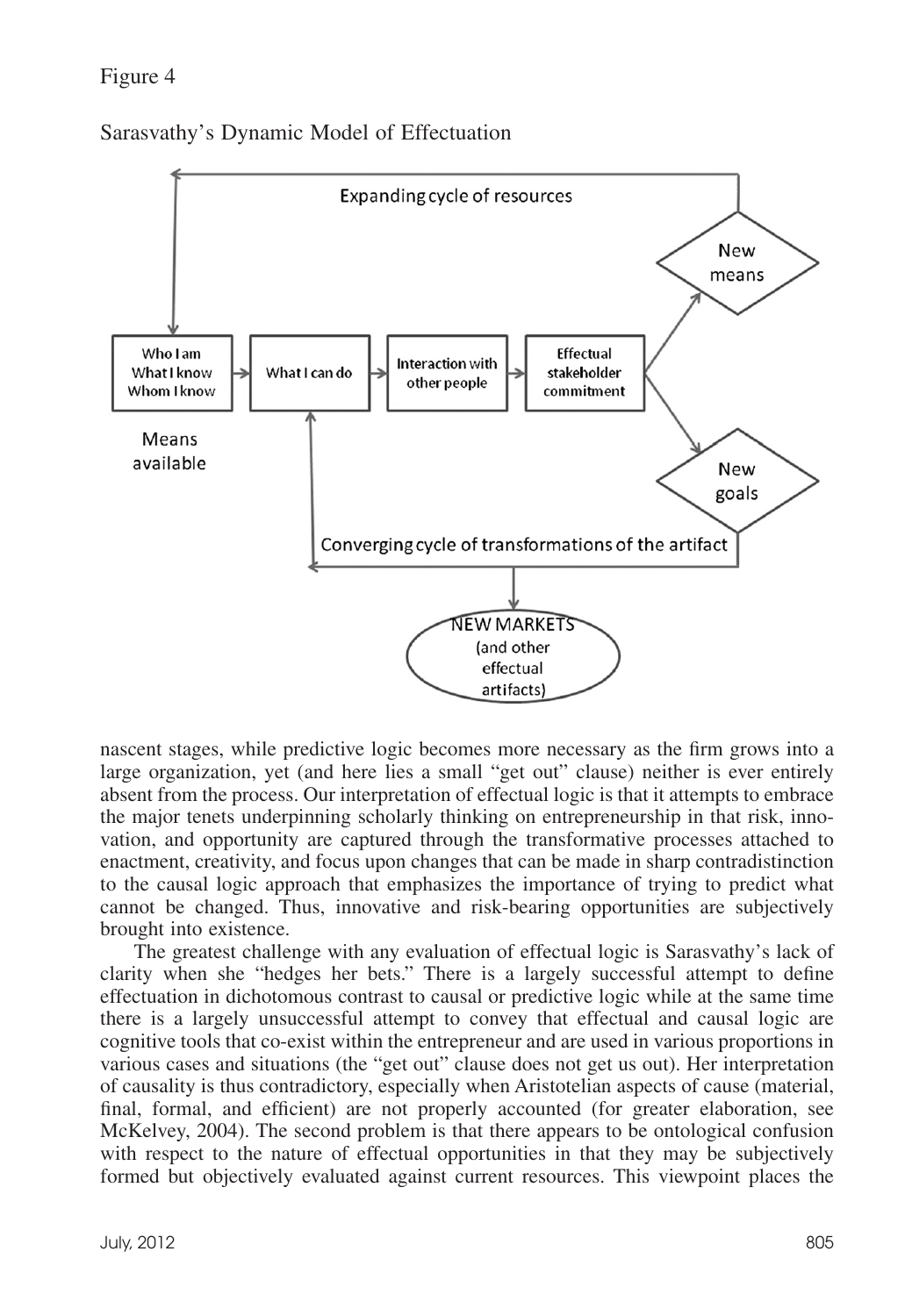# Figure 4

Sarasvathy's Dynamic Model of Effectuation



nascent stages, while predictive logic becomes more necessary as the firm grows into a large organization, yet (and here lies a small "get out" clause) neither is ever entirely absent from the process. Our interpretation of effectual logic is that it attempts to embrace the major tenets underpinning scholarly thinking on entrepreneurship in that risk, innovation, and opportunity are captured through the transformative processes attached to enactment, creativity, and focus upon changes that can be made in sharp contradistinction to the causal logic approach that emphasizes the importance of trying to predict what cannot be changed. Thus, innovative and risk-bearing opportunities are subjectively brought into existence.

The greatest challenge with any evaluation of effectual logic is Sarasvathy's lack of clarity when she "hedges her bets." There is a largely successful attempt to define effectuation in dichotomous contrast to causal or predictive logic while at the same time there is a largely unsuccessful attempt to convey that effectual and causal logic are cognitive tools that co-exist within the entrepreneur and are used in various proportions in various cases and situations (the "get out" clause does not get us out). Her interpretation of causality is thus contradictory, especially when Aristotelian aspects of cause (material, final, formal, and efficient) are not properly accounted (for greater elaboration, see McKelvey, 2004). The second problem is that there appears to be ontological confusion with respect to the nature of effectual opportunities in that they may be subjectively formed but objectively evaluated against current resources. This viewpoint places the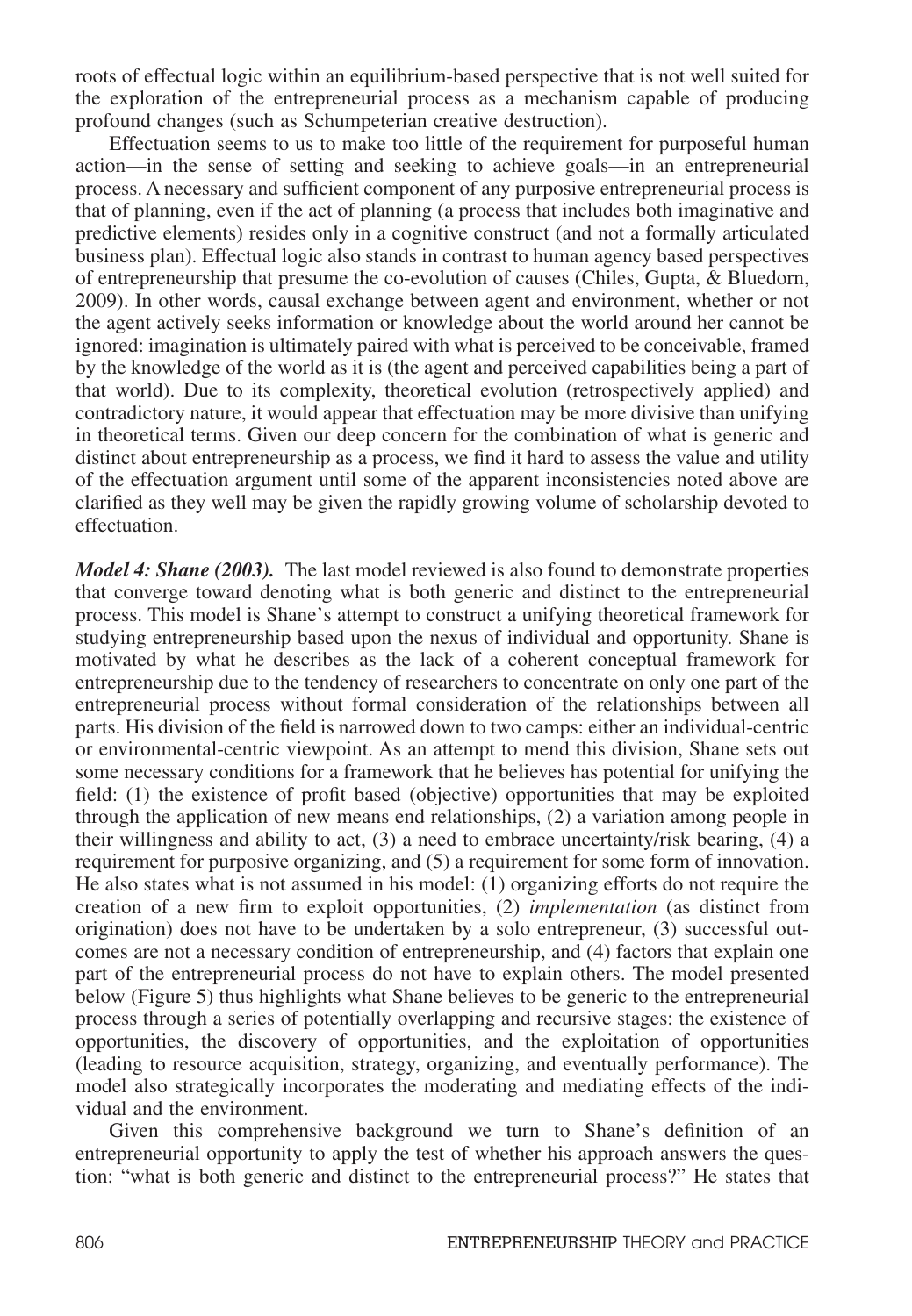roots of effectual logic within an equilibrium-based perspective that is not well suited for the exploration of the entrepreneurial process as a mechanism capable of producing profound changes (such as Schumpeterian creative destruction).

Effectuation seems to us to make too little of the requirement for purposeful human action—in the sense of setting and seeking to achieve goals—in an entrepreneurial process. A necessary and sufficient component of any purposive entrepreneurial process is that of planning, even if the act of planning (a process that includes both imaginative and predictive elements) resides only in a cognitive construct (and not a formally articulated business plan). Effectual logic also stands in contrast to human agency based perspectives of entrepreneurship that presume the co-evolution of causes (Chiles, Gupta, & Bluedorn, 2009). In other words, causal exchange between agent and environment, whether or not the agent actively seeks information or knowledge about the world around her cannot be ignored: imagination is ultimately paired with what is perceived to be conceivable, framed by the knowledge of the world as it is (the agent and perceived capabilities being a part of that world). Due to its complexity, theoretical evolution (retrospectively applied) and contradictory nature, it would appear that effectuation may be more divisive than unifying in theoretical terms. Given our deep concern for the combination of what is generic and distinct about entrepreneurship as a process, we find it hard to assess the value and utility of the effectuation argument until some of the apparent inconsistencies noted above are clarified as they well may be given the rapidly growing volume of scholarship devoted to effectuation.

*Model 4: Shane (2003).* The last model reviewed is also found to demonstrate properties that converge toward denoting what is both generic and distinct to the entrepreneurial process. This model is Shane's attempt to construct a unifying theoretical framework for studying entrepreneurship based upon the nexus of individual and opportunity. Shane is motivated by what he describes as the lack of a coherent conceptual framework for entrepreneurship due to the tendency of researchers to concentrate on only one part of the entrepreneurial process without formal consideration of the relationships between all parts. His division of the field is narrowed down to two camps: either an individual-centric or environmental-centric viewpoint. As an attempt to mend this division, Shane sets out some necessary conditions for a framework that he believes has potential for unifying the field: (1) the existence of profit based (objective) opportunities that may be exploited through the application of new means end relationships, (2) a variation among people in their willingness and ability to act, (3) a need to embrace uncertainty/risk bearing, (4) a requirement for purposive organizing, and (5) a requirement for some form of innovation. He also states what is not assumed in his model: (1) organizing efforts do not require the creation of a new firm to exploit opportunities, (2) *implementation* (as distinct from origination) does not have to be undertaken by a solo entrepreneur, (3) successful outcomes are not a necessary condition of entrepreneurship, and (4) factors that explain one part of the entrepreneurial process do not have to explain others. The model presented below (Figure 5) thus highlights what Shane believes to be generic to the entrepreneurial process through a series of potentially overlapping and recursive stages: the existence of opportunities, the discovery of opportunities, and the exploitation of opportunities (leading to resource acquisition, strategy, organizing, and eventually performance). The model also strategically incorporates the moderating and mediating effects of the individual and the environment.

Given this comprehensive background we turn to Shane's definition of an entrepreneurial opportunity to apply the test of whether his approach answers the question: "what is both generic and distinct to the entrepreneurial process?" He states that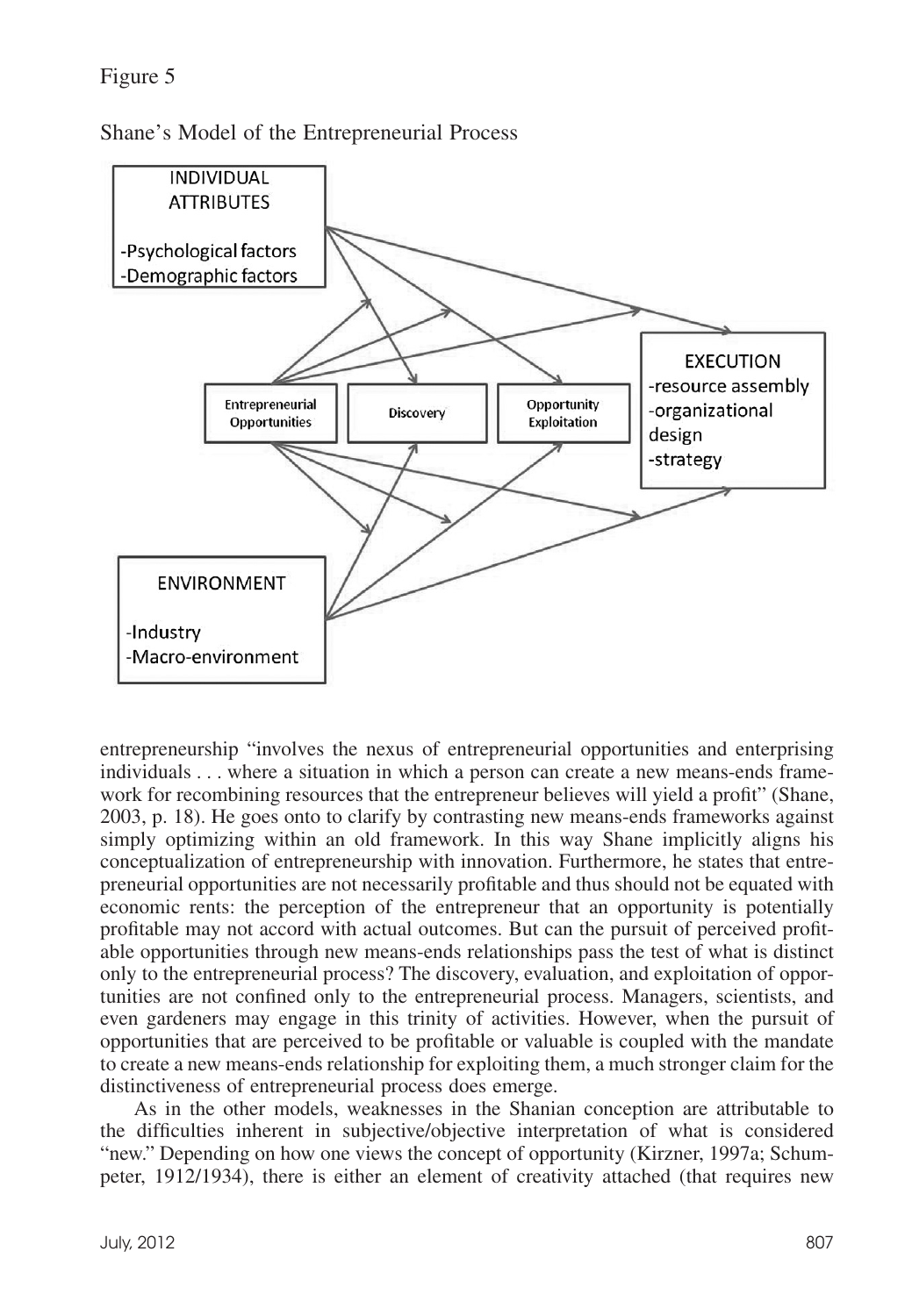Shane's Model of the Entrepreneurial Process



entrepreneurship "involves the nexus of entrepreneurial opportunities and enterprising individuals... where a situation in which a person can create a new means-ends framework for recombining resources that the entrepreneur believes will yield a profit" (Shane, 2003, p. 18). He goes onto to clarify by contrasting new means-ends frameworks against simply optimizing within an old framework. In this way Shane implicitly aligns his conceptualization of entrepreneurship with innovation. Furthermore, he states that entrepreneurial opportunities are not necessarily profitable and thus should not be equated with economic rents: the perception of the entrepreneur that an opportunity is potentially profitable may not accord with actual outcomes. But can the pursuit of perceived profitable opportunities through new means-ends relationships pass the test of what is distinct only to the entrepreneurial process? The discovery, evaluation, and exploitation of opportunities are not confined only to the entrepreneurial process. Managers, scientists, and even gardeners may engage in this trinity of activities. However, when the pursuit of opportunities that are perceived to be profitable or valuable is coupled with the mandate to create a new means-ends relationship for exploiting them, a much stronger claim for the distinctiveness of entrepreneurial process does emerge.

As in the other models, weaknesses in the Shanian conception are attributable to the difficulties inherent in subjective/objective interpretation of what is considered "new." Depending on how one views the concept of opportunity (Kirzner, 1997a; Schumpeter, 1912/1934), there is either an element of creativity attached (that requires new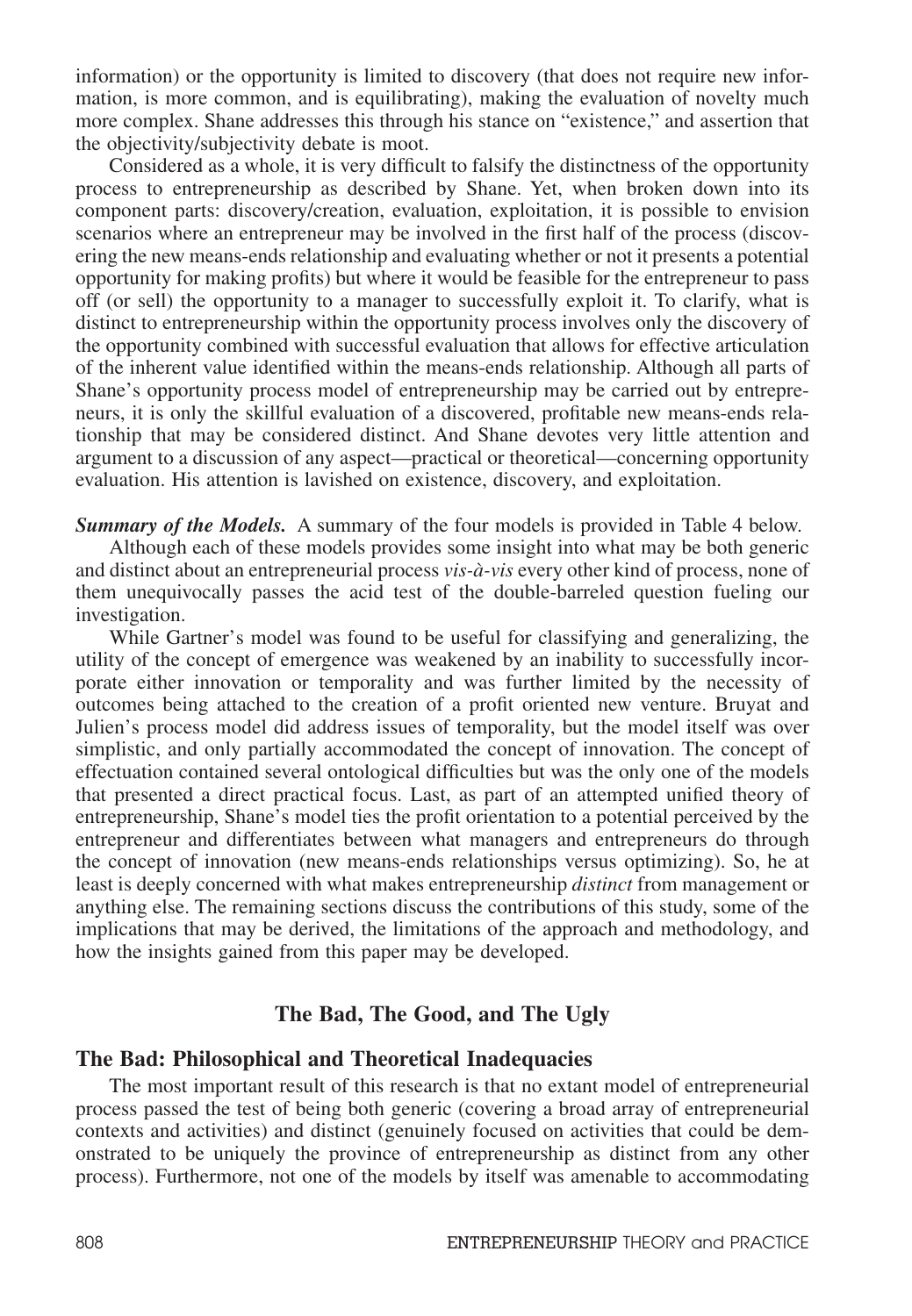information) or the opportunity is limited to discovery (that does not require new information, is more common, and is equilibrating), making the evaluation of novelty much more complex. Shane addresses this through his stance on "existence," and assertion that the objectivity/subjectivity debate is moot.

Considered as a whole, it is very difficult to falsify the distinctness of the opportunity process to entrepreneurship as described by Shane. Yet, when broken down into its component parts: discovery/creation, evaluation, exploitation, it is possible to envision scenarios where an entrepreneur may be involved in the first half of the process (discovering the new means-ends relationship and evaluating whether or not it presents a potential opportunity for making profits) but where it would be feasible for the entrepreneur to pass off (or sell) the opportunity to a manager to successfully exploit it. To clarify, what is distinct to entrepreneurship within the opportunity process involves only the discovery of the opportunity combined with successful evaluation that allows for effective articulation of the inherent value identified within the means-ends relationship. Although all parts of Shane's opportunity process model of entrepreneurship may be carried out by entrepreneurs, it is only the skillful evaluation of a discovered, profitable new means-ends relationship that may be considered distinct. And Shane devotes very little attention and argument to a discussion of any aspect—practical or theoretical—concerning opportunity evaluation. His attention is lavished on existence, discovery, and exploitation.

*Summary of the Models.* A summary of the four models is provided in Table 4 below.

Although each of these models provides some insight into what may be both generic and distinct about an entrepreneurial process *vis-à-vis* every other kind of process, none of them unequivocally passes the acid test of the double-barreled question fueling our investigation.

While Gartner's model was found to be useful for classifying and generalizing, the utility of the concept of emergence was weakened by an inability to successfully incorporate either innovation or temporality and was further limited by the necessity of outcomes being attached to the creation of a profit oriented new venture. Bruyat and Julien's process model did address issues of temporality, but the model itself was over simplistic, and only partially accommodated the concept of innovation. The concept of effectuation contained several ontological difficulties but was the only one of the models that presented a direct practical focus. Last, as part of an attempted unified theory of entrepreneurship, Shane's model ties the profit orientation to a potential perceived by the entrepreneur and differentiates between what managers and entrepreneurs do through the concept of innovation (new means-ends relationships versus optimizing). So, he at least is deeply concerned with what makes entrepreneurship *distinct* from management or anything else. The remaining sections discuss the contributions of this study, some of the implications that may be derived, the limitations of the approach and methodology, and how the insights gained from this paper may be developed.

## **The Bad, The Good, and The Ugly**

#### **The Bad: Philosophical and Theoretical Inadequacies**

The most important result of this research is that no extant model of entrepreneurial process passed the test of being both generic (covering a broad array of entrepreneurial contexts and activities) and distinct (genuinely focused on activities that could be demonstrated to be uniquely the province of entrepreneurship as distinct from any other process). Furthermore, not one of the models by itself was amenable to accommodating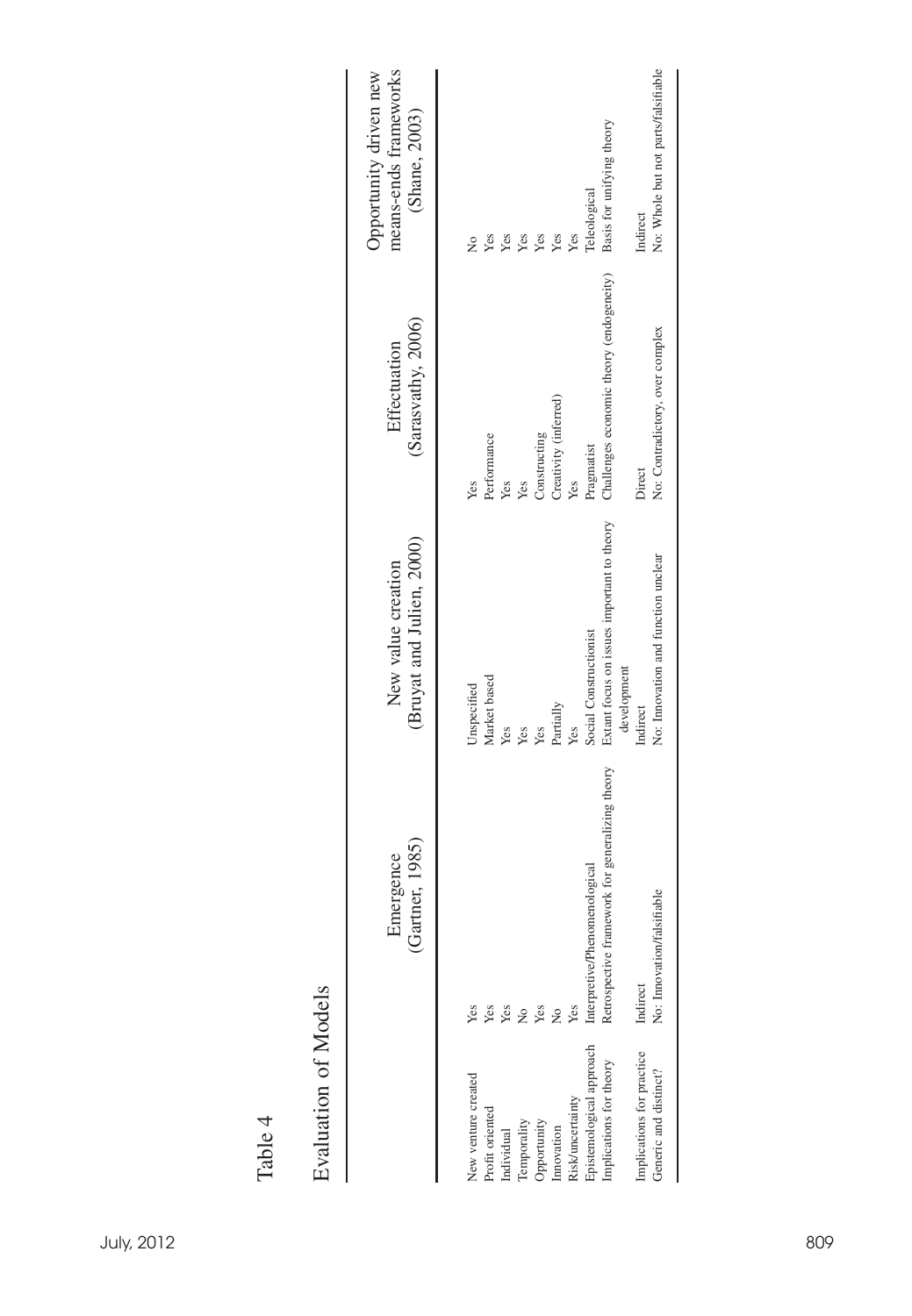|                           | (Gartner, 1985)<br>Emergence                    | (Bruyat and Julien, 2000)<br>New value creation           | (Sarasvathy, 2006)<br>Effectuation       | Opportunity driven new<br>means-ends frameworks<br>(Shane, 2003) |
|---------------------------|-------------------------------------------------|-----------------------------------------------------------|------------------------------------------|------------------------------------------------------------------|
| New venture created       |                                                 | Unspecified                                               | Yes                                      | $\tilde{z}$                                                      |
| Profit oriented           | Yes                                             | Market based                                              | Performance                              | Yes                                                              |
| ndividual                 | Yes                                             | Yes                                                       | Yes                                      | Yes                                                              |
| <b>Temporality</b>        |                                                 | Yes                                                       | Yes                                      | Yes                                                              |
| Opportunity               | Yes                                             | Yes                                                       | Constructing                             | Yes                                                              |
| movation                  |                                                 | Partially                                                 | Creativity (inferred)                    | Yes                                                              |
| tisk/uncertainty          | Yes                                             | Yes                                                       | Yes                                      | Yes                                                              |
| Epistemological approach  | Interpretive/Phenomenological                   | Social Constructionist                                    | Pragmatist                               | Teleological                                                     |
| mplications for theory    | Retrospective framework for generalizing theory | Extant focus on issues important to theory<br>development | Challenges economic theory (endogeneity) | Basis for unifying theory                                        |
| implications for practice | Indirect                                        | Indirect                                                  | Direct                                   | Indirect                                                         |
| Generic and distinct?     | No: Innovation/falsifiable                      | No: Innovation and function unclear                       | No: Contradictory, over complex          | No: Whole but not parts/falsifiable                              |
|                           |                                                 |                                                           |                                          |                                                                  |

Table 4

Evaluation of Models Evaluation of Models

I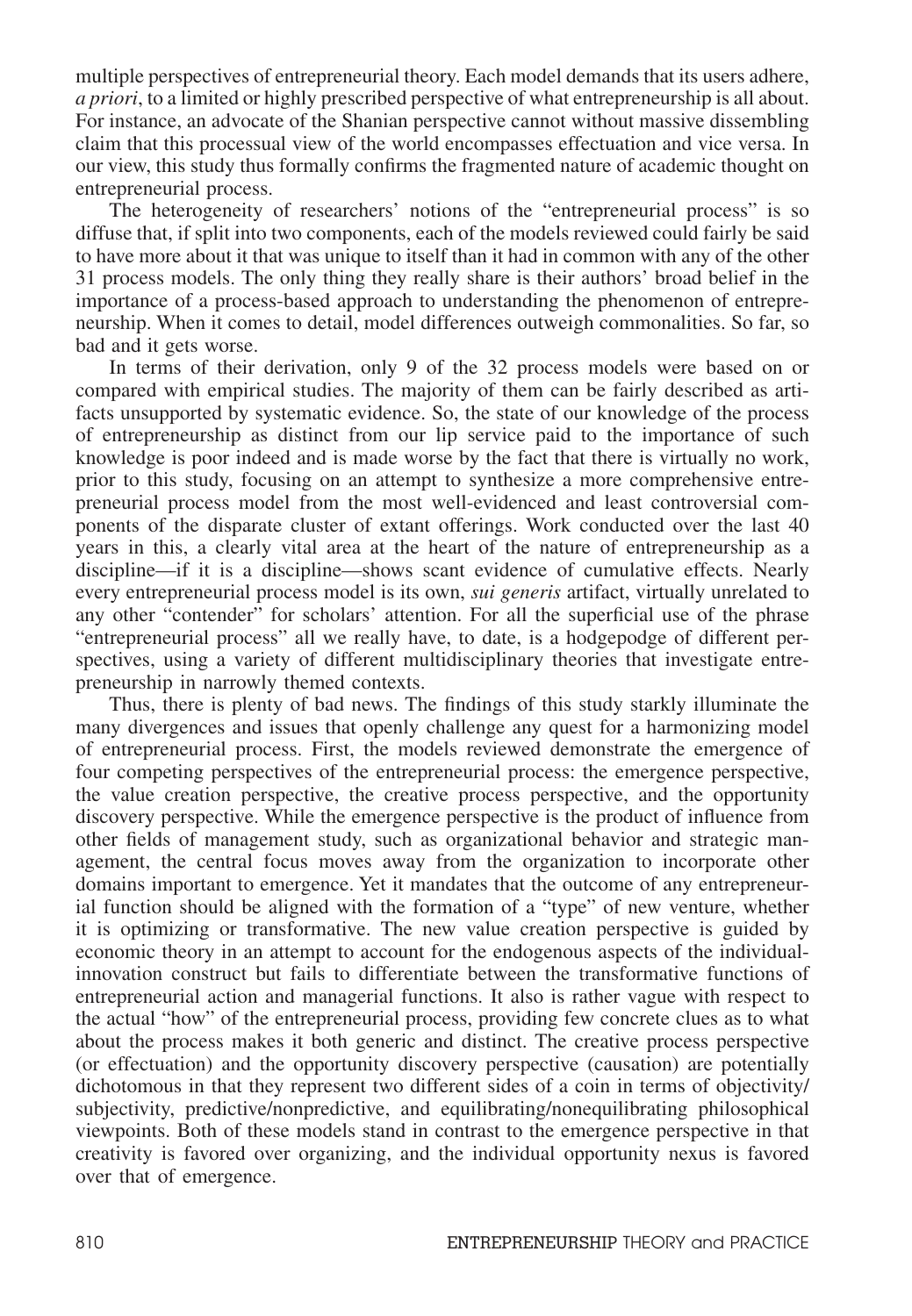multiple perspectives of entrepreneurial theory. Each model demands that its users adhere, *a priori*, to a limited or highly prescribed perspective of what entrepreneurship is all about. For instance, an advocate of the Shanian perspective cannot without massive dissembling claim that this processual view of the world encompasses effectuation and vice versa. In our view, this study thus formally confirms the fragmented nature of academic thought on entrepreneurial process.

The heterogeneity of researchers' notions of the "entrepreneurial process" is so diffuse that, if split into two components, each of the models reviewed could fairly be said to have more about it that was unique to itself than it had in common with any of the other 31 process models. The only thing they really share is their authors' broad belief in the importance of a process-based approach to understanding the phenomenon of entrepreneurship. When it comes to detail, model differences outweigh commonalities. So far, so bad and it gets worse.

In terms of their derivation, only 9 of the 32 process models were based on or compared with empirical studies. The majority of them can be fairly described as artifacts unsupported by systematic evidence. So, the state of our knowledge of the process of entrepreneurship as distinct from our lip service paid to the importance of such knowledge is poor indeed and is made worse by the fact that there is virtually no work, prior to this study, focusing on an attempt to synthesize a more comprehensive entrepreneurial process model from the most well-evidenced and least controversial components of the disparate cluster of extant offerings. Work conducted over the last 40 years in this, a clearly vital area at the heart of the nature of entrepreneurship as a discipline—if it is a discipline—shows scant evidence of cumulative effects. Nearly every entrepreneurial process model is its own, *sui generis* artifact, virtually unrelated to any other "contender" for scholars' attention. For all the superficial use of the phrase "entrepreneurial process" all we really have, to date, is a hodgepodge of different perspectives, using a variety of different multidisciplinary theories that investigate entrepreneurship in narrowly themed contexts.

Thus, there is plenty of bad news. The findings of this study starkly illuminate the many divergences and issues that openly challenge any quest for a harmonizing model of entrepreneurial process. First, the models reviewed demonstrate the emergence of four competing perspectives of the entrepreneurial process: the emergence perspective, the value creation perspective, the creative process perspective, and the opportunity discovery perspective. While the emergence perspective is the product of influence from other fields of management study, such as organizational behavior and strategic management, the central focus moves away from the organization to incorporate other domains important to emergence. Yet it mandates that the outcome of any entrepreneurial function should be aligned with the formation of a "type" of new venture, whether it is optimizing or transformative. The new value creation perspective is guided by economic theory in an attempt to account for the endogenous aspects of the individualinnovation construct but fails to differentiate between the transformative functions of entrepreneurial action and managerial functions. It also is rather vague with respect to the actual "how" of the entrepreneurial process, providing few concrete clues as to what about the process makes it both generic and distinct. The creative process perspective (or effectuation) and the opportunity discovery perspective (causation) are potentially dichotomous in that they represent two different sides of a coin in terms of objectivity/ subjectivity, predictive/nonpredictive, and equilibrating/nonequilibrating philosophical viewpoints. Both of these models stand in contrast to the emergence perspective in that creativity is favored over organizing, and the individual opportunity nexus is favored over that of emergence.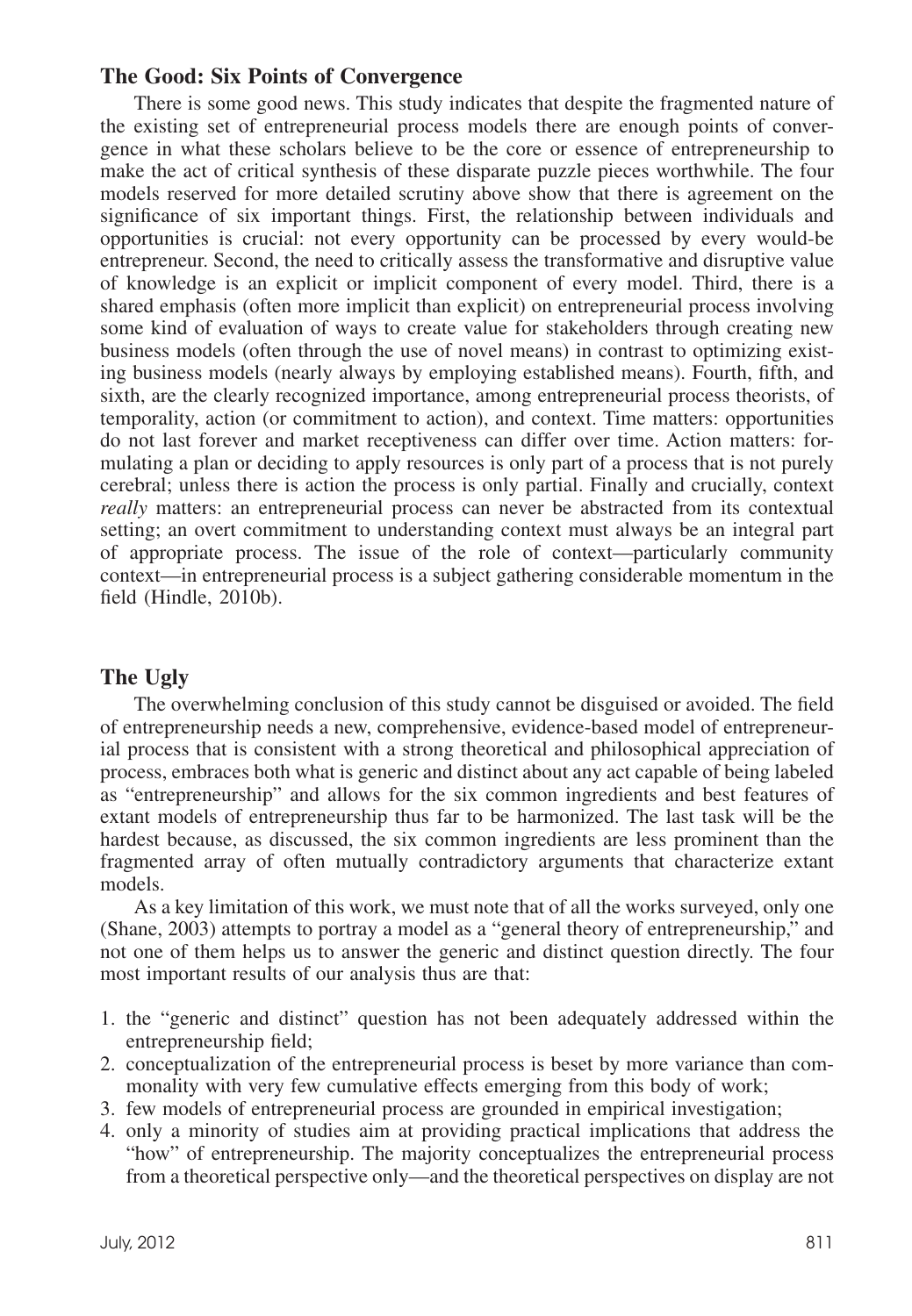## **The Good: Six Points of Convergence**

There is some good news. This study indicates that despite the fragmented nature of the existing set of entrepreneurial process models there are enough points of convergence in what these scholars believe to be the core or essence of entrepreneurship to make the act of critical synthesis of these disparate puzzle pieces worthwhile. The four models reserved for more detailed scrutiny above show that there is agreement on the significance of six important things. First, the relationship between individuals and opportunities is crucial: not every opportunity can be processed by every would-be entrepreneur. Second, the need to critically assess the transformative and disruptive value of knowledge is an explicit or implicit component of every model. Third, there is a shared emphasis (often more implicit than explicit) on entrepreneurial process involving some kind of evaluation of ways to create value for stakeholders through creating new business models (often through the use of novel means) in contrast to optimizing existing business models (nearly always by employing established means). Fourth, fifth, and sixth, are the clearly recognized importance, among entrepreneurial process theorists, of temporality, action (or commitment to action), and context. Time matters: opportunities do not last forever and market receptiveness can differ over time. Action matters: formulating a plan or deciding to apply resources is only part of a process that is not purely cerebral; unless there is action the process is only partial. Finally and crucially, context *really* matters: an entrepreneurial process can never be abstracted from its contextual setting; an overt commitment to understanding context must always be an integral part of appropriate process. The issue of the role of context—particularly community context—in entrepreneurial process is a subject gathering considerable momentum in the field (Hindle, 2010b).

## **The Ugly**

The overwhelming conclusion of this study cannot be disguised or avoided. The field of entrepreneurship needs a new, comprehensive, evidence-based model of entrepreneurial process that is consistent with a strong theoretical and philosophical appreciation of process, embraces both what is generic and distinct about any act capable of being labeled as "entrepreneurship" and allows for the six common ingredients and best features of extant models of entrepreneurship thus far to be harmonized. The last task will be the hardest because, as discussed, the six common ingredients are less prominent than the fragmented array of often mutually contradictory arguments that characterize extant models.

As a key limitation of this work, we must note that of all the works surveyed, only one (Shane, 2003) attempts to portray a model as a "general theory of entrepreneurship," and not one of them helps us to answer the generic and distinct question directly. The four most important results of our analysis thus are that:

- 1. the "generic and distinct" question has not been adequately addressed within the entrepreneurship field;
- 2. conceptualization of the entrepreneurial process is beset by more variance than commonality with very few cumulative effects emerging from this body of work;
- 3. few models of entrepreneurial process are grounded in empirical investigation;
- 4. only a minority of studies aim at providing practical implications that address the "how" of entrepreneurship. The majority conceptualizes the entrepreneurial process from a theoretical perspective only—and the theoretical perspectives on display are not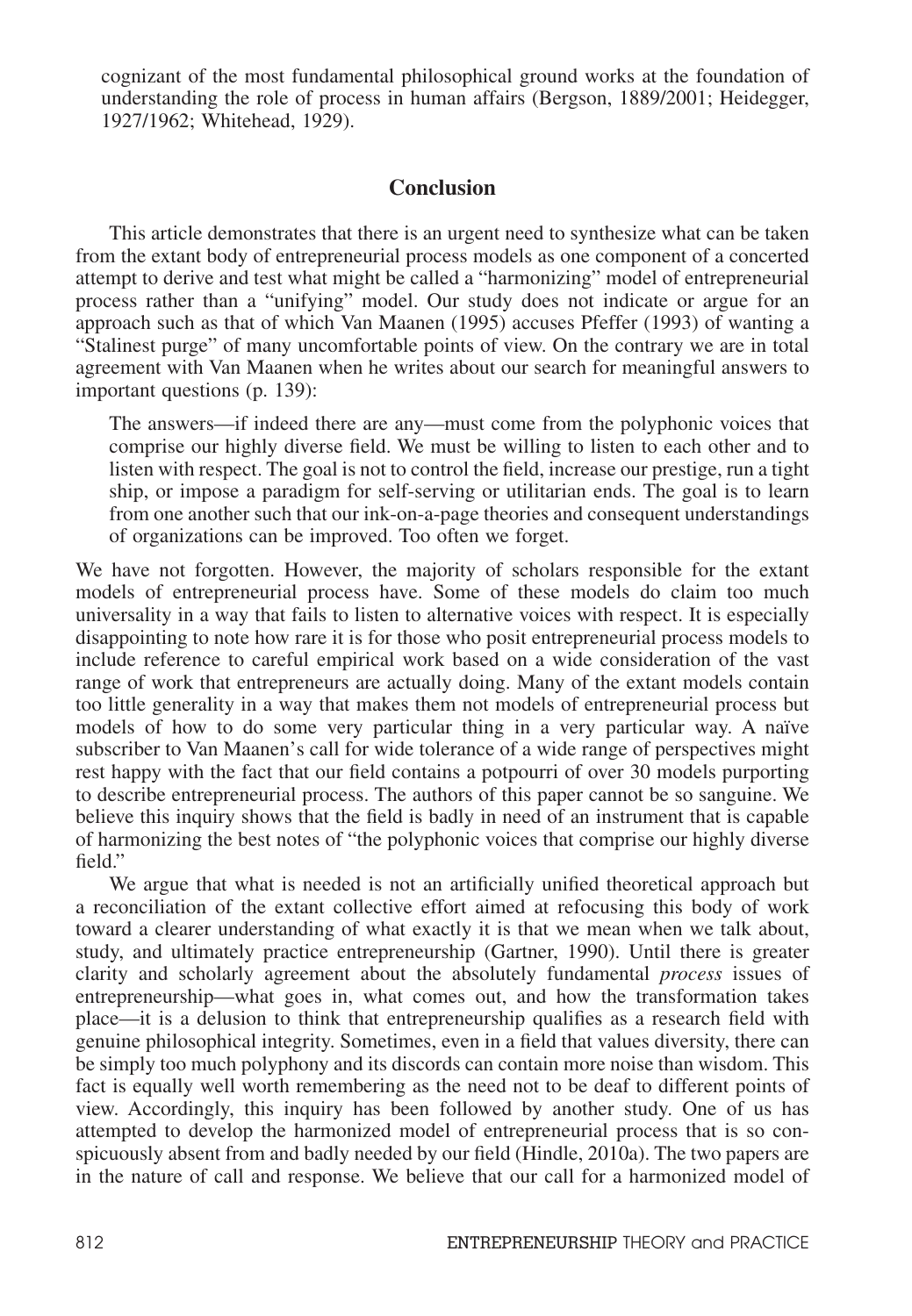cognizant of the most fundamental philosophical ground works at the foundation of understanding the role of process in human affairs (Bergson, 1889/2001; Heidegger, 1927/1962; Whitehead, 1929).

#### **Conclusion**

This article demonstrates that there is an urgent need to synthesize what can be taken from the extant body of entrepreneurial process models as one component of a concerted attempt to derive and test what might be called a "harmonizing" model of entrepreneurial process rather than a "unifying" model. Our study does not indicate or argue for an approach such as that of which Van Maanen (1995) accuses Pfeffer (1993) of wanting a "Stalinest purge" of many uncomfortable points of view. On the contrary we are in total agreement with Van Maanen when he writes about our search for meaningful answers to important questions (p. 139):

The answers—if indeed there are any—must come from the polyphonic voices that comprise our highly diverse field. We must be willing to listen to each other and to listen with respect. The goal is not to control the field, increase our prestige, run a tight ship, or impose a paradigm for self-serving or utilitarian ends. The goal is to learn from one another such that our ink-on-a-page theories and consequent understandings of organizations can be improved. Too often we forget.

We have not forgotten. However, the majority of scholars responsible for the extant models of entrepreneurial process have. Some of these models do claim too much universality in a way that fails to listen to alternative voices with respect. It is especially disappointing to note how rare it is for those who posit entrepreneurial process models to include reference to careful empirical work based on a wide consideration of the vast range of work that entrepreneurs are actually doing. Many of the extant models contain too little generality in a way that makes them not models of entrepreneurial process but models of how to do some very particular thing in a very particular way. A naïve subscriber to Van Maanen's call for wide tolerance of a wide range of perspectives might rest happy with the fact that our field contains a potpourri of over 30 models purporting to describe entrepreneurial process. The authors of this paper cannot be so sanguine. We believe this inquiry shows that the field is badly in need of an instrument that is capable of harmonizing the best notes of "the polyphonic voices that comprise our highly diverse field."

We argue that what is needed is not an artificially unified theoretical approach but a reconciliation of the extant collective effort aimed at refocusing this body of work toward a clearer understanding of what exactly it is that we mean when we talk about, study, and ultimately practice entrepreneurship (Gartner, 1990). Until there is greater clarity and scholarly agreement about the absolutely fundamental *process* issues of entrepreneurship—what goes in, what comes out, and how the transformation takes place—it is a delusion to think that entrepreneurship qualifies as a research field with genuine philosophical integrity. Sometimes, even in a field that values diversity, there can be simply too much polyphony and its discords can contain more noise than wisdom. This fact is equally well worth remembering as the need not to be deaf to different points of view. Accordingly, this inquiry has been followed by another study. One of us has attempted to develop the harmonized model of entrepreneurial process that is so conspicuously absent from and badly needed by our field (Hindle, 2010a). The two papers are in the nature of call and response. We believe that our call for a harmonized model of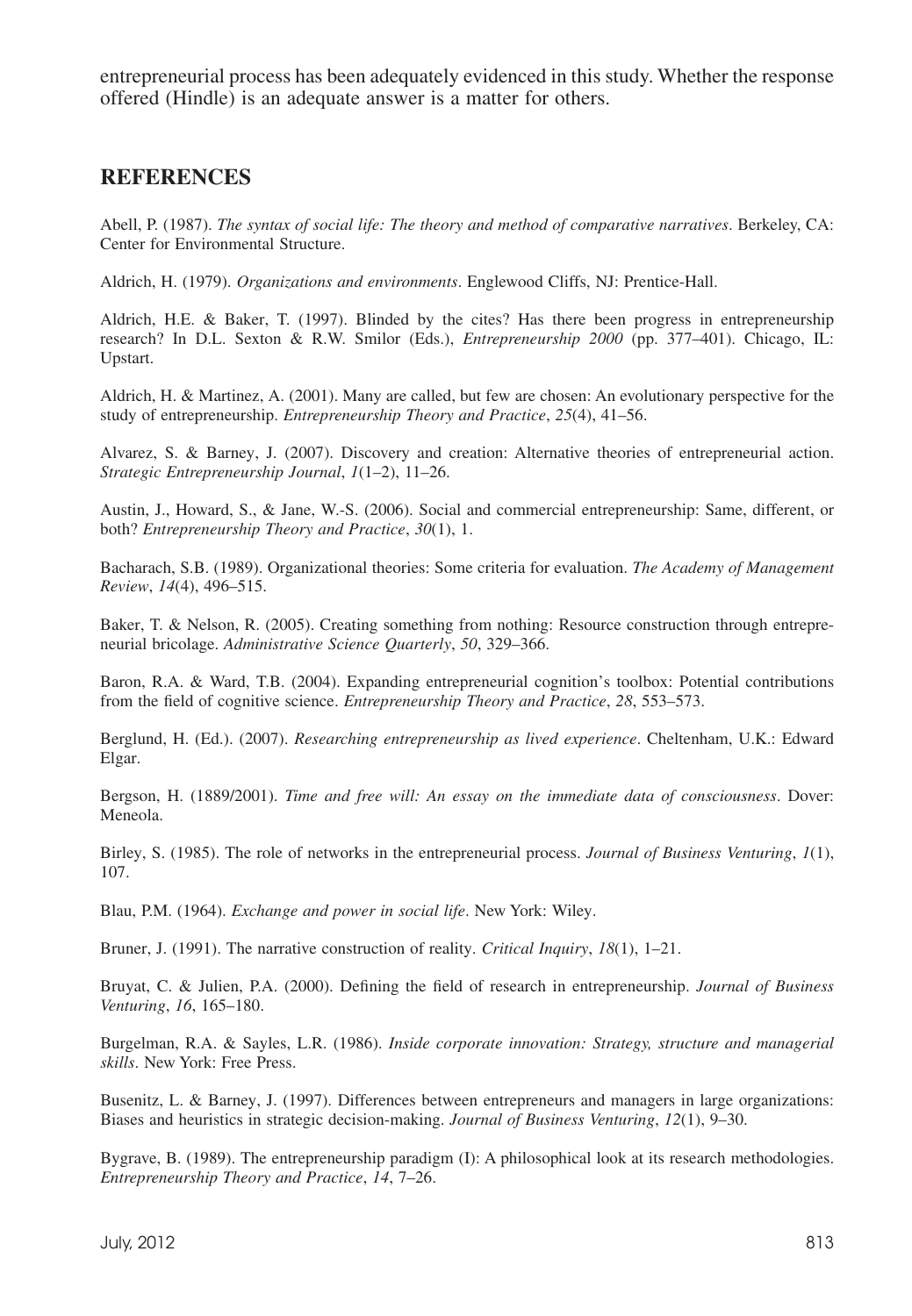entrepreneurial process has been adequately evidenced in this study. Whether the response offered (Hindle) is an adequate answer is a matter for others.

#### **REFERENCES**

Abell, P. (1987). *The syntax of social life: The theory and method of comparative narratives*. Berkeley, CA: Center for Environmental Structure.

Aldrich, H. (1979). *Organizations and environments*. Englewood Cliffs, NJ: Prentice-Hall.

Aldrich, H.E. & Baker, T. (1997). Blinded by the cites? Has there been progress in entrepreneurship research? In D.L. Sexton & R.W. Smilor (Eds.), *Entrepreneurship 2000* (pp. 377–401). Chicago, IL: Upstart.

Aldrich, H. & Martinez, A. (2001). Many are called, but few are chosen: An evolutionary perspective for the study of entrepreneurship. *Entrepreneurship Theory and Practice*, *25*(4), 41–56.

Alvarez, S. & Barney, J. (2007). Discovery and creation: Alternative theories of entrepreneurial action. *Strategic Entrepreneurship Journal*, *1*(1–2), 11–26.

Austin, J., Howard, S., & Jane, W.-S. (2006). Social and commercial entrepreneurship: Same, different, or both? *Entrepreneurship Theory and Practice*, *30*(1), 1.

Bacharach, S.B. (1989). Organizational theories: Some criteria for evaluation. *The Academy of Management Review*, *14*(4), 496–515.

Baker, T. & Nelson, R. (2005). Creating something from nothing: Resource construction through entrepreneurial bricolage. *Administrative Science Quarterly*, *50*, 329–366.

Baron, R.A. & Ward, T.B. (2004). Expanding entrepreneurial cognition's toolbox: Potential contributions from the field of cognitive science. *Entrepreneurship Theory and Practice*, *28*, 553–573.

Berglund, H. (Ed.). (2007). *Researching entrepreneurship as lived experience*. Cheltenham, U.K.: Edward Elgar.

Bergson, H. (1889/2001). *Time and free will: An essay on the immediate data of consciousness*. Dover: Meneola.

Birley, S. (1985). The role of networks in the entrepreneurial process. *Journal of Business Venturing*, *1*(1), 107.

Blau, P.M. (1964). *Exchange and power in social life*. New York: Wiley.

Bruner, J. (1991). The narrative construction of reality. *Critical Inquiry*, *18*(1), 1–21.

Bruyat, C. & Julien, P.A. (2000). Defining the field of research in entrepreneurship. *Journal of Business Venturing*, *16*, 165–180.

Burgelman, R.A. & Sayles, L.R. (1986). *Inside corporate innovation: Strategy, structure and managerial skills*. New York: Free Press.

Busenitz, L. & Barney, J. (1997). Differences between entrepreneurs and managers in large organizations: Biases and heuristics in strategic decision-making. *Journal of Business Venturing*, *12*(1), 9–30.

Bygrave, B. (1989). The entrepreneurship paradigm (I): A philosophical look at its research methodologies. *Entrepreneurship Theory and Practice*, *14*, 7–26.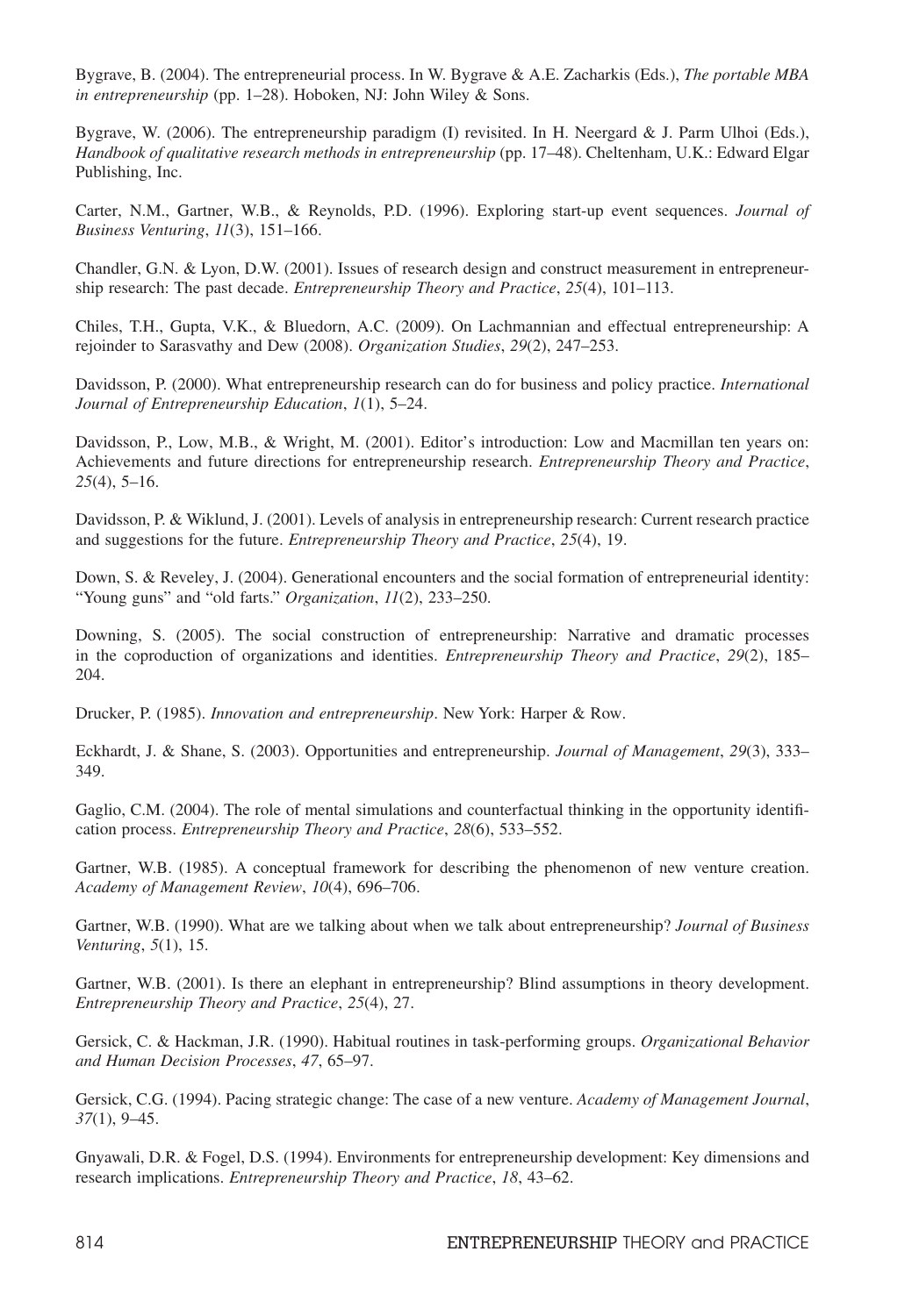Bygrave, B. (2004). The entrepreneurial process. In W. Bygrave & A.E. Zacharkis (Eds.), *The portable MBA in entrepreneurship* (pp. 1–28). Hoboken, NJ: John Wiley & Sons.

Bygrave, W. (2006). The entrepreneurship paradigm (I) revisited. In H. Neergard & J. Parm Ulhoi (Eds.), *Handbook of qualitative research methods in entrepreneurship* (pp. 17–48). Cheltenham, U.K.: Edward Elgar Publishing, Inc.

Carter, N.M., Gartner, W.B., & Reynolds, P.D. (1996). Exploring start-up event sequences. *Journal of Business Venturing*, *11*(3), 151–166.

Chandler, G.N. & Lyon, D.W. (2001). Issues of research design and construct measurement in entrepreneurship research: The past decade. *Entrepreneurship Theory and Practice*, *25*(4), 101–113.

Chiles, T.H., Gupta, V.K., & Bluedorn, A.C. (2009). On Lachmannian and effectual entrepreneurship: A rejoinder to Sarasvathy and Dew (2008). *Organization Studies*, *29*(2), 247–253.

Davidsson, P. (2000). What entrepreneurship research can do for business and policy practice. *International Journal of Entrepreneurship Education*, *1*(1), 5–24.

Davidsson, P., Low, M.B., & Wright, M. (2001). Editor's introduction: Low and Macmillan ten years on: Achievements and future directions for entrepreneurship research. *Entrepreneurship Theory and Practice*, *25*(4), 5–16.

Davidsson, P. & Wiklund, J. (2001). Levels of analysis in entrepreneurship research: Current research practice and suggestions for the future. *Entrepreneurship Theory and Practice*, *25*(4), 19.

Down, S. & Reveley, J. (2004). Generational encounters and the social formation of entrepreneurial identity: "Young guns" and "old farts." *Organization*, *11*(2), 233–250.

Downing, S. (2005). The social construction of entrepreneurship: Narrative and dramatic processes in the coproduction of organizations and identities. *Entrepreneurship Theory and Practice*, *29*(2), 185– 204.

Drucker, P. (1985). *Innovation and entrepreneurship*. New York: Harper & Row.

Eckhardt, J. & Shane, S. (2003). Opportunities and entrepreneurship. *Journal of Management*, *29*(3), 333– 349.

Gaglio, C.M. (2004). The role of mental simulations and counterfactual thinking in the opportunity identification process. *Entrepreneurship Theory and Practice*, *28*(6), 533–552.

Gartner, W.B. (1985). A conceptual framework for describing the phenomenon of new venture creation. *Academy of Management Review*, *10*(4), 696–706.

Gartner, W.B. (1990). What are we talking about when we talk about entrepreneurship? *Journal of Business Venturing*, *5*(1), 15.

Gartner, W.B. (2001). Is there an elephant in entrepreneurship? Blind assumptions in theory development. *Entrepreneurship Theory and Practice*, *25*(4), 27.

Gersick, C. & Hackman, J.R. (1990). Habitual routines in task-performing groups. *Organizational Behavior and Human Decision Processes*, *47*, 65–97.

Gersick, C.G. (1994). Pacing strategic change: The case of a new venture. *Academy of Management Journal*, *37*(1), 9–45.

Gnyawali, D.R. & Fogel, D.S. (1994). Environments for entrepreneurship development: Key dimensions and research implications. *Entrepreneurship Theory and Practice*, *18*, 43–62.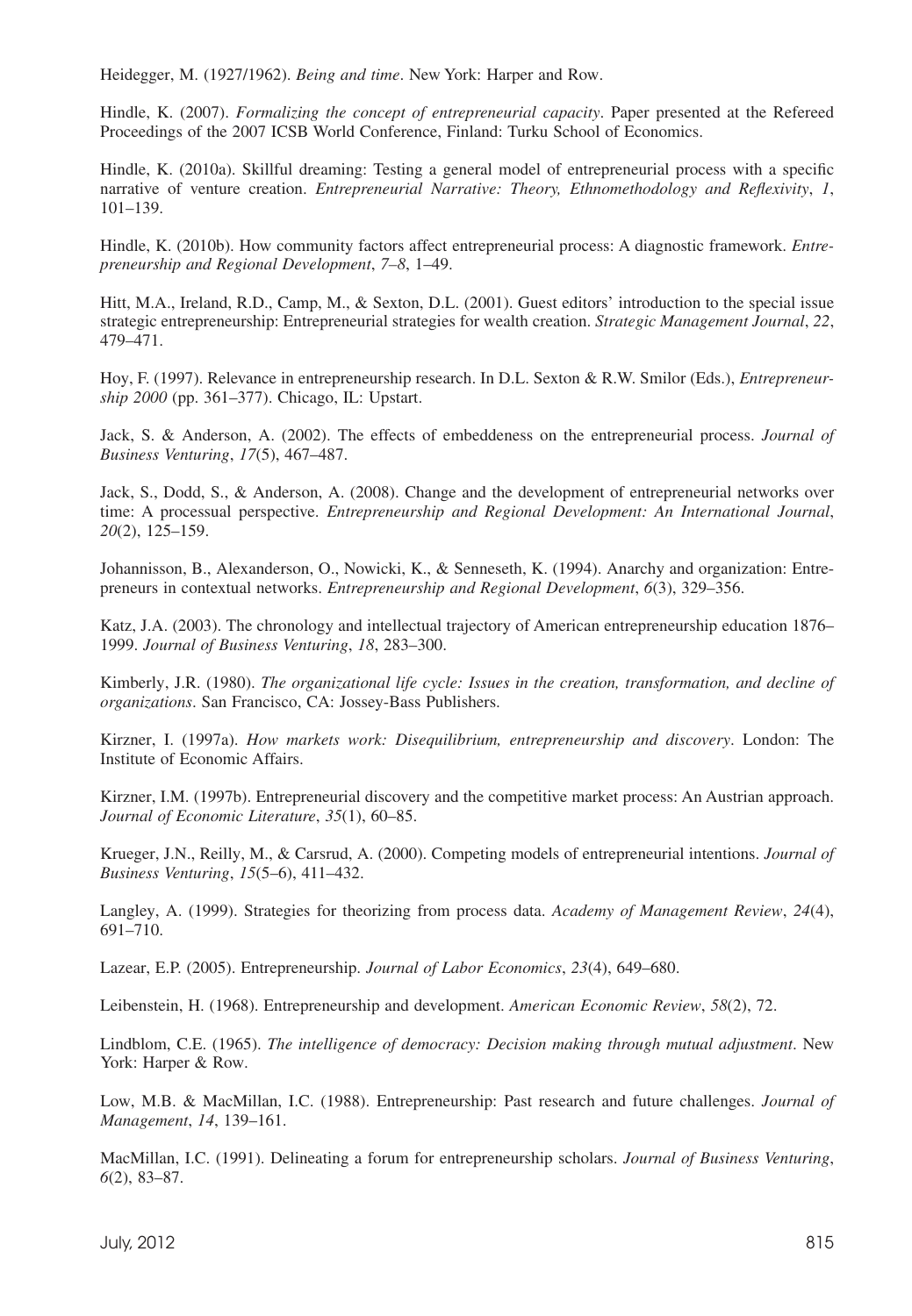Heidegger, M. (1927/1962). *Being and time*. New York: Harper and Row.

Hindle, K. (2007). *Formalizing the concept of entrepreneurial capacity*. Paper presented at the Refereed Proceedings of the 2007 ICSB World Conference, Finland: Turku School of Economics.

Hindle, K. (2010a). Skillful dreaming: Testing a general model of entrepreneurial process with a specific narrative of venture creation. *Entrepreneurial Narrative: Theory, Ethnomethodology and Reflexivity*, *1*, 101–139.

Hindle, K. (2010b). How community factors affect entrepreneurial process: A diagnostic framework. *Entrepreneurship and Regional Development*, *7–8*, 1–49.

Hitt, M.A., Ireland, R.D., Camp, M., & Sexton, D.L. (2001). Guest editors' introduction to the special issue strategic entrepreneurship: Entrepreneurial strategies for wealth creation. *Strategic Management Journal*, *22*, 479–471.

Hoy, F. (1997). Relevance in entrepreneurship research. In D.L. Sexton & R.W. Smilor (Eds.), *Entrepreneurship 2000* (pp. 361–377). Chicago, IL: Upstart.

Jack, S. & Anderson, A. (2002). The effects of embeddeness on the entrepreneurial process. *Journal of Business Venturing*, *17*(5), 467–487.

Jack, S., Dodd, S., & Anderson, A. (2008). Change and the development of entrepreneurial networks over time: A processual perspective. *Entrepreneurship and Regional Development: An International Journal*, *20*(2), 125–159.

Johannisson, B., Alexanderson, O., Nowicki, K., & Senneseth, K. (1994). Anarchy and organization: Entrepreneurs in contextual networks. *Entrepreneurship and Regional Development*, *6*(3), 329–356.

Katz, J.A. (2003). The chronology and intellectual trajectory of American entrepreneurship education 1876– 1999. *Journal of Business Venturing*, *18*, 283–300.

Kimberly, J.R. (1980). *The organizational life cycle: Issues in the creation, transformation, and decline of organizations*. San Francisco, CA: Jossey-Bass Publishers.

Kirzner, I. (1997a). *How markets work: Disequilibrium, entrepreneurship and discovery*. London: The Institute of Economic Affairs.

Kirzner, I.M. (1997b). Entrepreneurial discovery and the competitive market process: An Austrian approach. *Journal of Economic Literature*, *35*(1), 60–85.

Krueger, J.N., Reilly, M., & Carsrud, A. (2000). Competing models of entrepreneurial intentions. *Journal of Business Venturing*, *15*(5–6), 411–432.

Langley, A. (1999). Strategies for theorizing from process data. *Academy of Management Review*, *24*(4), 691–710.

Lazear, E.P. (2005). Entrepreneurship. *Journal of Labor Economics*, *23*(4), 649–680.

Leibenstein, H. (1968). Entrepreneurship and development. *American Economic Review*, *58*(2), 72.

Lindblom, C.E. (1965). *The intelligence of democracy: Decision making through mutual adjustment*. New York: Harper & Row.

Low, M.B. & MacMillan, I.C. (1988). Entrepreneurship: Past research and future challenges. *Journal of Management*, *14*, 139–161.

MacMillan, I.C. (1991). Delineating a forum for entrepreneurship scholars. *Journal of Business Venturing*, *6*(2), 83–87.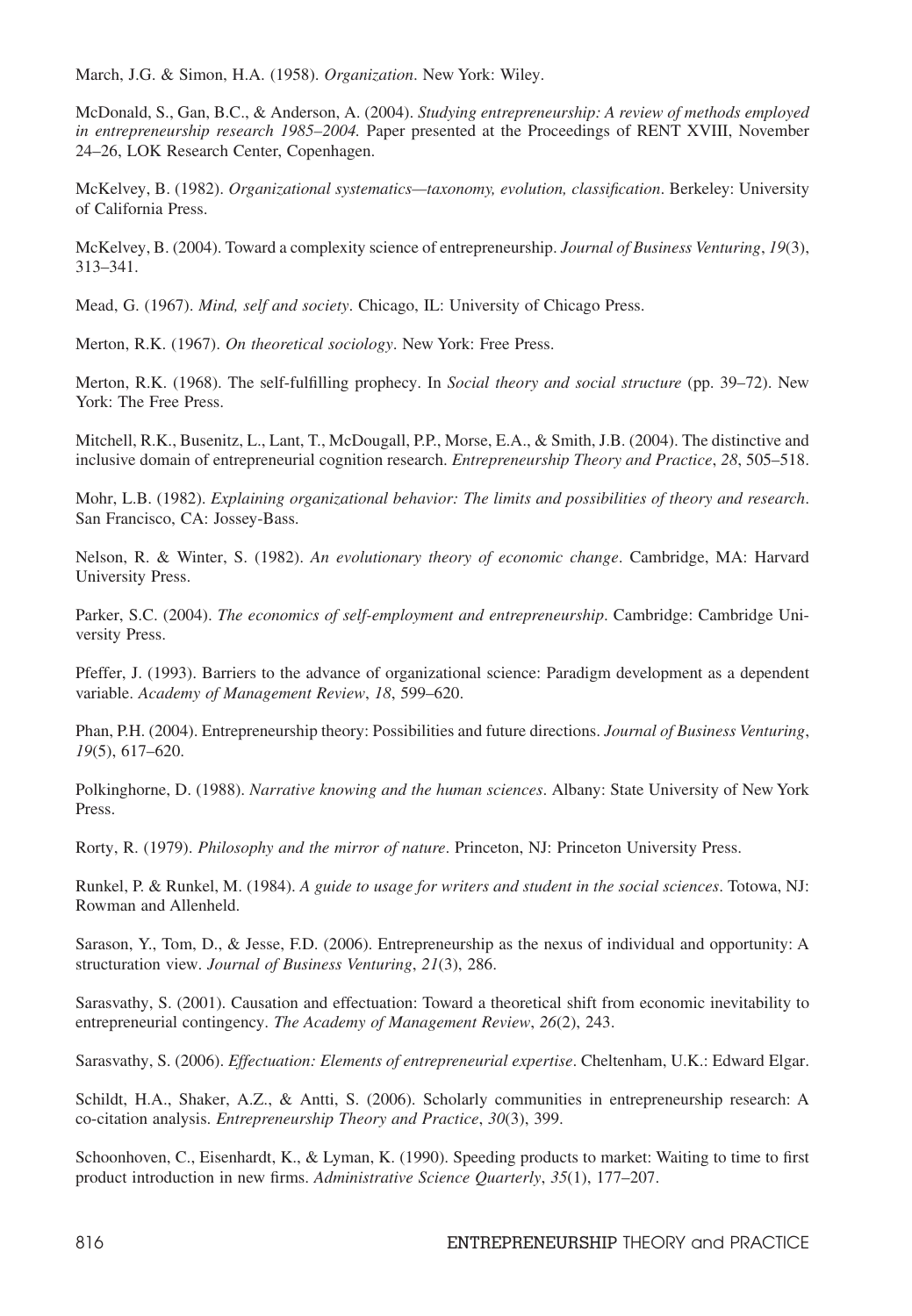March, J.G. & Simon, H.A. (1958). *Organization*. New York: Wiley.

McDonald, S., Gan, B.C., & Anderson, A. (2004). *Studying entrepreneurship: A review of methods employed in entrepreneurship research 1985–2004.* Paper presented at the Proceedings of RENT XVIII, November 24–26, LOK Research Center, Copenhagen.

McKelvey, B. (1982). *Organizational systematics—taxonomy, evolution, classification*. Berkeley: University of California Press.

McKelvey, B. (2004). Toward a complexity science of entrepreneurship. *Journal of Business Venturing*, *19*(3), 313–341.

Mead, G. (1967). *Mind, self and society*. Chicago, IL: University of Chicago Press.

Merton, R.K. (1967). *On theoretical sociology*. New York: Free Press.

Merton, R.K. (1968). The self-fulfilling prophecy. In *Social theory and social structure* (pp. 39–72). New York: The Free Press.

Mitchell, R.K., Busenitz, L., Lant, T., McDougall, P.P., Morse, E.A., & Smith, J.B. (2004). The distinctive and inclusive domain of entrepreneurial cognition research. *Entrepreneurship Theory and Practice*, *28*, 505–518.

Mohr, L.B. (1982). *Explaining organizational behavior: The limits and possibilities of theory and research*. San Francisco, CA: Jossey-Bass.

Nelson, R. & Winter, S. (1982). *An evolutionary theory of economic change*. Cambridge, MA: Harvard University Press.

Parker, S.C. (2004). *The economics of self-employment and entrepreneurship*. Cambridge: Cambridge University Press.

Pfeffer, J. (1993). Barriers to the advance of organizational science: Paradigm development as a dependent variable. *Academy of Management Review*, *18*, 599–620.

Phan, P.H. (2004). Entrepreneurship theory: Possibilities and future directions. *Journal of Business Venturing*, *19*(5), 617–620.

Polkinghorne, D. (1988). *Narrative knowing and the human sciences*. Albany: State University of New York Press.

Rorty, R. (1979). *Philosophy and the mirror of nature*. Princeton, NJ: Princeton University Press.

Runkel, P. & Runkel, M. (1984). *A guide to usage for writers and student in the social sciences*. Totowa, NJ: Rowman and Allenheld.

Sarason, Y., Tom, D., & Jesse, F.D. (2006). Entrepreneurship as the nexus of individual and opportunity: A structuration view. *Journal of Business Venturing*, *21*(3), 286.

Sarasvathy, S. (2001). Causation and effectuation: Toward a theoretical shift from economic inevitability to entrepreneurial contingency. *The Academy of Management Review*, *26*(2), 243.

Sarasvathy, S. (2006). *Effectuation: Elements of entrepreneurial expertise*. Cheltenham, U.K.: Edward Elgar.

Schildt, H.A., Shaker, A.Z., & Antti, S. (2006). Scholarly communities in entrepreneurship research: A co-citation analysis. *Entrepreneurship Theory and Practice*, *30*(3), 399.

Schoonhoven, C., Eisenhardt, K., & Lyman, K. (1990). Speeding products to market: Waiting to time to first product introduction in new firms. *Administrative Science Quarterly*, *35*(1), 177–207.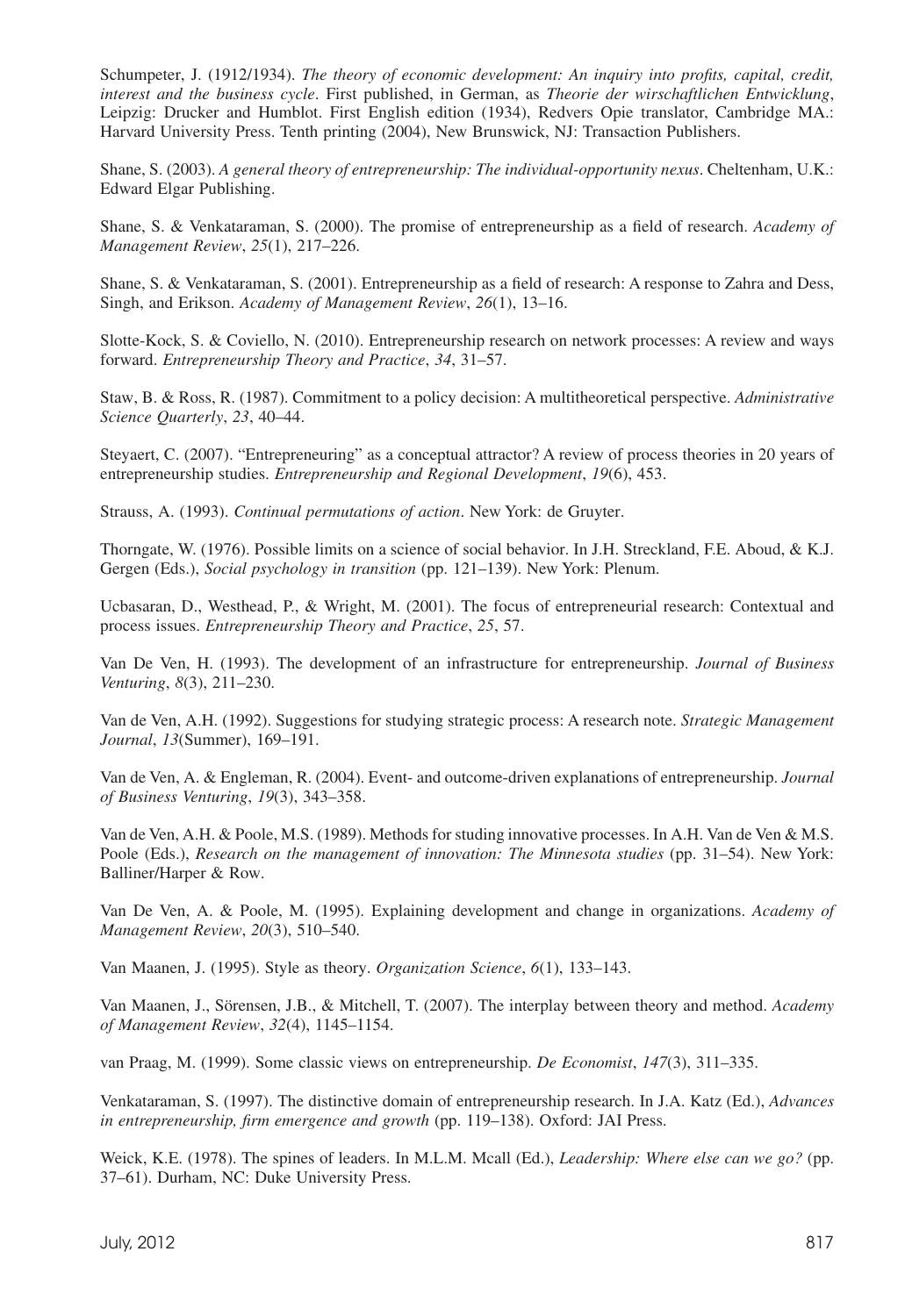Schumpeter, J. (1912/1934). *The theory of economic development: An inquiry into profits, capital, credit, interest and the business cycle*. First published, in German, as *Theorie der wirschaftlichen Entwicklung*, Leipzig: Drucker and Humblot. First English edition (1934), Redvers Opie translator, Cambridge MA.: Harvard University Press. Tenth printing (2004), New Brunswick, NJ: Transaction Publishers.

Shane, S. (2003). *A general theory of entrepreneurship: The individual-opportunity nexus*. Cheltenham, U.K.: Edward Elgar Publishing.

Shane, S. & Venkataraman, S. (2000). The promise of entrepreneurship as a field of research. *Academy of Management Review*, *25*(1), 217–226.

Shane, S. & Venkataraman, S. (2001). Entrepreneurship as a field of research: A response to Zahra and Dess, Singh, and Erikson. *Academy of Management Review*, *26*(1), 13–16.

Slotte-Kock, S. & Coviello, N. (2010). Entrepreneurship research on network processes: A review and ways forward. *Entrepreneurship Theory and Practice*, *34*, 31–57.

Staw, B. & Ross, R. (1987). Commitment to a policy decision: A multitheoretical perspective. *Administrative Science Quarterly*, *23*, 40–44.

Steyaert, C. (2007). "Entrepreneuring" as a conceptual attractor? A review of process theories in 20 years of entrepreneurship studies. *Entrepreneurship and Regional Development*, *19*(6), 453.

Strauss, A. (1993). *Continual permutations of action*. New York: de Gruyter.

Thorngate, W. (1976). Possible limits on a science of social behavior. In J.H. Streckland, F.E. Aboud, & K.J. Gergen (Eds.), *Social psychology in transition* (pp. 121–139). New York: Plenum.

Ucbasaran, D., Westhead, P., & Wright, M. (2001). The focus of entrepreneurial research: Contextual and process issues. *Entrepreneurship Theory and Practice*, *25*, 57.

Van De Ven, H. (1993). The development of an infrastructure for entrepreneurship. *Journal of Business Venturing*, *8*(3), 211–230.

Van de Ven, A.H. (1992). Suggestions for studying strategic process: A research note. *Strategic Management Journal*, *13*(Summer), 169–191.

Van de Ven, A. & Engleman, R. (2004). Event- and outcome-driven explanations of entrepreneurship. *Journal of Business Venturing*, *19*(3), 343–358.

Van de Ven, A.H. & Poole, M.S. (1989). Methods for studing innovative processes. In A.H. Van de Ven & M.S. Poole (Eds.), *Research on the management of innovation: The Minnesota studies* (pp. 31–54). New York: Balliner/Harper & Row.

Van De Ven, A. & Poole, M. (1995). Explaining development and change in organizations. *Academy of Management Review*, *20*(3), 510–540.

Van Maanen, J. (1995). Style as theory. *Organization Science*, *6*(1), 133–143.

Van Maanen, J., Sörensen, J.B., & Mitchell, T. (2007). The interplay between theory and method. *Academy of Management Review*, *32*(4), 1145–1154.

van Praag, M. (1999). Some classic views on entrepreneurship. *De Economist*, *147*(3), 311–335.

Venkataraman, S. (1997). The distinctive domain of entrepreneurship research. In J.A. Katz (Ed.), *Advances in entrepreneurship, firm emergence and growth* (pp. 119–138). Oxford: JAI Press.

Weick, K.E. (1978). The spines of leaders. In M.L.M. Mcall (Ed.), *Leadership: Where else can we go?* (pp. 37–61). Durham, NC: Duke University Press.